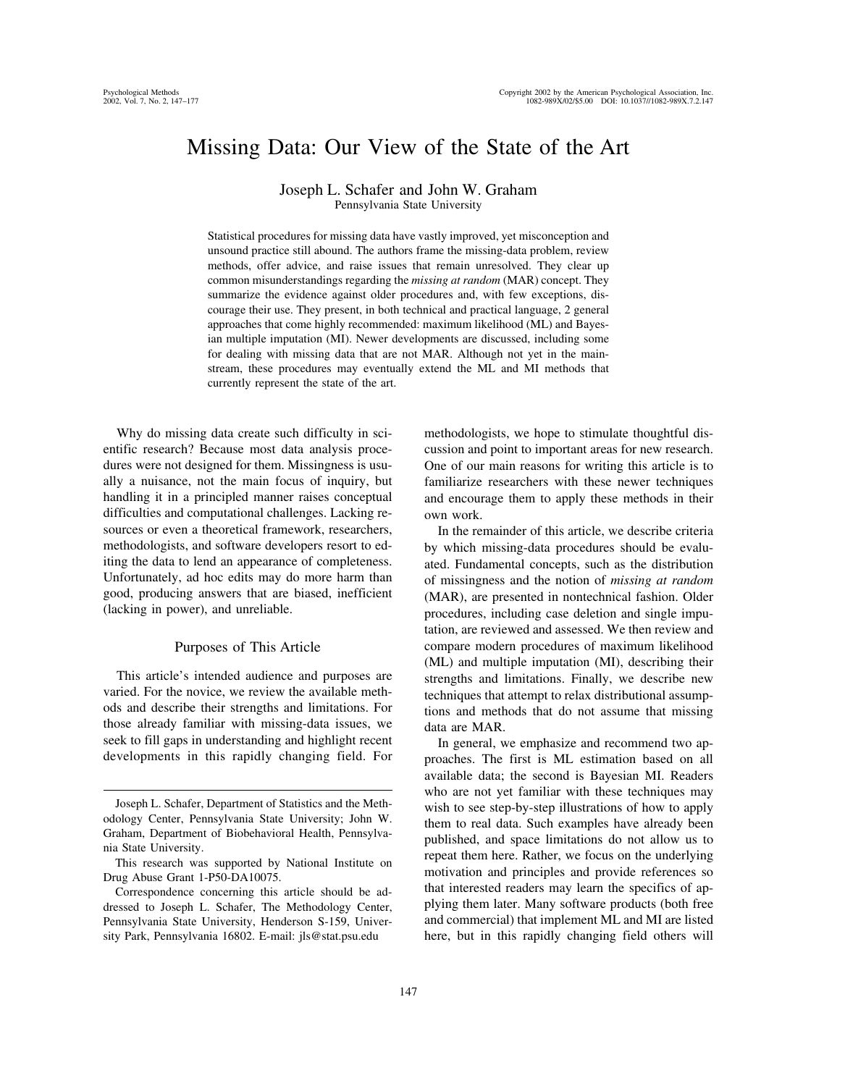# Missing Data: Our View of the State of the Art

## Joseph L. Schafer and John W. Graham Pennsylvania State University

Statistical procedures for missing data have vastly improved, yet misconception and unsound practice still abound. The authors frame the missing-data problem, review methods, offer advice, and raise issues that remain unresolved. They clear up common misunderstandings regarding the *missing at random* (MAR) concept. They summarize the evidence against older procedures and, with few exceptions, discourage their use. They present, in both technical and practical language, 2 general approaches that come highly recommended: maximum likelihood (ML) and Bayesian multiple imputation (MI). Newer developments are discussed, including some for dealing with missing data that are not MAR. Although not yet in the mainstream, these procedures may eventually extend the ML and MI methods that currently represent the state of the art.

Why do missing data create such difficulty in scientific research? Because most data analysis procedures were not designed for them. Missingness is usually a nuisance, not the main focus of inquiry, but handling it in a principled manner raises conceptual difficulties and computational challenges. Lacking resources or even a theoretical framework, researchers, methodologists, and software developers resort to editing the data to lend an appearance of completeness. Unfortunately, ad hoc edits may do more harm than good, producing answers that are biased, inefficient (lacking in power), and unreliable.

## Purposes of This Article

This article's intended audience and purposes are varied. For the novice, we review the available methods and describe their strengths and limitations. For those already familiar with missing-data issues, we seek to fill gaps in understanding and highlight recent developments in this rapidly changing field. For methodologists, we hope to stimulate thoughtful discussion and point to important areas for new research. One of our main reasons for writing this article is to familiarize researchers with these newer techniques and encourage them to apply these methods in their own work.

In the remainder of this article, we describe criteria by which missing-data procedures should be evaluated. Fundamental concepts, such as the distribution of missingness and the notion of *missing at random* (MAR), are presented in nontechnical fashion. Older procedures, including case deletion and single imputation, are reviewed and assessed. We then review and compare modern procedures of maximum likelihood (ML) and multiple imputation (MI), describing their strengths and limitations. Finally, we describe new techniques that attempt to relax distributional assumptions and methods that do not assume that missing data are MAR.

In general, we emphasize and recommend two approaches. The first is ML estimation based on all available data; the second is Bayesian MI. Readers who are not yet familiar with these techniques may wish to see step-by-step illustrations of how to apply them to real data. Such examples have already been published, and space limitations do not allow us to repeat them here. Rather, we focus on the underlying motivation and principles and provide references so that interested readers may learn the specifics of applying them later. Many software products (both free and commercial) that implement ML and MI are listed here, but in this rapidly changing field others will

Joseph L. Schafer, Department of Statistics and the Methodology Center, Pennsylvania State University; John W. Graham, Department of Biobehavioral Health, Pennsylvania State University.

This research was supported by National Institute on Drug Abuse Grant 1-P50-DA10075.

Correspondence concerning this article should be addressed to Joseph L. Schafer, The Methodology Center, Pennsylvania State University, Henderson S-159, University Park, Pennsylvania 16802. E-mail: jls@stat.psu.edu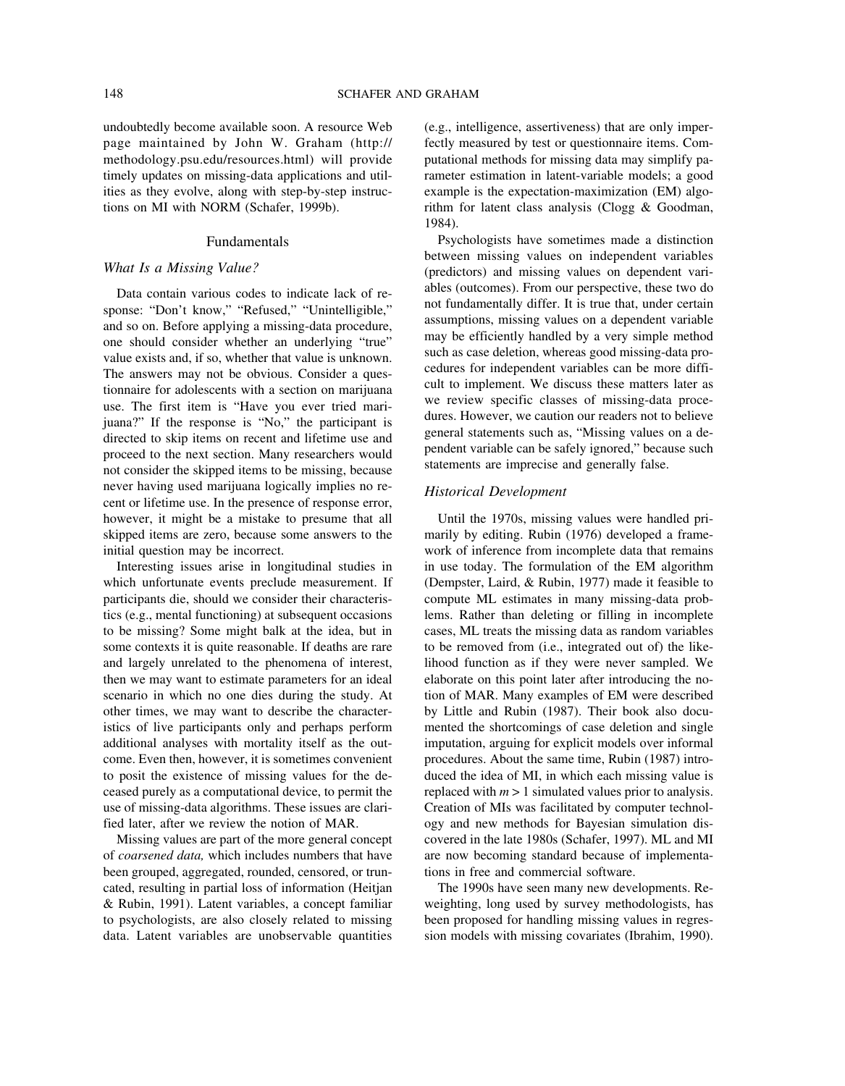undoubtedly become available soon. A resource Web page maintained by John W. Graham (http:// methodology.psu.edu/resources.html) will provide timely updates on missing-data applications and utilities as they evolve, along with step-by-step instructions on MI with NORM (Schafer, 1999b).

#### Fundamentals

#### *What Is a Missing Value?*

Data contain various codes to indicate lack of response: "Don't know," "Refused," "Unintelligible," and so on. Before applying a missing-data procedure, one should consider whether an underlying "true" value exists and, if so, whether that value is unknown. The answers may not be obvious. Consider a questionnaire for adolescents with a section on marijuana use. The first item is "Have you ever tried marijuana?" If the response is "No," the participant is directed to skip items on recent and lifetime use and proceed to the next section. Many researchers would not consider the skipped items to be missing, because never having used marijuana logically implies no recent or lifetime use. In the presence of response error, however, it might be a mistake to presume that all skipped items are zero, because some answers to the initial question may be incorrect.

Interesting issues arise in longitudinal studies in which unfortunate events preclude measurement. If participants die, should we consider their characteristics (e.g., mental functioning) at subsequent occasions to be missing? Some might balk at the idea, but in some contexts it is quite reasonable. If deaths are rare and largely unrelated to the phenomena of interest, then we may want to estimate parameters for an ideal scenario in which no one dies during the study. At other times, we may want to describe the characteristics of live participants only and perhaps perform additional analyses with mortality itself as the outcome. Even then, however, it is sometimes convenient to posit the existence of missing values for the deceased purely as a computational device, to permit the use of missing-data algorithms. These issues are clarified later, after we review the notion of MAR.

Missing values are part of the more general concept of *coarsened data,* which includes numbers that have been grouped, aggregated, rounded, censored, or truncated, resulting in partial loss of information (Heitjan & Rubin, 1991). Latent variables, a concept familiar to psychologists, are also closely related to missing data. Latent variables are unobservable quantities

(e.g., intelligence, assertiveness) that are only imperfectly measured by test or questionnaire items. Computational methods for missing data may simplify parameter estimation in latent-variable models; a good example is the expectation-maximization (EM) algorithm for latent class analysis (Clogg & Goodman, 1984).

Psychologists have sometimes made a distinction between missing values on independent variables (predictors) and missing values on dependent variables (outcomes). From our perspective, these two do not fundamentally differ. It is true that, under certain assumptions, missing values on a dependent variable may be efficiently handled by a very simple method such as case deletion, whereas good missing-data procedures for independent variables can be more difficult to implement. We discuss these matters later as we review specific classes of missing-data procedures. However, we caution our readers not to believe general statements such as, "Missing values on a dependent variable can be safely ignored," because such statements are imprecise and generally false.

#### *Historical Development*

Until the 1970s, missing values were handled primarily by editing. Rubin (1976) developed a framework of inference from incomplete data that remains in use today. The formulation of the EM algorithm (Dempster, Laird, & Rubin, 1977) made it feasible to compute ML estimates in many missing-data problems. Rather than deleting or filling in incomplete cases, ML treats the missing data as random variables to be removed from (i.e., integrated out of) the likelihood function as if they were never sampled. We elaborate on this point later after introducing the notion of MAR. Many examples of EM were described by Little and Rubin (1987). Their book also documented the shortcomings of case deletion and single imputation, arguing for explicit models over informal procedures. About the same time, Rubin (1987) introduced the idea of MI, in which each missing value is replaced with  $m > 1$  simulated values prior to analysis. Creation of MIs was facilitated by computer technology and new methods for Bayesian simulation discovered in the late 1980s (Schafer, 1997). ML and MI are now becoming standard because of implementations in free and commercial software.

The 1990s have seen many new developments. Reweighting, long used by survey methodologists, has been proposed for handling missing values in regression models with missing covariates (Ibrahim, 1990).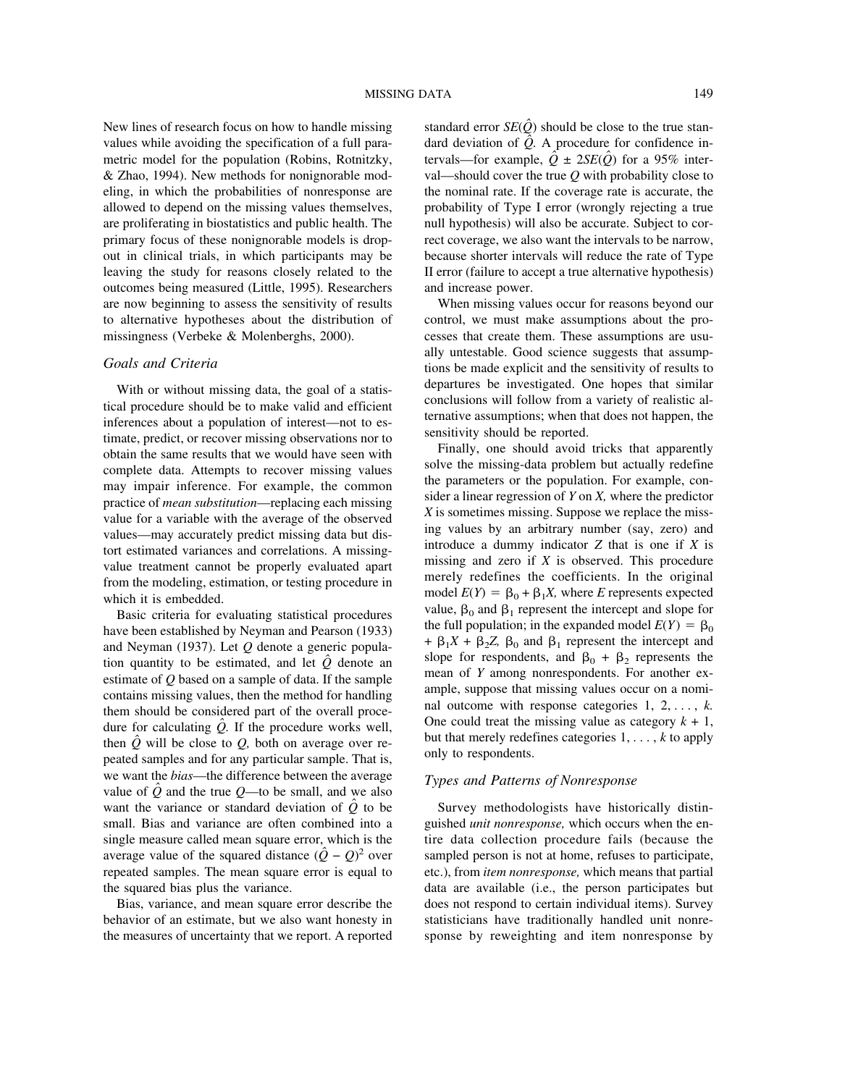New lines of research focus on how to handle missing values while avoiding the specification of a full parametric model for the population (Robins, Rotnitzky, & Zhao, 1994). New methods for nonignorable modeling, in which the probabilities of nonresponse are allowed to depend on the missing values themselves, are proliferating in biostatistics and public health. The primary focus of these nonignorable models is dropout in clinical trials, in which participants may be leaving the study for reasons closely related to the outcomes being measured (Little, 1995). Researchers are now beginning to assess the sensitivity of results to alternative hypotheses about the distribution of missingness (Verbeke & Molenberghs, 2000).

#### *Goals and Criteria*

With or without missing data, the goal of a statistical procedure should be to make valid and efficient inferences about a population of interest—not to estimate, predict, or recover missing observations nor to obtain the same results that we would have seen with complete data. Attempts to recover missing values may impair inference. For example, the common practice of *mean substitution*—replacing each missing value for a variable with the average of the observed values—may accurately predict missing data but distort estimated variances and correlations. A missingvalue treatment cannot be properly evaluated apart from the modeling, estimation, or testing procedure in which it is embedded.

Basic criteria for evaluating statistical procedures have been established by Neyman and Pearson (1933) and Neyman (1937). Let *Q* denote a generic population quantity to be estimated, and let  $Q$  denote an estimate of *Q* based on a sample of data. If the sample contains missing values, then the method for handling them should be considered part of the overall procedure for calculating  $\hat{Q}$ . If the procedure works well, then  $Q$  will be close to  $Q$ , both on average over repeated samples and for any particular sample. That is, we want the *bias*—the difference between the average value of  $Q$  and the true  $Q$ —to be small, and we also want the variance or standard deviation of  $\hat{Q}$  to be small. Bias and variance are often combined into a single measure called mean square error, which is the average value of the squared distance  $(\hat{Q} - Q)^2$  over repeated samples. The mean square error is equal to the squared bias plus the variance.

Bias, variance, and mean square error describe the behavior of an estimate, but we also want honesty in the measures of uncertainty that we report. A reported standard error  $SE(\hat{Q})$  should be close to the true standard deviation of  $\hat{Q}$ . A procedure for confidence intervals—for example,  $\hat{Q} \pm 2SE(\hat{Q})$  for a 95% interval—should cover the true *Q* with probability close to the nominal rate. If the coverage rate is accurate, the probability of Type I error (wrongly rejecting a true null hypothesis) will also be accurate. Subject to correct coverage, we also want the intervals to be narrow, because shorter intervals will reduce the rate of Type II error (failure to accept a true alternative hypothesis) and increase power.

When missing values occur for reasons beyond our control, we must make assumptions about the processes that create them. These assumptions are usually untestable. Good science suggests that assumptions be made explicit and the sensitivity of results to departures be investigated. One hopes that similar conclusions will follow from a variety of realistic alternative assumptions; when that does not happen, the sensitivity should be reported.

Finally, one should avoid tricks that apparently solve the missing-data problem but actually redefine the parameters or the population. For example, consider a linear regression of *Y* on *X,* where the predictor *X* is sometimes missing. Suppose we replace the missing values by an arbitrary number (say, zero) and introduce a dummy indicator *Z* that is one if *X* is missing and zero if *X* is observed. This procedure merely redefines the coefficients. In the original model  $E(Y) = \beta_0 + \beta_1 X$ , where *E* represents expected value,  $\beta_0$  and  $\beta_1$  represent the intercept and slope for the full population; in the expanded model  $E(Y) = \beta_0$ +  $\beta_1 X$  +  $\beta_2 Z$ ,  $\beta_0$  and  $\beta_1$  represent the intercept and slope for respondents, and  $\beta_0 + \beta_2$  represents the mean of *Y* among nonrespondents. For another example, suppose that missing values occur on a nominal outcome with response categories 1, 2,..., *k.* One could treat the missing value as category  $k + 1$ , but that merely redefines categories 1,..., *k* to apply only to respondents.

#### *Types and Patterns of Nonresponse*

Survey methodologists have historically distinguished *unit nonresponse,* which occurs when the entire data collection procedure fails (because the sampled person is not at home, refuses to participate, etc.), from *item nonresponse,* which means that partial data are available (i.e., the person participates but does not respond to certain individual items). Survey statisticians have traditionally handled unit nonresponse by reweighting and item nonresponse by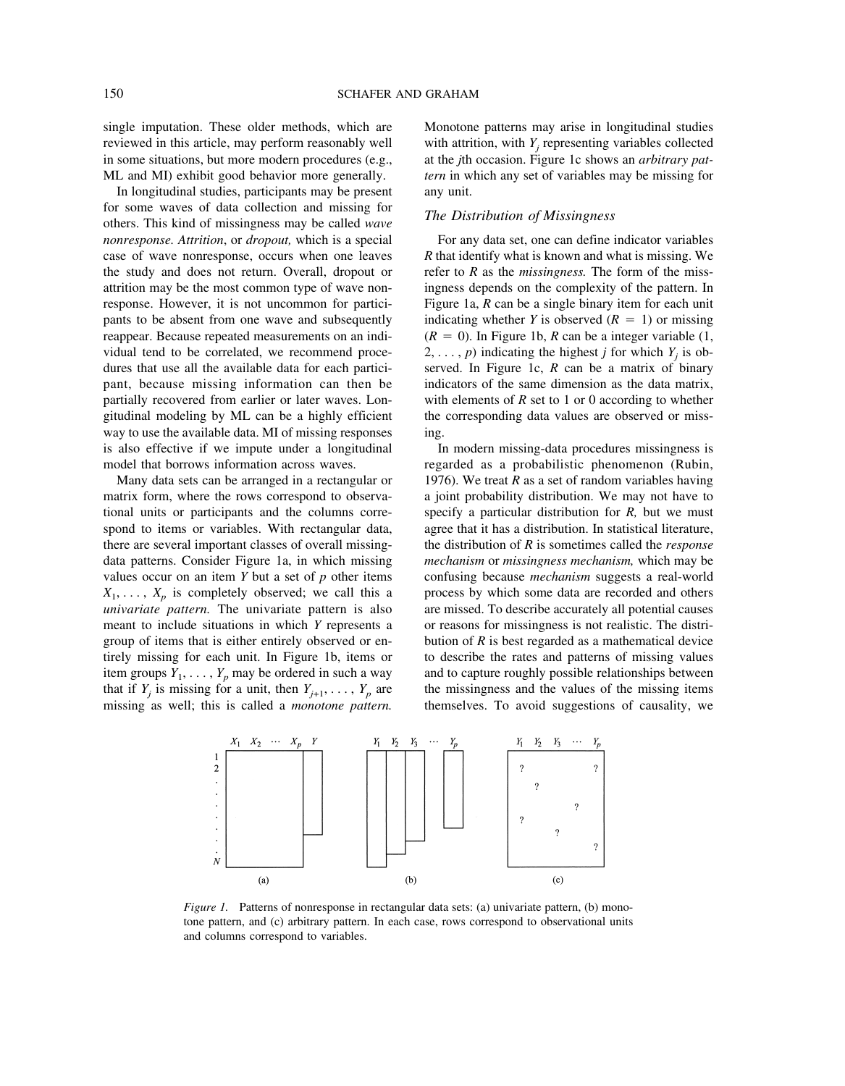single imputation. These older methods, which are reviewed in this article, may perform reasonably well in some situations, but more modern procedures (e.g., ML and MI) exhibit good behavior more generally.

In longitudinal studies, participants may be present for some waves of data collection and missing for others. This kind of missingness may be called *wave nonresponse. Attrition*, or *dropout,* which is a special case of wave nonresponse, occurs when one leaves the study and does not return. Overall, dropout or attrition may be the most common type of wave nonresponse. However, it is not uncommon for participants to be absent from one wave and subsequently reappear. Because repeated measurements on an individual tend to be correlated, we recommend procedures that use all the available data for each participant, because missing information can then be partially recovered from earlier or later waves. Longitudinal modeling by ML can be a highly efficient way to use the available data. MI of missing responses is also effective if we impute under a longitudinal model that borrows information across waves.

Many data sets can be arranged in a rectangular or matrix form, where the rows correspond to observational units or participants and the columns correspond to items or variables. With rectangular data, there are several important classes of overall missingdata patterns. Consider Figure 1a, in which missing values occur on an item *Y* but a set of *p* other items  $X_1, \ldots, X_p$  is completely observed; we call this a *univariate pattern.* The univariate pattern is also meant to include situations in which *Y* represents a group of items that is either entirely observed or entirely missing for each unit. In Figure 1b, items or item groups  $Y_1, \ldots, Y_p$  may be ordered in such a way that if  $Y_j$  is missing for a unit, then  $Y_{j+1}, \ldots, Y_p$  are missing as well; this is called a *monotone pattern.*

Monotone patterns may arise in longitudinal studies with attrition, with  $Y_i$  representing variables collected at the *j*th occasion. Figure 1c shows an *arbitrary pattern* in which any set of variables may be missing for any unit.

#### *The Distribution of Missingness*

For any data set, one can define indicator variables *R* that identify what is known and what is missing. We refer to *R* as the *missingness.* The form of the missingness depends on the complexity of the pattern. In Figure 1a, *R* can be a single binary item for each unit indicating whether *Y* is observed  $(R = 1)$  or missing  $(R = 0)$ . In Figure 1b, *R* can be a integer variable  $(1, 0)$ 2, ..., *p*) indicating the highest *j* for which  $Y_i$  is observed. In Figure 1c, *R* can be a matrix of binary indicators of the same dimension as the data matrix, with elements of  $R$  set to 1 or 0 according to whether the corresponding data values are observed or missing.

In modern missing-data procedures missingness is regarded as a probabilistic phenomenon (Rubin, 1976). We treat *R* as a set of random variables having a joint probability distribution. We may not have to specify a particular distribution for *R,* but we must agree that it has a distribution. In statistical literature, the distribution of *R* is sometimes called the *response mechanism* or *missingness mechanism,* which may be confusing because *mechanism* suggests a real-world process by which some data are recorded and others are missed. To describe accurately all potential causes or reasons for missingness is not realistic. The distribution of *R* is best regarded as a mathematical device to describe the rates and patterns of missing values and to capture roughly possible relationships between the missingness and the values of the missing items themselves. To avoid suggestions of causality, we



*Figure 1.* Patterns of nonresponse in rectangular data sets: (a) univariate pattern, (b) monotone pattern, and (c) arbitrary pattern. In each case, rows correspond to observational units and columns correspond to variables.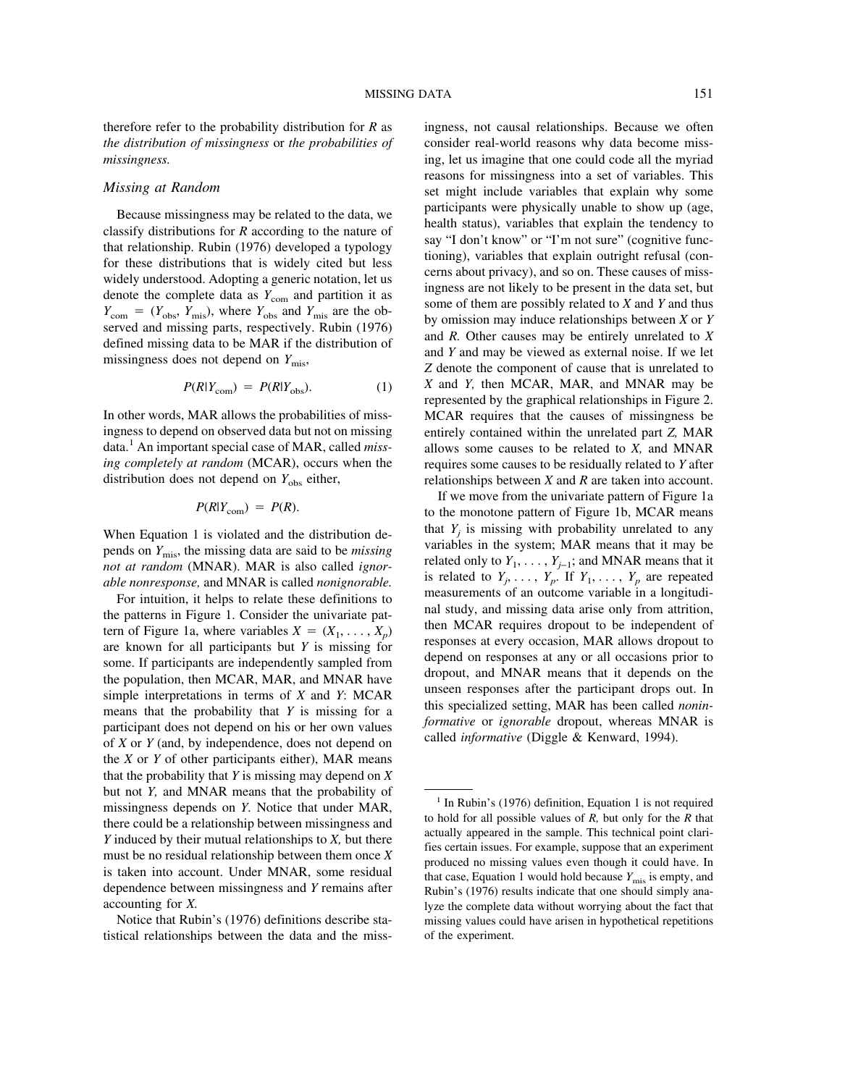therefore refer to the probability distribution for *R* as *the distribution of missingness* or *the probabilities of missingness.*

#### *Missing at Random*

Because missingness may be related to the data, we classify distributions for *R* according to the nature of that relationship. Rubin (1976) developed a typology for these distributions that is widely cited but less widely understood. Adopting a generic notation, let us denote the complete data as  $Y_{\text{com}}$  and partition it as  $Y_{\text{com}} = (Y_{\text{obs}}, Y_{\text{mis}})$ , where  $Y_{\text{obs}}$  and  $Y_{\text{mis}}$  are the observed and missing parts, respectively. Rubin (1976) defined missing data to be MAR if the distribution of missingness does not depend on *Y*<sub>mis</sub>,

$$
P(R|Y_{\text{com}}) = P(R|Y_{\text{obs}}). \tag{1}
$$

In other words, MAR allows the probabilities of missingness to depend on observed data but not on missing data.<sup>1</sup> An important special case of MAR, called *missing completely at random* (MCAR), occurs when the distribution does not depend on  $Y_{\text{obs}}$  either,

$$
P(R|Y_{\text{com}}) = P(R).
$$

When Equation 1 is violated and the distribution depends on *Y*mis, the missing data are said to be *missing not at random* (MNAR). MAR is also called *ignorable nonresponse,* and MNAR is called *nonignorable.*

For intuition, it helps to relate these definitions to the patterns in Figure 1. Consider the univariate pattern of Figure 1a, where variables  $X = (X_1, \ldots, X_p)$ are known for all participants but *Y* is missing for some. If participants are independently sampled from the population, then MCAR, MAR, and MNAR have simple interpretations in terms of *X* and *Y*: MCAR means that the probability that *Y* is missing for a participant does not depend on his or her own values of *X* or *Y* (and, by independence, does not depend on the *X* or *Y* of other participants either), MAR means that the probability that *Y* is missing may depend on *X* but not *Y,* and MNAR means that the probability of missingness depends on *Y.* Notice that under MAR, there could be a relationship between missingness and *Y* induced by their mutual relationships to *X,* but there must be no residual relationship between them once *X* is taken into account. Under MNAR, some residual dependence between missingness and *Y* remains after accounting for *X.*

Notice that Rubin's (1976) definitions describe statistical relationships between the data and the missingness, not causal relationships. Because we often consider real-world reasons why data become missing, let us imagine that one could code all the myriad reasons for missingness into a set of variables. This set might include variables that explain why some participants were physically unable to show up (age, health status), variables that explain the tendency to say "I don't know" or "I'm not sure" (cognitive functioning), variables that explain outright refusal (concerns about privacy), and so on. These causes of missingness are not likely to be present in the data set, but some of them are possibly related to *X* and *Y* and thus by omission may induce relationships between *X* or *Y* and *R.* Other causes may be entirely unrelated to *X* and *Y* and may be viewed as external noise. If we let *Z* denote the component of cause that is unrelated to *X* and *Y,* then MCAR, MAR, and MNAR may be represented by the graphical relationships in Figure 2. MCAR requires that the causes of missingness be entirely contained within the unrelated part *Z,* MAR allows some causes to be related to *X,* and MNAR requires some causes to be residually related to *Y* after relationships between *X* and *R* are taken into account.

If we move from the univariate pattern of Figure 1a to the monotone pattern of Figure 1b, MCAR means that  $Y_i$  is missing with probability unrelated to any variables in the system; MAR means that it may be related only to  $Y_1, \ldots, Y_{j-1}$ ; and MNAR means that it is related to  $Y_j, \ldots, Y_p$ . If  $Y_1, \ldots, Y_p$  are repeated measurements of an outcome variable in a longitudinal study, and missing data arise only from attrition, then MCAR requires dropout to be independent of responses at every occasion, MAR allows dropout to depend on responses at any or all occasions prior to dropout, and MNAR means that it depends on the unseen responses after the participant drops out. In this specialized setting, MAR has been called *noninformative* or *ignorable* dropout, whereas MNAR is called *informative* (Diggle & Kenward, 1994).

 $1$  In Rubin's (1976) definition, Equation 1 is not required to hold for all possible values of *R,* but only for the *R* that actually appeared in the sample. This technical point clarifies certain issues. For example, suppose that an experiment produced no missing values even though it could have. In that case, Equation 1 would hold because  $Y_{\text{mis}}$  is empty, and Rubin's (1976) results indicate that one should simply analyze the complete data without worrying about the fact that missing values could have arisen in hypothetical repetitions of the experiment.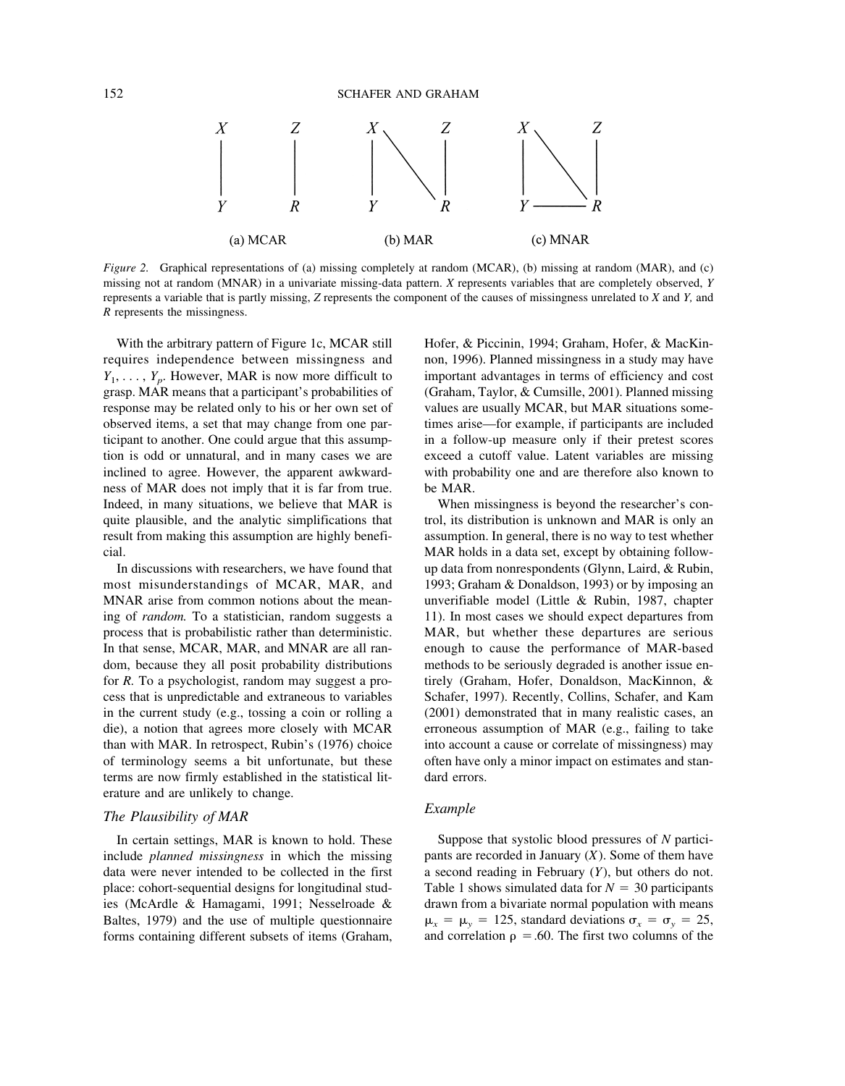

*Figure 2.* Graphical representations of (a) missing completely at random (MCAR), (b) missing at random (MAR), and (c) missing not at random (MNAR) in a univariate missing-data pattern. *X* represents variables that are completely observed, *Y* represents a variable that is partly missing, *Z* represents the component of the causes of missingness unrelated to *X* and *Y,* and *R* represents the missingness.

With the arbitrary pattern of Figure 1c, MCAR still requires independence between missingness and  $Y_1, \ldots, Y_p$ . However, MAR is now more difficult to grasp. MAR means that a participant's probabilities of response may be related only to his or her own set of observed items, a set that may change from one participant to another. One could argue that this assumption is odd or unnatural, and in many cases we are inclined to agree. However, the apparent awkwardness of MAR does not imply that it is far from true. Indeed, in many situations, we believe that MAR is quite plausible, and the analytic simplifications that result from making this assumption are highly beneficial.

In discussions with researchers, we have found that most misunderstandings of MCAR, MAR, and MNAR arise from common notions about the meaning of *random.* To a statistician, random suggests a process that is probabilistic rather than deterministic. In that sense, MCAR, MAR, and MNAR are all random, because they all posit probability distributions for *R.* To a psychologist, random may suggest a process that is unpredictable and extraneous to variables in the current study (e.g., tossing a coin or rolling a die), a notion that agrees more closely with MCAR than with MAR. In retrospect, Rubin's (1976) choice of terminology seems a bit unfortunate, but these terms are now firmly established in the statistical literature and are unlikely to change.

## *The Plausibility of MAR*

In certain settings, MAR is known to hold. These include *planned missingness* in which the missing data were never intended to be collected in the first place: cohort-sequential designs for longitudinal studies (McArdle & Hamagami, 1991; Nesselroade & Baltes, 1979) and the use of multiple questionnaire forms containing different subsets of items (Graham,

Hofer, & Piccinin, 1994; Graham, Hofer, & MacKinnon, 1996). Planned missingness in a study may have important advantages in terms of efficiency and cost (Graham, Taylor, & Cumsille, 2001). Planned missing values are usually MCAR, but MAR situations sometimes arise—for example, if participants are included in a follow-up measure only if their pretest scores exceed a cutoff value. Latent variables are missing with probability one and are therefore also known to be MAR.

When missingness is beyond the researcher's control, its distribution is unknown and MAR is only an assumption. In general, there is no way to test whether MAR holds in a data set, except by obtaining followup data from nonrespondents (Glynn, Laird, & Rubin, 1993; Graham & Donaldson, 1993) or by imposing an unverifiable model (Little & Rubin, 1987, chapter 11). In most cases we should expect departures from MAR, but whether these departures are serious enough to cause the performance of MAR-based methods to be seriously degraded is another issue entirely (Graham, Hofer, Donaldson, MacKinnon, & Schafer, 1997). Recently, Collins, Schafer, and Kam (2001) demonstrated that in many realistic cases, an erroneous assumption of MAR (e.g., failing to take into account a cause or correlate of missingness) may often have only a minor impact on estimates and standard errors.

## *Example*

Suppose that systolic blood pressures of *N* participants are recorded in January (*X*). Some of them have a second reading in February (*Y*), but others do not. Table 1 shows simulated data for  $N = 30$  participants drawn from a bivariate normal population with means  $\mu_x = \mu_y = 125$ , standard deviations  $\sigma_x = \sigma_y = 25$ , and correlation  $\rho = .60$ . The first two columns of the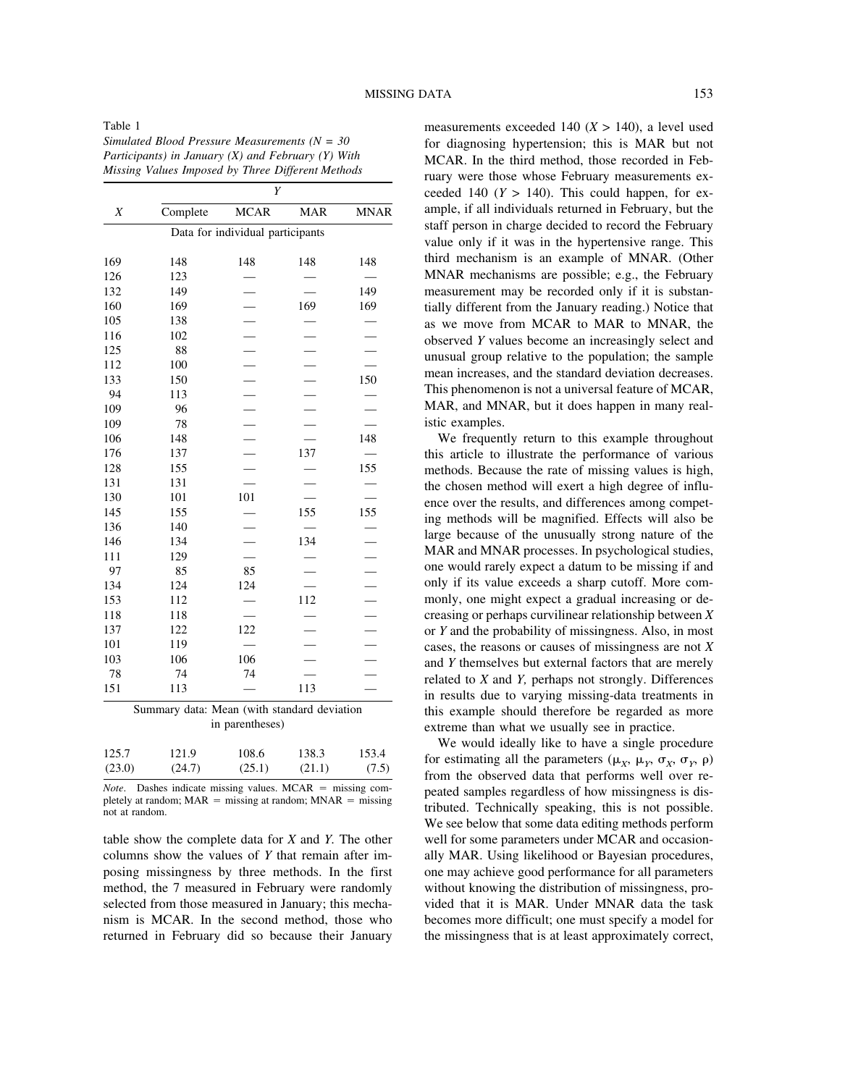istic examples.

Table 1

*Simulated Blood Pressure Measurements (N = 30 Participants) in January (X) and February (Y) With Missing Values Imposed by Three Different Methods*

|     |                                             | Y                                |            |             |
|-----|---------------------------------------------|----------------------------------|------------|-------------|
| X   | Complete                                    | <b>MCAR</b>                      | <b>MAR</b> | <b>MNAR</b> |
|     |                                             | Data for individual participants |            |             |
| 169 | 148                                         | 148                              | 148        | 148         |
| 126 | 123                                         |                                  |            |             |
| 132 | 149                                         |                                  |            | 149         |
| 160 | 169                                         |                                  | 169        | 169         |
| 105 | 138                                         |                                  |            |             |
| 116 | 102                                         |                                  |            |             |
| 125 | 88                                          |                                  |            |             |
| 112 | 100                                         |                                  |            |             |
| 133 | 150                                         |                                  |            | 150         |
| 94  | 113                                         |                                  |            |             |
| 109 | 96                                          |                                  |            |             |
| 109 | 78                                          |                                  |            |             |
| 106 | 148                                         |                                  |            | 148         |
| 176 | 137                                         |                                  | 137        |             |
| 128 | 155                                         |                                  |            | 155         |
| 131 | 131                                         |                                  |            |             |
| 130 | 101                                         | 101                              |            |             |
| 145 | 155                                         |                                  | 155        | 155         |
| 136 | 140                                         |                                  |            |             |
| 146 | 134                                         |                                  | 134        |             |
| 111 | 129                                         |                                  |            |             |
| 97  | 85                                          | 85                               |            |             |
| 134 | 124                                         | 124                              |            |             |
| 153 | 112                                         |                                  | 112        |             |
| 118 | 118                                         |                                  |            |             |
| 137 | 122                                         | 122                              |            |             |
| 101 | 119                                         |                                  |            |             |
| 103 | 106                                         | 106                              |            |             |
| 78  | 74                                          | 74                               |            |             |
| 151 | 113                                         |                                  | 113        |             |
|     | Summary data: Mean (with standard deviation |                                  |            |             |
|     |                                             | in parentheses)                  |            |             |

| 125.7  | 121.9  | 108.6  | 138.3  | 153.4 |
|--------|--------|--------|--------|-------|
| (23.0) | (24.7) | (25.1) | (21.1) | (7.5) |

*Note*. Dashes indicate missing values.  $MCAR =$  missing completely at random;  $MAR$  = missing at random;  $MNAR$  = missing not at random.

table show the complete data for *X* and *Y.* The other columns show the values of *Y* that remain after imposing missingness by three methods. In the first method, the 7 measured in February were randomly selected from those measured in January; this mechanism is MCAR. In the second method, those who returned in February did so because their January

measurements exceeded 140  $(X > 140)$ , a level used for diagnosing hypertension; this is MAR but not MCAR. In the third method, those recorded in February were those whose February measurements exceeded 140  $(Y > 140)$ . This could happen, for example, if all individuals returned in February, but the staff person in charge decided to record the February value only if it was in the hypertensive range. This third mechanism is an example of MNAR. (Other MNAR mechanisms are possible; e.g., the February measurement may be recorded only if it is substantially different from the January reading.) Notice that as we move from MCAR to MAR to MNAR, the observed *Y* values become an increasingly select and unusual group relative to the population; the sample mean increases, and the standard deviation decreases. This phenomenon is not a universal feature of MCAR, MAR, and MNAR, but it does happen in many real-

We frequently return to this example throughout this article to illustrate the performance of various methods. Because the rate of missing values is high, the chosen method will exert a high degree of influence over the results, and differences among competing methods will be magnified. Effects will also be large because of the unusually strong nature of the MAR and MNAR processes. In psychological studies, one would rarely expect a datum to be missing if and only if its value exceeds a sharp cutoff. More commonly, one might expect a gradual increasing or decreasing or perhaps curvilinear relationship between *X* or *Y* and the probability of missingness. Also, in most cases, the reasons or causes of missingness are not *X* and *Y* themselves but external factors that are merely related to *X* and *Y,* perhaps not strongly. Differences in results due to varying missing-data treatments in this example should therefore be regarded as more extreme than what we usually see in practice.

We would ideally like to have a single procedure for estimating all the parameters ( $\mu_X$ ,  $\mu_Y$ ,  $\sigma_X$ ,  $\sigma_Y$ ,  $\rho$ ) from the observed data that performs well over repeated samples regardless of how missingness is distributed. Technically speaking, this is not possible. We see below that some data editing methods perform well for some parameters under MCAR and occasionally MAR. Using likelihood or Bayesian procedures, one may achieve good performance for all parameters without knowing the distribution of missingness, provided that it is MAR. Under MNAR data the task becomes more difficult; one must specify a model for the missingness that is at least approximately correct,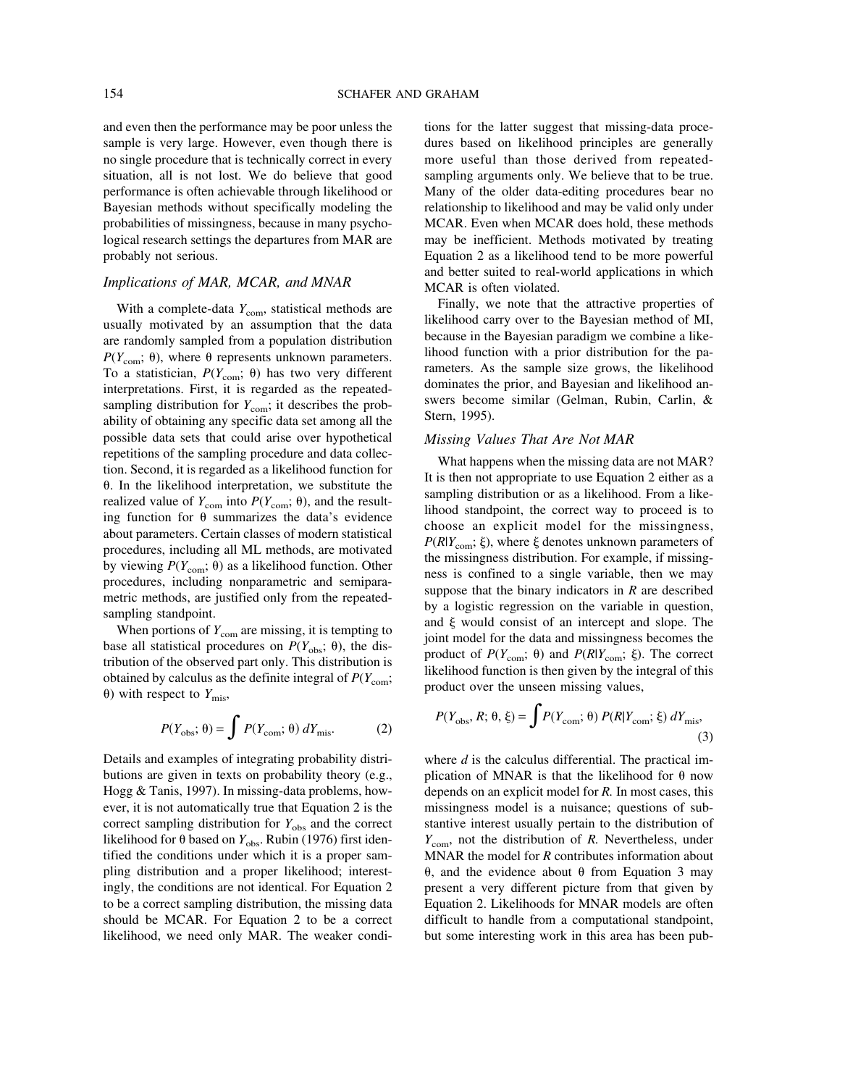and even then the performance may be poor unless the sample is very large. However, even though there is no single procedure that is technically correct in every situation, all is not lost. We do believe that good performance is often achievable through likelihood or Bayesian methods without specifically modeling the probabilities of missingness, because in many psychological research settings the departures from MAR are probably not serious.

## *Implications of MAR, MCAR, and MNAR*

With a complete-data  $Y_{\text{com}}$ , statistical methods are usually motivated by an assumption that the data are randomly sampled from a population distribution  $P(Y_{\text{com}}; \theta)$ , where  $\theta$  represents unknown parameters. To a statistician,  $P(Y_{com}; \theta)$  has two very different interpretations. First, it is regarded as the repeatedsampling distribution for  $Y_{\text{com}}$ ; it describes the probability of obtaining any specific data set among all the possible data sets that could arise over hypothetical repetitions of the sampling procedure and data collection. Second, it is regarded as a likelihood function for  $\theta$ . In the likelihood interpretation, we substitute the realized value of  $Y_{\text{com}}$  into  $P(Y_{\text{com}}; \theta)$ , and the resulting function for  $\theta$  summarizes the data's evidence about parameters. Certain classes of modern statistical procedures, including all ML methods, are motivated by viewing  $P(Y_{com}; \theta)$  as a likelihood function. Other procedures, including nonparametric and semiparametric methods, are justified only from the repeatedsampling standpoint.

When portions of  $Y_{\text{com}}$  are missing, it is tempting to base all statistical procedures on  $P(Y_{\text{obs}}; \theta)$ , the distribution of the observed part only. This distribution is obtained by calculus as the definite integral of  $P(Y_{\text{com}};$  $\theta$ ) with respect to  $Y_{\text{mis}}$ ,

$$
P(Y_{\text{obs}}; \theta) = \int P(Y_{\text{com}}; \theta) \, dY_{\text{mis}}.\tag{2}
$$

Details and examples of integrating probability distributions are given in texts on probability theory (e.g., Hogg & Tanis, 1997). In missing-data problems, however, it is not automatically true that Equation 2 is the correct sampling distribution for  $Y_{\text{obs}}$  and the correct likelihood for  $\theta$  based on  $Y_{\text{obs}}$ . Rubin (1976) first identified the conditions under which it is a proper sampling distribution and a proper likelihood; interestingly, the conditions are not identical. For Equation 2 to be a correct sampling distribution, the missing data should be MCAR. For Equation 2 to be a correct likelihood, we need only MAR. The weaker conditions for the latter suggest that missing-data procedures based on likelihood principles are generally more useful than those derived from repeatedsampling arguments only. We believe that to be true. Many of the older data-editing procedures bear no relationship to likelihood and may be valid only under MCAR. Even when MCAR does hold, these methods may be inefficient. Methods motivated by treating Equation 2 as a likelihood tend to be more powerful and better suited to real-world applications in which MCAR is often violated.

Finally, we note that the attractive properties of likelihood carry over to the Bayesian method of MI, because in the Bayesian paradigm we combine a likelihood function with a prior distribution for the parameters. As the sample size grows, the likelihood dominates the prior, and Bayesian and likelihood answers become similar (Gelman, Rubin, Carlin, & Stern, 1995).

### *Missing Values That Are Not MAR*

What happens when the missing data are not MAR? It is then not appropriate to use Equation 2 either as a sampling distribution or as a likelihood. From a likelihood standpoint, the correct way to proceed is to choose an explicit model for the missingness,  $P(R|Y_{\text{com}}; \xi)$ , where  $\xi$  denotes unknown parameters of the missingness distribution. For example, if missingness is confined to a single variable, then we may suppose that the binary indicators in *R* are described by a logistic regression on the variable in question, and  $\xi$  would consist of an intercept and slope. The joint model for the data and missingness becomes the product of  $P(Y_{com}; \theta)$  and  $P(R|Y_{com}; \xi)$ . The correct likelihood function is then given by the integral of this product over the unseen missing values,

$$
P(Y_{\text{obs}}, R; \theta, \xi) = \int P(Y_{\text{com}}; \theta) P(R|Y_{\text{com}}; \xi) dY_{\text{mis}},
$$
\n(3)

where *d* is the calculus differential. The practical implication of MNAR is that the likelihood for  $\theta$  now depends on an explicit model for *R.* In most cases, this missingness model is a nuisance; questions of substantive interest usually pertain to the distribution of  $Y_{\text{com}}$ , not the distribution of *R*. Nevertheless, under MNAR the model for *R* contributes information about  $\theta$ , and the evidence about  $\theta$  from Equation 3 may present a very different picture from that given by Equation 2. Likelihoods for MNAR models are often difficult to handle from a computational standpoint, but some interesting work in this area has been pub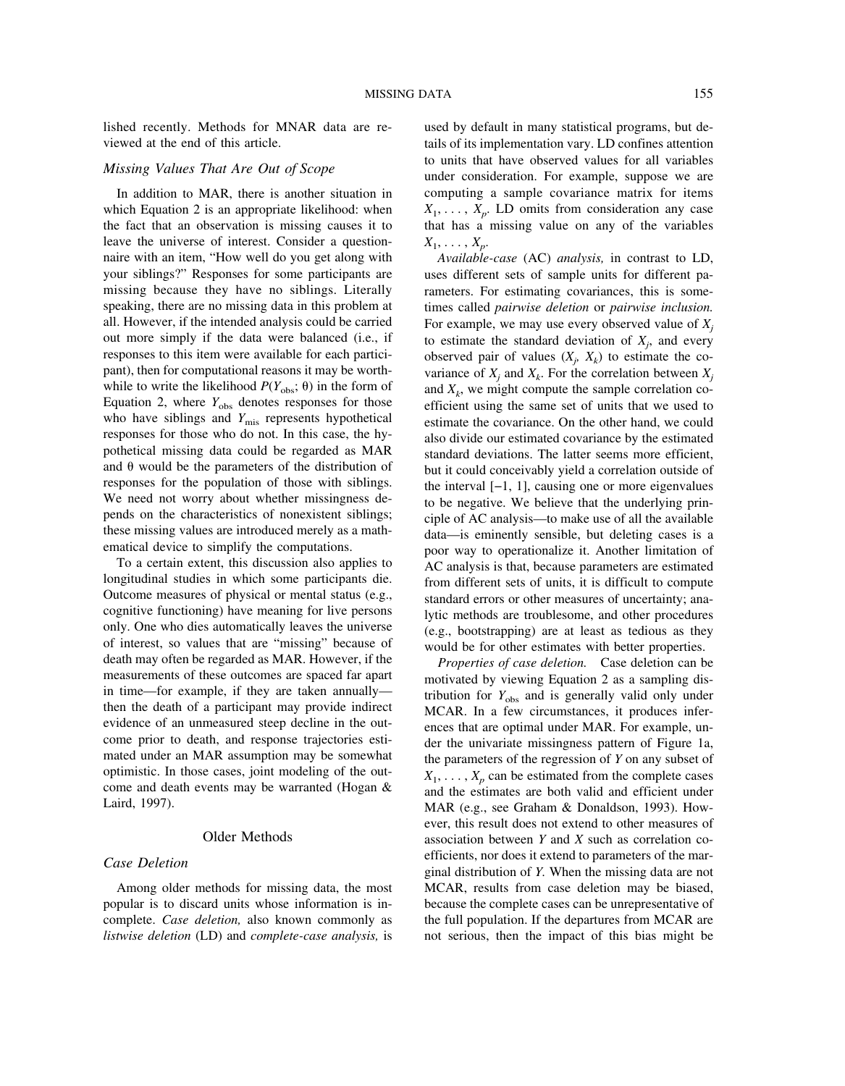lished recently. Methods for MNAR data are reviewed at the end of this article.

## *Missing Values That Are Out of Scope*

In addition to MAR, there is another situation in which Equation 2 is an appropriate likelihood: when the fact that an observation is missing causes it to leave the universe of interest. Consider a questionnaire with an item, "How well do you get along with your siblings?" Responses for some participants are missing because they have no siblings. Literally speaking, there are no missing data in this problem at all. However, if the intended analysis could be carried out more simply if the data were balanced (i.e., if responses to this item were available for each participant), then for computational reasons it may be worthwhile to write the likelihood  $P(Y_{obs}; \theta)$  in the form of Equation 2, where  $Y_{obs}$  denotes responses for those who have siblings and  $Y_{\text{mis}}$  represents hypothetical responses for those who do not. In this case, the hypothetical missing data could be regarded as MAR and  $\theta$  would be the parameters of the distribution of responses for the population of those with siblings. We need not worry about whether missingness depends on the characteristics of nonexistent siblings; these missing values are introduced merely as a mathematical device to simplify the computations.

To a certain extent, this discussion also applies to longitudinal studies in which some participants die. Outcome measures of physical or mental status (e.g., cognitive functioning) have meaning for live persons only. One who dies automatically leaves the universe of interest, so values that are "missing" because of death may often be regarded as MAR. However, if the measurements of these outcomes are spaced far apart in time—for example, if they are taken annually then the death of a participant may provide indirect evidence of an unmeasured steep decline in the outcome prior to death, and response trajectories estimated under an MAR assumption may be somewhat optimistic. In those cases, joint modeling of the outcome and death events may be warranted (Hogan & Laird, 1997).

## Older Methods

#### *Case Deletion*

Among older methods for missing data, the most popular is to discard units whose information is incomplete. *Case deletion,* also known commonly as *listwise deletion* (LD) and *complete-case analysis,* is

used by default in many statistical programs, but details of its implementation vary. LD confines attention to units that have observed values for all variables under consideration. For example, suppose we are computing a sample covariance matrix for items  $X_1, \ldots, X_n$ . LD omits from consideration any case that has a missing value on any of the variables  $X_1, \ldots, X_p$ .

*Available-case* (AC) *analysis,* in contrast to LD, uses different sets of sample units for different parameters. For estimating covariances, this is sometimes called *pairwise deletion* or *pairwise inclusion.* For example, we may use every observed value of  $X_i$ to estimate the standard deviation of  $X_j$ , and every observed pair of values  $(X_j, X_k)$  to estimate the covariance of  $X_i$  and  $X_k$ . For the correlation between  $X_i$ and  $X_k$ , we might compute the sample correlation coefficient using the same set of units that we used to estimate the covariance. On the other hand, we could also divide our estimated covariance by the estimated standard deviations. The latter seems more efficient, but it could conceivably yield a correlation outside of the interval [−1, 1], causing one or more eigenvalues to be negative. We believe that the underlying principle of AC analysis—to make use of all the available data—is eminently sensible, but deleting cases is a poor way to operationalize it. Another limitation of AC analysis is that, because parameters are estimated from different sets of units, it is difficult to compute standard errors or other measures of uncertainty; analytic methods are troublesome, and other procedures (e.g., bootstrapping) are at least as tedious as they would be for other estimates with better properties.

*Properties of case deletion.* Case deletion can be motivated by viewing Equation 2 as a sampling distribution for  $Y_{obs}$  and is generally valid only under MCAR. In a few circumstances, it produces inferences that are optimal under MAR. For example, under the univariate missingness pattern of Figure 1a, the parameters of the regression of *Y* on any subset of  $X_1, \ldots, X_n$  can be estimated from the complete cases and the estimates are both valid and efficient under MAR (e.g., see Graham & Donaldson, 1993). However, this result does not extend to other measures of association between *Y* and *X* such as correlation coefficients, nor does it extend to parameters of the marginal distribution of *Y.* When the missing data are not MCAR, results from case deletion may be biased, because the complete cases can be unrepresentative of the full population. If the departures from MCAR are not serious, then the impact of this bias might be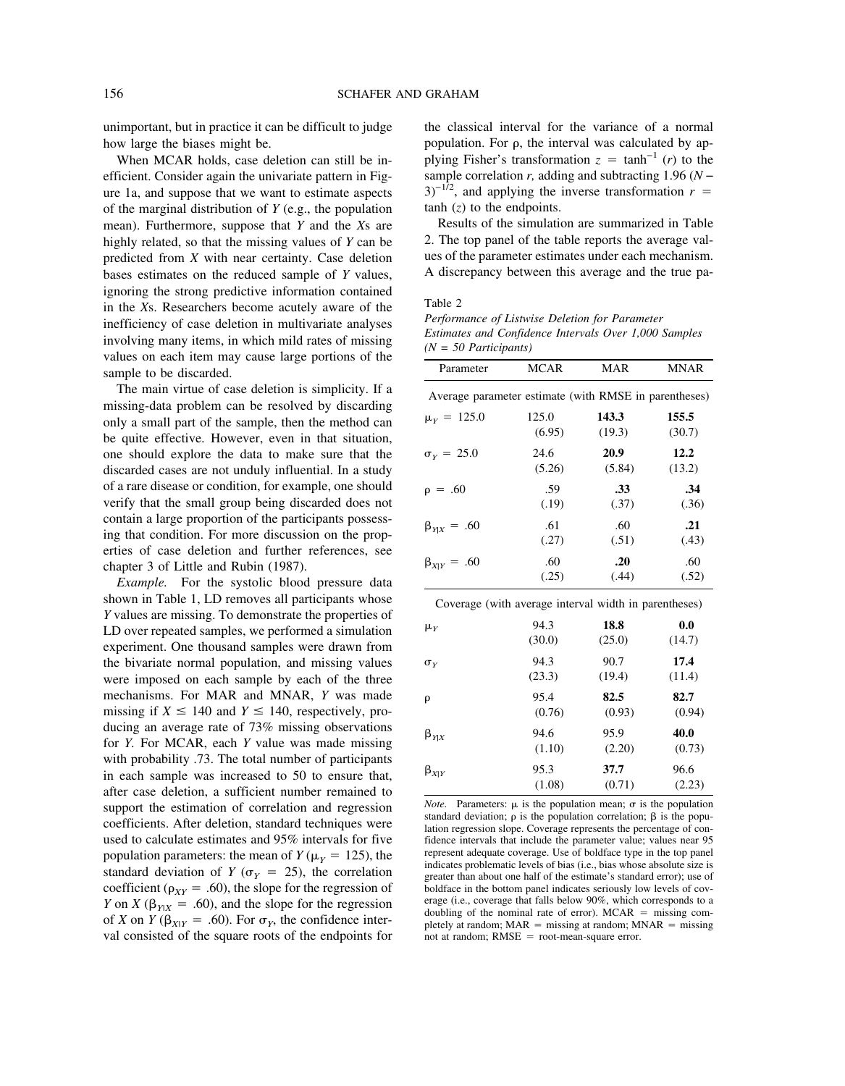unimportant, but in practice it can be difficult to judge how large the biases might be.

When MCAR holds, case deletion can still be inefficient. Consider again the univariate pattern in Figure 1a, and suppose that we want to estimate aspects of the marginal distribution of *Y* (e.g., the population mean). Furthermore, suppose that *Y* and the *X*s are highly related, so that the missing values of *Y* can be predicted from *X* with near certainty. Case deletion bases estimates on the reduced sample of *Y* values, ignoring the strong predictive information contained in the *X*s. Researchers become acutely aware of the inefficiency of case deletion in multivariate analyses involving many items, in which mild rates of missing values on each item may cause large portions of the sample to be discarded.

The main virtue of case deletion is simplicity. If a missing-data problem can be resolved by discarding only a small part of the sample, then the method can be quite effective. However, even in that situation, one should explore the data to make sure that the discarded cases are not unduly influential. In a study of a rare disease or condition, for example, one should verify that the small group being discarded does not contain a large proportion of the participants possessing that condition. For more discussion on the properties of case deletion and further references, see chapter 3 of Little and Rubin (1987).

*Example.* For the systolic blood pressure data shown in Table 1, LD removes all participants whose *Y* values are missing. To demonstrate the properties of LD over repeated samples, we performed a simulation experiment. One thousand samples were drawn from the bivariate normal population, and missing values were imposed on each sample by each of the three mechanisms. For MAR and MNAR, *Y* was made missing if  $X \le 140$  and  $Y \le 140$ , respectively, producing an average rate of 73% missing observations for *Y.* For MCAR, each *Y* value was made missing with probability .73. The total number of participants in each sample was increased to 50 to ensure that, after case deletion, a sufficient number remained to support the estimation of correlation and regression coefficients. After deletion, standard techniques were used to calculate estimates and 95% intervals for five population parameters: the mean of  $Y(\mu_Y = 125)$ , the standard deviation of *Y* ( $\sigma_Y$  = 25), the correlation coefficient ( $\rho_{XY} = .60$ ), the slope for the regression of *Y* on *X* ( $\beta_{Y|X}$  = .60), and the slope for the regression of *X* on *Y* ( $\beta_{X|Y} = .60$ ). For  $\sigma_Y$ , the confidence interval consisted of the square roots of the endpoints for

the classical interval for the variance of a normal population. For  $\rho$ , the interval was calculated by applying Fisher's transformation  $z = \tanh^{-1}(r)$  to the sample correlation *r,* adding and subtracting 1.96 (*N* −  $3)^{-1/2}$ , and applying the inverse transformation  $r =$  $tanh(z)$  to the endpoints.

Results of the simulation are summarized in Table 2. The top panel of the table reports the average values of the parameter estimates under each mechanism. A discrepancy between this average and the true pa-

## Table 2

*Performance of Listwise Deletion for Parameter Estimates and Confidence Intervals Over 1,000 Samples (N = 50 Participants)*

| Parameter                                             | <b>MCAR</b> | <b>MAR</b> | <b>MNAR</b> |
|-------------------------------------------------------|-------------|------------|-------------|
| Average parameter estimate (with RMSE in parentheses) |             |            |             |
| $\mu_Y = 125.0$                                       | 125.0       | 143.3      | 155.5       |
|                                                       | (6.95)      | (19.3)     | (30.7)      |
| $\sigma_{Y} = 25.0$                                   | 24.6        | 20.9       | 12.2        |
|                                                       | (5.26)      | (5.84)     | (13.2)      |
| $\rho = .60$                                          | .59         | .33        | .34         |
|                                                       | (.19)       | (.37)      | (.36)       |
| $\beta_{Y X} = .60$                                   | .61         | .60        | .21         |
|                                                       | (.27)       | (.51)      | (.43)       |
| $\beta_{X Y} = .60$                                   | .60         | .20        | .60         |
|                                                       | (.25)       | (.44)      | (.52)       |

|                  | Coverage (with average interval width in parentheses) |        |        |
|------------------|-------------------------------------------------------|--------|--------|
| $\mu_V$          | 94.3                                                  | 18.8   | 0.0    |
|                  | (30.0)                                                | (25.0) | (14.7) |
| $\sigma_{\rm v}$ | 94.3                                                  | 90.7   | 17.4   |
|                  | (23.3)                                                | (19.4) | (11.4) |
| ρ                | 95.4                                                  | 82.5   | 82.7   |
|                  | (0.76)                                                | (0.93) | (0.94) |
| $\beta_{Y X}$    | 94.6                                                  | 95.9   | 40.0   |
|                  | (1.10)                                                | (2.20) | (0.73) |
| $\beta_{X Y}$    | 95.3                                                  | 37.7   | 96.6   |
|                  | (1.08)                                                | (0.71) | (2.23) |

*Note.* Parameters:  $\mu$  is the population mean;  $\sigma$  is the population standard deviation;  $\rho$  is the population correlation;  $\beta$  is the population regression slope. Coverage represents the percentage of confidence intervals that include the parameter value; values near 95 represent adequate coverage. Use of boldface type in the top panel indicates problematic levels of bias (i.e., bias whose absolute size is greater than about one half of the estimate's standard error); use of boldface in the bottom panel indicates seriously low levels of coverage (i.e., coverage that falls below 90%, which corresponds to a doubling of the nominal rate of error).  $MCAR =$  missing completely at random;  $MAR$  = missing at random;  $MNAR$  = missing not at random;  $RMSE = root-mean-square error$ .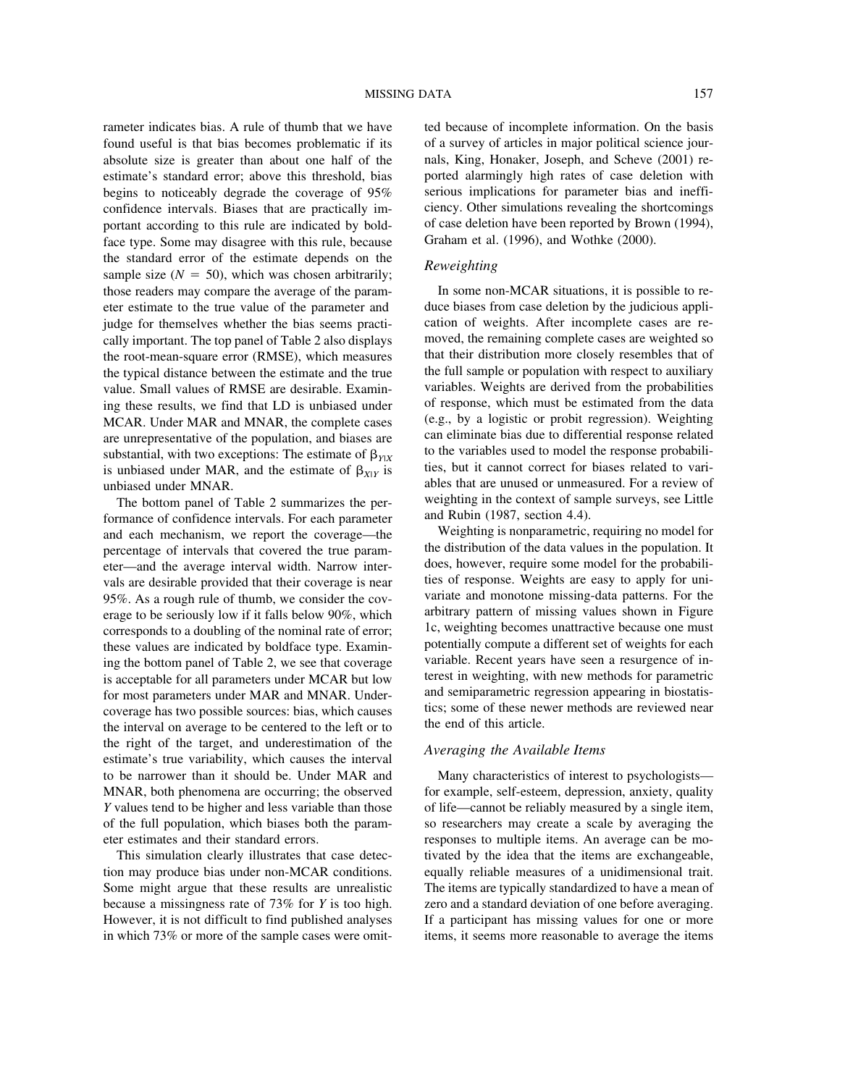rameter indicates bias. A rule of thumb that we have found useful is that bias becomes problematic if its absolute size is greater than about one half of the estimate's standard error; above this threshold, bias begins to noticeably degrade the coverage of 95% confidence intervals. Biases that are practically important according to this rule are indicated by boldface type. Some may disagree with this rule, because the standard error of the estimate depends on the sample size  $(N = 50)$ , which was chosen arbitrarily; those readers may compare the average of the parameter estimate to the true value of the parameter and judge for themselves whether the bias seems practically important. The top panel of Table 2 also displays the root-mean-square error (RMSE), which measures the typical distance between the estimate and the true value. Small values of RMSE are desirable. Examining these results, we find that LD is unbiased under MCAR. Under MAR and MNAR, the complete cases are unrepresentative of the population, and biases are substantial, with two exceptions: The estimate of  $\beta_{Y|X}$ is unbiased under MAR, and the estimate of  $\beta_{X|Y}$  is unbiased under MNAR.

The bottom panel of Table 2 summarizes the performance of confidence intervals. For each parameter and each mechanism, we report the coverage—the percentage of intervals that covered the true parameter—and the average interval width. Narrow intervals are desirable provided that their coverage is near 95%. As a rough rule of thumb, we consider the coverage to be seriously low if it falls below 90%, which corresponds to a doubling of the nominal rate of error; these values are indicated by boldface type. Examining the bottom panel of Table 2, we see that coverage is acceptable for all parameters under MCAR but low for most parameters under MAR and MNAR. Undercoverage has two possible sources: bias, which causes the interval on average to be centered to the left or to the right of the target, and underestimation of the estimate's true variability, which causes the interval to be narrower than it should be. Under MAR and MNAR, both phenomena are occurring; the observed *Y* values tend to be higher and less variable than those of the full population, which biases both the parameter estimates and their standard errors.

This simulation clearly illustrates that case detection may produce bias under non-MCAR conditions. Some might argue that these results are unrealistic because a missingness rate of 73% for *Y* is too high. However, it is not difficult to find published analyses in which 73% or more of the sample cases were omitted because of incomplete information. On the basis of a survey of articles in major political science journals, King, Honaker, Joseph, and Scheve (2001) reported alarmingly high rates of case deletion with serious implications for parameter bias and inefficiency. Other simulations revealing the shortcomings of case deletion have been reported by Brown (1994), Graham et al. (1996), and Wothke (2000).

#### *Reweighting*

In some non-MCAR situations, it is possible to reduce biases from case deletion by the judicious application of weights. After incomplete cases are removed, the remaining complete cases are weighted so that their distribution more closely resembles that of the full sample or population with respect to auxiliary variables. Weights are derived from the probabilities of response, which must be estimated from the data (e.g., by a logistic or probit regression). Weighting can eliminate bias due to differential response related to the variables used to model the response probabilities, but it cannot correct for biases related to variables that are unused or unmeasured. For a review of weighting in the context of sample surveys, see Little and Rubin (1987, section 4.4).

Weighting is nonparametric, requiring no model for the distribution of the data values in the population. It does, however, require some model for the probabilities of response. Weights are easy to apply for univariate and monotone missing-data patterns. For the arbitrary pattern of missing values shown in Figure 1c, weighting becomes unattractive because one must potentially compute a different set of weights for each variable. Recent years have seen a resurgence of interest in weighting, with new methods for parametric and semiparametric regression appearing in biostatistics; some of these newer methods are reviewed near the end of this article.

#### *Averaging the Available Items*

Many characteristics of interest to psychologists for example, self-esteem, depression, anxiety, quality of life—cannot be reliably measured by a single item, so researchers may create a scale by averaging the responses to multiple items. An average can be motivated by the idea that the items are exchangeable, equally reliable measures of a unidimensional trait. The items are typically standardized to have a mean of zero and a standard deviation of one before averaging. If a participant has missing values for one or more items, it seems more reasonable to average the items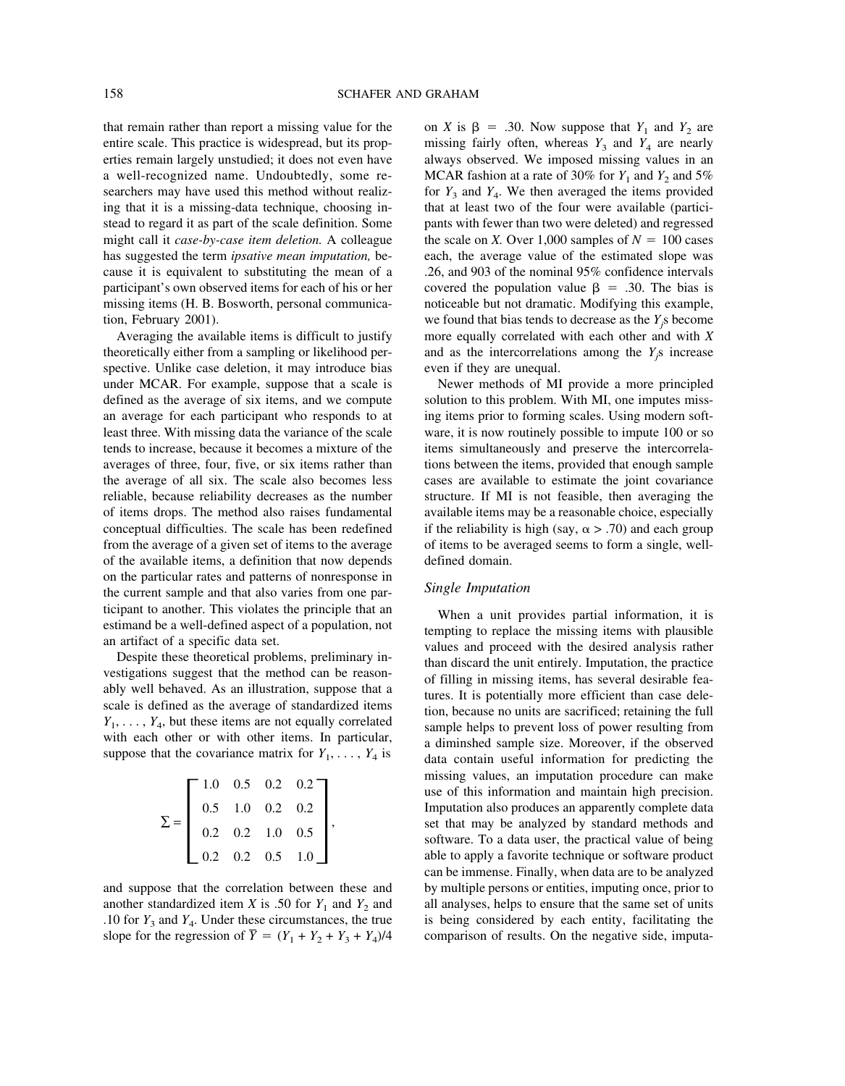that remain rather than report a missing value for the entire scale. This practice is widespread, but its properties remain largely unstudied; it does not even have a well-recognized name. Undoubtedly, some researchers may have used this method without realizing that it is a missing-data technique, choosing instead to regard it as part of the scale definition. Some might call it *case-by-case item deletion.* A colleague has suggested the term *ipsative mean imputation,* because it is equivalent to substituting the mean of a participant's own observed items for each of his or her missing items (H. B. Bosworth, personal communication, February 2001).

Averaging the available items is difficult to justify theoretically either from a sampling or likelihood perspective. Unlike case deletion, it may introduce bias under MCAR. For example, suppose that a scale is defined as the average of six items, and we compute an average for each participant who responds to at least three. With missing data the variance of the scale tends to increase, because it becomes a mixture of the averages of three, four, five, or six items rather than the average of all six. The scale also becomes less reliable, because reliability decreases as the number of items drops. The method also raises fundamental conceptual difficulties. The scale has been redefined from the average of a given set of items to the average of the available items, a definition that now depends on the particular rates and patterns of nonresponse in the current sample and that also varies from one participant to another. This violates the principle that an estimand be a well-defined aspect of a population, not an artifact of a specific data set.

Despite these theoretical problems, preliminary investigations suggest that the method can be reasonably well behaved. As an illustration, suppose that a scale is defined as the average of standardized items  $Y_1, \ldots, Y_4$ , but these items are not equally correlated with each other or with other items. In particular, suppose that the covariance matrix for  $Y_1, \ldots, Y_4$  is

$$
\Sigma = \begin{bmatrix} 1.0 & 0.5 & 0.2 & 0.2 \\ 0.5 & 1.0 & 0.2 & 0.2 \\ 0.2 & 0.2 & 1.0 & 0.5 \\ 0.2 & 0.2 & 0.5 & 1.0 \end{bmatrix},
$$

and suppose that the correlation between these and another standardized item *X* is .50 for  $Y_1$  and  $Y_2$  and .10 for  $Y_3$  and  $Y_4$ . Under these circumstances, the true slope for the regression of  $\overline{Y} = (Y_1 + Y_2 + Y_3 + Y_4)/4$ 

on *X* is  $\beta$  = .30. Now suppose that  $Y_1$  and  $Y_2$  are missing fairly often, whereas  $Y_3$  and  $Y_4$  are nearly always observed. We imposed missing values in an MCAR fashion at a rate of 30% for  $Y_1$  and  $Y_2$  and 5% for  $Y_3$  and  $Y_4$ . We then averaged the items provided that at least two of the four were available (participants with fewer than two were deleted) and regressed the scale on *X*. Over 1,000 samples of  $N = 100$  cases each, the average value of the estimated slope was .26, and 903 of the nominal 95% confidence intervals covered the population value  $\beta = .30$ . The bias is noticeable but not dramatic. Modifying this example, we found that bias tends to decrease as the *Yj* s become more equally correlated with each other and with *X* and as the intercorrelations among the  $Y_j$ s increase even if they are unequal.

Newer methods of MI provide a more principled solution to this problem. With MI, one imputes missing items prior to forming scales. Using modern software, it is now routinely possible to impute 100 or so items simultaneously and preserve the intercorrelations between the items, provided that enough sample cases are available to estimate the joint covariance structure. If MI is not feasible, then averaging the available items may be a reasonable choice, especially if the reliability is high (say,  $\alpha$  > .70) and each group of items to be averaged seems to form a single, welldefined domain.

## *Single Imputation*

When a unit provides partial information, it is tempting to replace the missing items with plausible values and proceed with the desired analysis rather than discard the unit entirely. Imputation, the practice of filling in missing items, has several desirable features. It is potentially more efficient than case deletion, because no units are sacrificed; retaining the full sample helps to prevent loss of power resulting from a diminshed sample size. Moreover, if the observed data contain useful information for predicting the missing values, an imputation procedure can make use of this information and maintain high precision. Imputation also produces an apparently complete data set that may be analyzed by standard methods and software. To a data user, the practical value of being able to apply a favorite technique or software product can be immense. Finally, when data are to be analyzed by multiple persons or entities, imputing once, prior to all analyses, helps to ensure that the same set of units is being considered by each entity, facilitating the comparison of results. On the negative side, imputa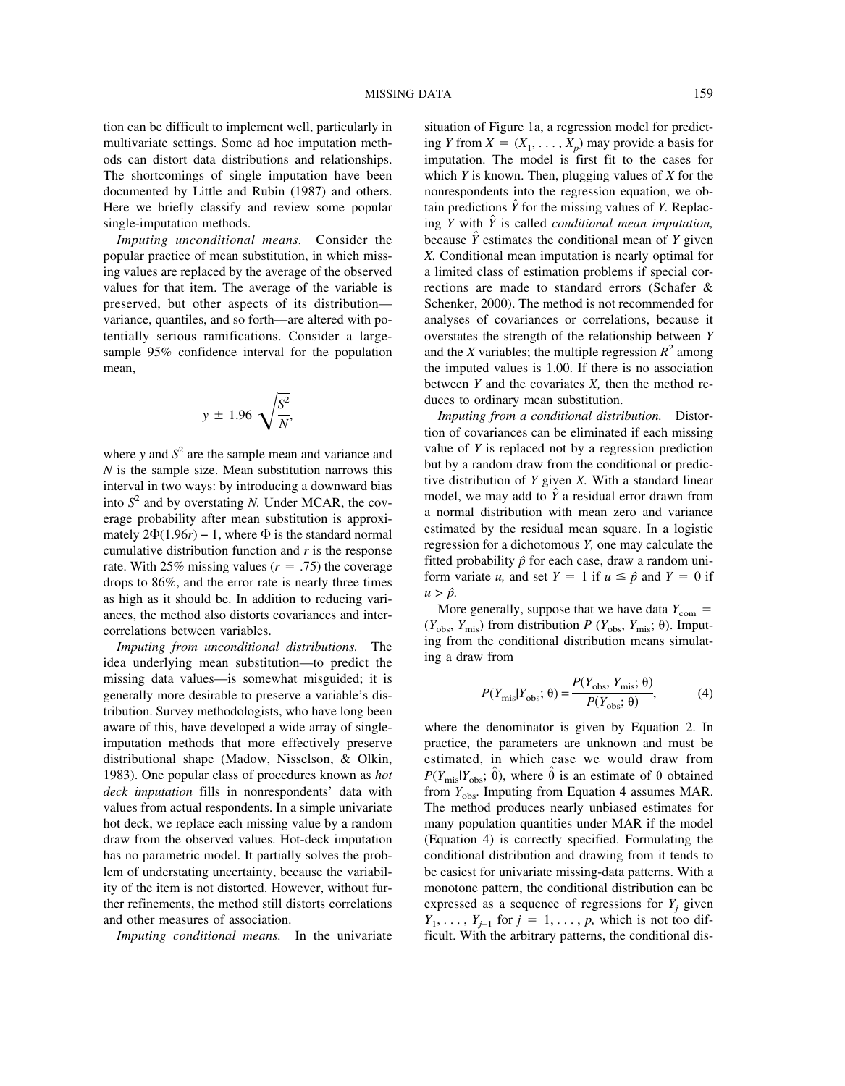tion can be difficult to implement well, particularly in multivariate settings. Some ad hoc imputation methods can distort data distributions and relationships. The shortcomings of single imputation have been documented by Little and Rubin (1987) and others. Here we briefly classify and review some popular single-imputation methods.

*Imputing unconditional means.* Consider the popular practice of mean substitution, in which missing values are replaced by the average of the observed values for that item. The average of the variable is preserved, but other aspects of its distribution variance, quantiles, and so forth—are altered with potentially serious ramifications. Consider a largesample 95% confidence interval for the population mean,

$$
\bar{y} \pm 1.96 \sqrt{\frac{S^2}{N'}}
$$

where  $\bar{y}$  and  $S^2$  are the sample mean and variance and *N* is the sample size. Mean substitution narrows this interval in two ways: by introducing a downward bias into  $S<sup>2</sup>$  and by overstating *N*. Under MCAR, the coverage probability after mean substitution is approximately  $2\Phi(1.96r) - 1$ , where  $\Phi$  is the standard normal cumulative distribution function and *r* is the response rate. With 25% missing values  $(r = .75)$  the coverage drops to 86%, and the error rate is nearly three times as high as it should be. In addition to reducing variances, the method also distorts covariances and intercorrelations between variables.

*Imputing from unconditional distributions.* The idea underlying mean substitution—to predict the missing data values—is somewhat misguided; it is generally more desirable to preserve a variable's distribution. Survey methodologists, who have long been aware of this, have developed a wide array of singleimputation methods that more effectively preserve distributional shape (Madow, Nisselson, & Olkin, 1983). One popular class of procedures known as *hot deck imputation* fills in nonrespondents' data with values from actual respondents. In a simple univariate hot deck, we replace each missing value by a random draw from the observed values. Hot-deck imputation has no parametric model. It partially solves the problem of understating uncertainty, because the variability of the item is not distorted. However, without further refinements, the method still distorts correlations and other measures of association.

*Imputing conditional means.* In the univariate

situation of Figure 1a, a regression model for predicting *Y* from  $X = (X_1, \ldots, X_p)$  may provide a basis for imputation. The model is first fit to the cases for which *Y* is known. Then, plugging values of *X* for the nonrespondents into the regression equation, we obtain predictions  $\hat{Y}$  for the missing values of *Y*. Replacing  $\hat{Y}$  with  $\hat{Y}$  is called *conditional mean imputation*, because  $\hat{Y}$  estimates the conditional mean of  $\hat{Y}$  given *X.* Conditional mean imputation is nearly optimal for a limited class of estimation problems if special corrections are made to standard errors (Schafer & Schenker, 2000). The method is not recommended for analyses of covariances or correlations, because it overstates the strength of the relationship between *Y* and the *X* variables; the multiple regression  $R^2$  among the imputed values is 1.00. If there is no association between *Y* and the covariates *X,* then the method reduces to ordinary mean substitution.

*Imputing from a conditional distribution.* Distortion of covariances can be eliminated if each missing value of *Y* is replaced not by a regression prediction but by a random draw from the conditional or predictive distribution of *Y* given *X.* With a standard linear model, we may add to  $\tilde{Y}$  a residual error drawn from a normal distribution with mean zero and variance estimated by the residual mean square. In a logistic regression for a dichotomous *Y,* one may calculate the fitted probability  $\hat{p}$  for each case, draw a random uniform variate *u*, and set  $Y = 1$  if  $u \le \hat{p}$  and  $Y = 0$  if  $u > \hat{p}$ .

More generally, suppose that we have data  $Y_{\text{com}} =$  $(Y_{obs}, Y_{mis})$  from distribution *P* ( $Y_{obs}, Y_{mis}$ ;  $\theta$ ). Imputing from the conditional distribution means simulating a draw from

$$
P(Y_{\text{mis}}|Y_{\text{obs}}; \theta) = \frac{P(Y_{\text{obs}}, Y_{\text{mis}}; \theta)}{P(Y_{\text{obs}}; \theta)},
$$
(4)

where the denominator is given by Equation 2. In practice, the parameters are unknown and must be estimated, in which case we would draw from  $P(Y_{\text{mis}}|Y_{\text{obs}}; \hat{\theta})$ , where  $\hat{\theta}$  is an estimate of  $\theta$  obtained from  $Y_{\text{obs}}$ . Imputing from Equation 4 assumes MAR. The method produces nearly unbiased estimates for many population quantities under MAR if the model (Equation 4) is correctly specified. Formulating the conditional distribution and drawing from it tends to be easiest for univariate missing-data patterns. With a monotone pattern, the conditional distribution can be expressed as a sequence of regressions for  $Y_i$  given  $Y_1, \ldots, Y_{i-1}$  for  $j = 1, \ldots, p$ , which is not too difficult. With the arbitrary patterns, the conditional dis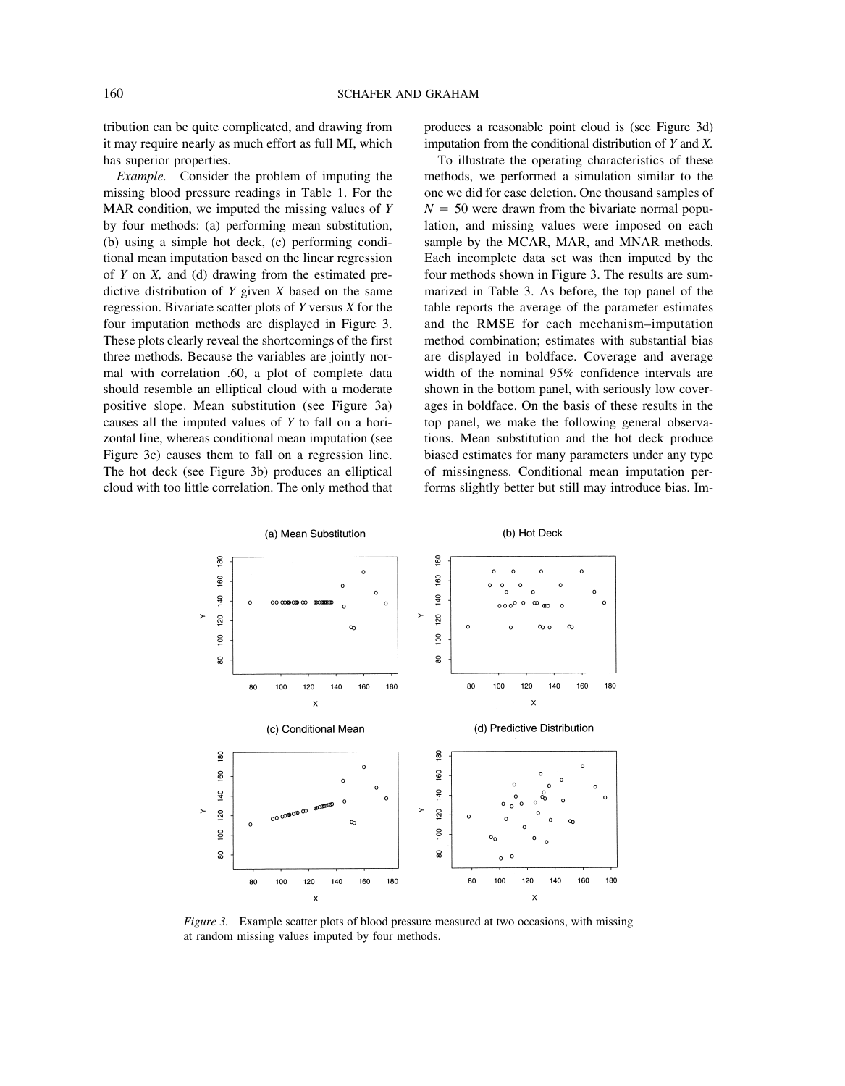tribution can be quite complicated, and drawing from it may require nearly as much effort as full MI, which has superior properties.

*Example.* Consider the problem of imputing the missing blood pressure readings in Table 1. For the MAR condition, we imputed the missing values of *Y* by four methods: (a) performing mean substitution, (b) using a simple hot deck, (c) performing conditional mean imputation based on the linear regression of *Y* on *X,* and (d) drawing from the estimated predictive distribution of *Y* given *X* based on the same regression. Bivariate scatter plots of *Y* versus *X* for the four imputation methods are displayed in Figure 3. These plots clearly reveal the shortcomings of the first three methods. Because the variables are jointly normal with correlation .60, a plot of complete data should resemble an elliptical cloud with a moderate positive slope. Mean substitution (see Figure 3a) causes all the imputed values of *Y* to fall on a horizontal line, whereas conditional mean imputation (see Figure 3c) causes them to fall on a regression line. The hot deck (see Figure 3b) produces an elliptical cloud with too little correlation. The only method that produces a reasonable point cloud is (see Figure 3d) imputation from the conditional distribution of *Y* and *X.*

To illustrate the operating characteristics of these methods, we performed a simulation similar to the one we did for case deletion. One thousand samples of  $N = 50$  were drawn from the bivariate normal population, and missing values were imposed on each sample by the MCAR, MAR, and MNAR methods. Each incomplete data set was then imputed by the four methods shown in Figure 3. The results are summarized in Table 3. As before, the top panel of the table reports the average of the parameter estimates and the RMSE for each mechanism–imputation method combination; estimates with substantial bias are displayed in boldface. Coverage and average width of the nominal 95% confidence intervals are shown in the bottom panel, with seriously low coverages in boldface. On the basis of these results in the top panel, we make the following general observations. Mean substitution and the hot deck produce biased estimates for many parameters under any type of missingness. Conditional mean imputation performs slightly better but still may introduce bias. Im-



*Figure 3.* Example scatter plots of blood pressure measured at two occasions, with missing at random missing values imputed by four methods.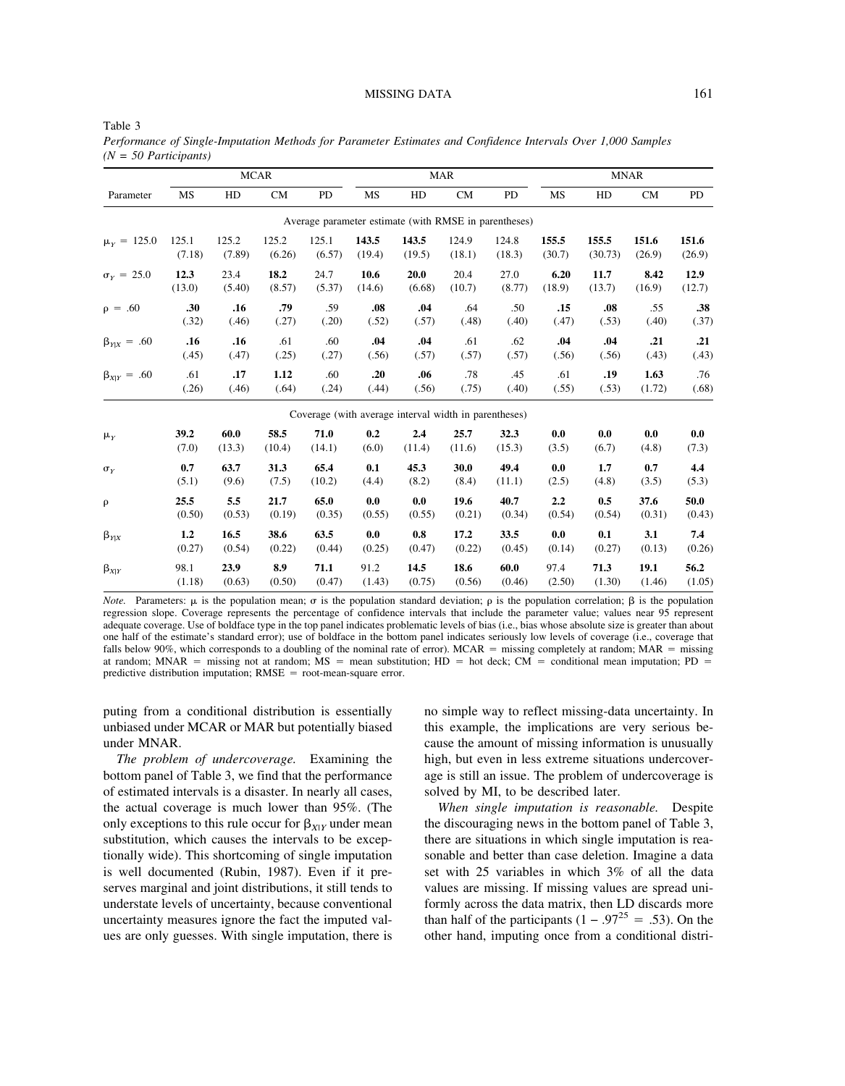Table 3

|                     |        |        | <b>MCAR</b> |                                                       |        |        | <b>MAR</b> |        |        |         | <b>MNAR</b> |        |
|---------------------|--------|--------|-------------|-------------------------------------------------------|--------|--------|------------|--------|--------|---------|-------------|--------|
| Parameter           | MS     | HD     | <b>CM</b>   | PD                                                    | MS     | HD     | CM         | PD     | MS     | HD      | <b>CM</b>   | PD     |
|                     |        |        |             | Average parameter estimate (with RMSE in parentheses) |        |        |            |        |        |         |             |        |
| $\mu_V = 125.0$     | 125.1  | 125.2  | 125.2       | 125.1                                                 | 143.5  | 143.5  | 124.9      | 124.8  | 155.5  | 155.5   | 151.6       | 151.6  |
|                     | (7.18) | (7.89) | (6.26)      | (6.57)                                                | (19.4) | (19.5) | (18.1)     | (18.3) | (30.7) | (30.73) | (26.9)      | (26.9) |
| $\sigma_{Y} = 25.0$ | 12.3   | 23.4   | 18.2        | 24.7                                                  | 10.6   | 20.0   | 20.4       | 27.0   | 6.20   | 11.7    | 8.42        | 12.9   |
|                     | (13.0) | (5.40) | (8.57)      | (5.37)                                                | (14.6) | (6.68) | (10.7)     | (8.77) | (18.9) | (13.7)  | (16.9)      | (12.7) |
| .60                 | .30    | .16    | .79         | .59                                                   | .08    | .04    | .64        | .50    | .15    | .08     | .55         | .38    |
| $\rho =$            | (.32)  | (.46)  | (.27)       | (.20)                                                 | (.52)  | (.57)  | (.48)      | (.40)  | (.47)  | (.53)   | (.40)       | (.37)  |
| $\beta_{Y X} = .60$ | .16    | .16    | .61         | .60                                                   | .04    | .04    | .61        | .62    | .04    | .04     | .21         | .21    |
|                     | (.45)  | (.47)  | (.25)       | (.27)                                                 | (.56)  | (.57)  | (.57)      | (.57)  | (.56)  | (.56)   | (.43)       | (.43)  |
| $\beta_{X Y} = .60$ | .61    | .17    | 1.12        | .60                                                   | .20    | .06    | .78        | .45    | .61    | .19     | 1.63        | .76    |
|                     | (.26)  | (.46)  | (.64)       | (.24)                                                 | (.44)  | (.56)  | (.75)      | (.40)  | (.55)  | (.53)   | (1.72)      | (.68)  |
|                     |        |        |             | Coverage (with average interval width in parentheses) |        |        |            |        |        |         |             |        |
| $\mu_Y$             | 39.2   | 60.0   | 58.5        | 71.0                                                  | 0.2    | 2.4    | 25.7       | 32.3   | 0.0    | 0.0     | 0.0         | 0.0    |
|                     | (7.0)  | (13.3) | (10.4)      | (14.1)                                                | (6.0)  | (11.4) | (11.6)     | (15.3) | (3.5)  | (6.7)   | (4.8)       | (7.3)  |
| $\sigma_Y$          | 0.7    | 63.7   | 31.3        | 65.4                                                  | 0.1    | 45.3   | 30.0       | 49.4   | 0.0    | 1.7     | 0.7         | 4.4    |
|                     | (5.1)  | (9.6)  | (7.5)       | (10.2)                                                | (4.4)  | (8.2)  | (8.4)      | (11.1) | (2.5)  | (4.8)   | (3.5)       | (5.3)  |
| ρ                   | 25.5   | 5.5    | 21.7        | 65.0                                                  | 0.0    | 0.0    | 19.6       | 40.7   | 2,2    | 0.5     | 37.6        | 50.0   |
|                     | (0.50) | (0.53) | (0.19)      | (0.35)                                                | (0.55) | (0.55) | (0.21)     | (0.34) | (0.54) | (0.54)  | (0.31)      | (0.43) |
| $\beta_{Y X}$       | 1.2    | 16.5   | 38.6        | 63.5                                                  | 0.0    | 0.8    | 17.2       | 33.5   | 0.0    | 0.1     | 3.1         | 7.4    |
|                     | (0.27) | (0.54) | (0.22)      | (0.44)                                                | (0.25) | (0.47) | (0.22)     | (0.45) | (0.14) | (0.27)  | (0.13)      | (0.26) |
| $\beta_{X Y}$       | 98.1   | 23.9   | 8.9         | 71.1                                                  | 91.2   | 14.5   | 18.6       | 60.0   | 97.4   | 71.3    | 19.1        | 56.2   |
|                     | (1.18) | (0.63) | (0.50)      | (0.47)                                                | (1.43) | (0.75) | (0.56)     | (0.46) | (2.50) | (1.30)  | (1.46)      | (1.05) |

*Performance of Single-Imputation Methods for Parameter Estimates and Confidence Intervals Over 1,000 Samples (N = 50 Participants)*

*Note.* Parameters:  $\mu$  is the population mean;  $\sigma$  is the population standard deviation;  $\rho$  is the population correlation;  $\beta$  is the population regression slope. Coverage represents the percentage of confidence intervals that include the parameter value; values near 95 represent adequate coverage. Use of boldface type in the top panel indicates problematic levels of bias (i.e., bias whose absolute size is greater than about one half of the estimate's standard error); use of boldface in the bottom panel indicates seriously low levels of coverage (i.e., coverage that falls below 90%, which corresponds to a doubling of the nominal rate of error). MCAR = missing completely at random; MAR = missing at random;  $MNAR$  = missing not at random;  $MS$  = mean substitution;  $HD$  = hot deck;  $CM$  = conditional mean imputation; PD = predictive distribution imputation;  $RMSE = root-mean-square error$ .

puting from a conditional distribution is essentially unbiased under MCAR or MAR but potentially biased under MNAR.

*The problem of undercoverage.* Examining the bottom panel of Table 3, we find that the performance of estimated intervals is a disaster. In nearly all cases, the actual coverage is much lower than 95%. (The only exceptions to this rule occur for  $\beta_{X|Y}$  under mean substitution, which causes the intervals to be exceptionally wide). This shortcoming of single imputation is well documented (Rubin, 1987). Even if it preserves marginal and joint distributions, it still tends to understate levels of uncertainty, because conventional uncertainty measures ignore the fact the imputed values are only guesses. With single imputation, there is

no simple way to reflect missing-data uncertainty. In this example, the implications are very serious because the amount of missing information is unusually high, but even in less extreme situations undercoverage is still an issue. The problem of undercoverage is solved by MI, to be described later.

*When single imputation is reasonable.* Despite the discouraging news in the bottom panel of Table 3, there are situations in which single imputation is reasonable and better than case deletion. Imagine a data set with 25 variables in which 3% of all the data values are missing. If missing values are spread uniformly across the data matrix, then LD discards more than half of the participants (1 – .97<sup>25</sup> = .53). On the other hand, imputing once from a conditional distri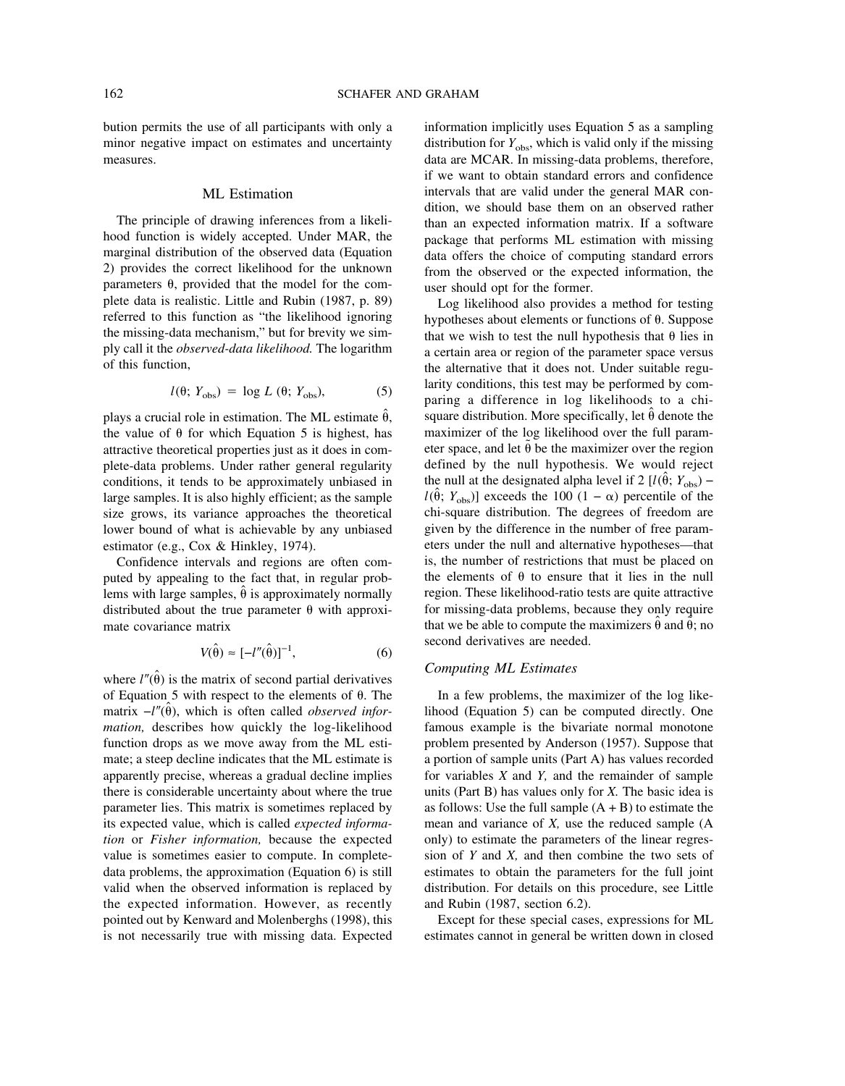bution permits the use of all participants with only a minor negative impact on estimates and uncertainty measures.

#### ML Estimation

The principle of drawing inferences from a likelihood function is widely accepted. Under MAR, the marginal distribution of the observed data (Equation 2) provides the correct likelihood for the unknown parameters  $\theta$ , provided that the model for the complete data is realistic. Little and Rubin (1987, p. 89) referred to this function as "the likelihood ignoring the missing-data mechanism," but for brevity we simply call it the *observed-data likelihood.* The logarithm of this function,

$$
l(\theta; Y_{\text{obs}}) = \log L(\theta; Y_{\text{obs}}), \tag{5}
$$

plays a crucial role in estimation. The ML estimate  $\hat{\theta}$ , the value of  $\theta$  for which Equation 5 is highest, has attractive theoretical properties just as it does in complete-data problems. Under rather general regularity conditions, it tends to be approximately unbiased in large samples. It is also highly efficient; as the sample size grows, its variance approaches the theoretical lower bound of what is achievable by any unbiased estimator (e.g., Cox & Hinkley, 1974).

Confidence intervals and regions are often computed by appealing to the fact that, in regular problems with large samples,  $\hat{\theta}$  is approximately normally distributed about the true parameter  $\theta$  with approximate covariance matrix

$$
V(\hat{\theta}) \approx [-l''(\hat{\theta})]^{-1}, \tag{6}
$$

where  $l''(\hat{\theta})$  is the matrix of second partial derivatives of Equation 5 with respect to the elements of  $\theta$ . The matrix  $-l''(\hat{\theta})$ , which is often called *observed information,* describes how quickly the log-likelihood function drops as we move away from the ML estimate; a steep decline indicates that the ML estimate is apparently precise, whereas a gradual decline implies there is considerable uncertainty about where the true parameter lies. This matrix is sometimes replaced by its expected value, which is called *expected information* or *Fisher information,* because the expected value is sometimes easier to compute. In completedata problems, the approximation (Equation 6) is still valid when the observed information is replaced by the expected information. However, as recently pointed out by Kenward and Molenberghs (1998), this is not necessarily true with missing data. Expected information implicitly uses Equation 5 as a sampling distribution for  $Y_{\text{obs}}$ , which is valid only if the missing data are MCAR. In missing-data problems, therefore, if we want to obtain standard errors and confidence intervals that are valid under the general MAR condition, we should base them on an observed rather than an expected information matrix. If a software package that performs ML estimation with missing data offers the choice of computing standard errors from the observed or the expected information, the user should opt for the former.

Log likelihood also provides a method for testing hypotheses about elements or functions of  $\theta$ . Suppose that we wish to test the null hypothesis that  $\theta$  lies in a certain area or region of the parameter space versus the alternative that it does not. Under suitable regularity conditions, this test may be performed by comparing a difference in log likelihoods to a chisquare distribution. More specifically, let  $\hat{\theta}$  denote the maximizer of the log likelihood over the full parameter space, and let  $\tilde{\theta}$  be the maximizer over the region defined by the null hypothesis. We would reject the null at the designated alpha level if 2 [ $l(\hat{\theta}; Y_{obs})$  –  $l(\hat{\theta}; Y_{\text{obs}})$ ] exceeds the 100 (1 –  $\alpha$ ) percentile of the chi-square distribution. The degrees of freedom are given by the difference in the number of free parameters under the null and alternative hypotheses—that is, the number of restrictions that must be placed on the elements of  $\theta$  to ensure that it lies in the null region. These likelihood-ratio tests are quite attractive for missing-data problems, because they only require that we be able to compute the maximizers  $\hat{\theta}$  and  $\hat{\theta}$ ; no second derivatives are needed.

#### *Computing ML Estimates*

In a few problems, the maximizer of the log likelihood (Equation 5) can be computed directly. One famous example is the bivariate normal monotone problem presented by Anderson (1957). Suppose that a portion of sample units (Part A) has values recorded for variables *X* and *Y,* and the remainder of sample units (Part B) has values only for *X.* The basic idea is as follows: Use the full sample  $(A + B)$  to estimate the mean and variance of *X,* use the reduced sample (A only) to estimate the parameters of the linear regression of *Y* and *X,* and then combine the two sets of estimates to obtain the parameters for the full joint distribution. For details on this procedure, see Little and Rubin (1987, section 6.2).

Except for these special cases, expressions for ML estimates cannot in general be written down in closed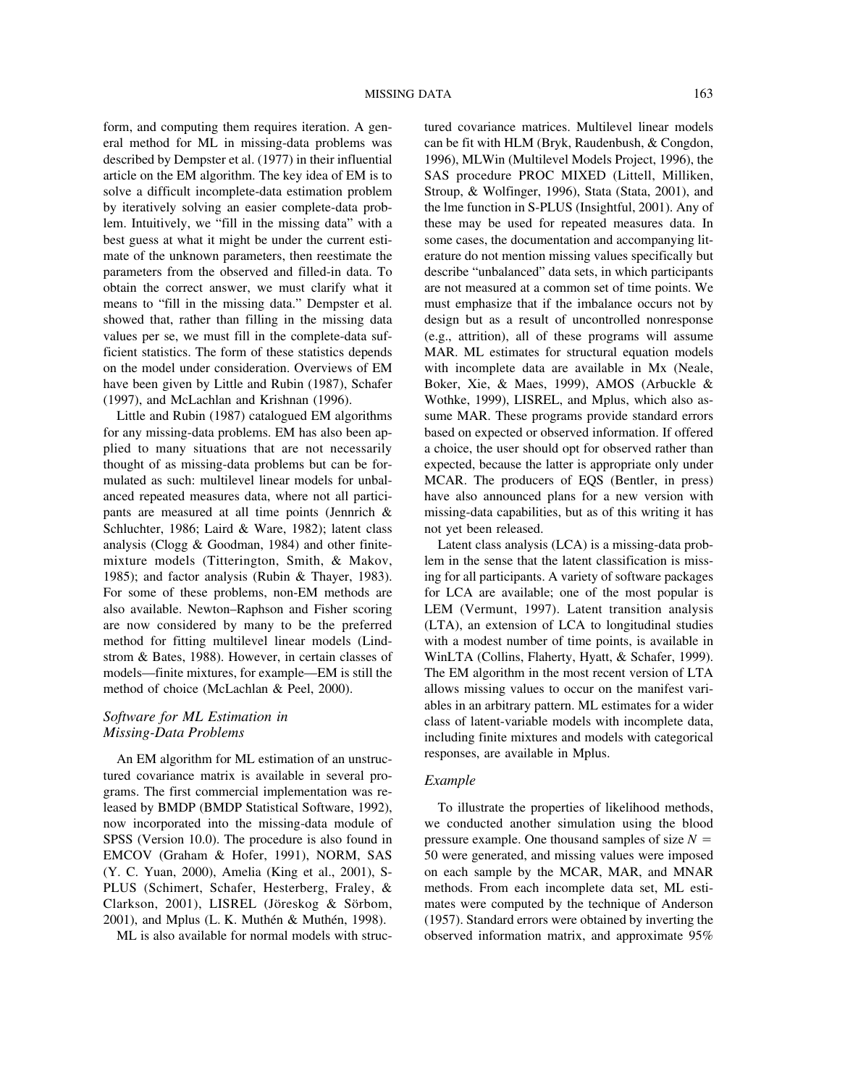form, and computing them requires iteration. A general method for ML in missing-data problems was described by Dempster et al. (1977) in their influential article on the EM algorithm. The key idea of EM is to solve a difficult incomplete-data estimation problem by iteratively solving an easier complete-data problem. Intuitively, we "fill in the missing data" with a best guess at what it might be under the current estimate of the unknown parameters, then reestimate the parameters from the observed and filled-in data. To obtain the correct answer, we must clarify what it means to "fill in the missing data." Dempster et al. showed that, rather than filling in the missing data values per se, we must fill in the complete-data sufficient statistics. The form of these statistics depends on the model under consideration. Overviews of EM have been given by Little and Rubin (1987), Schafer (1997), and McLachlan and Krishnan (1996).

Little and Rubin (1987) catalogued EM algorithms for any missing-data problems. EM has also been applied to many situations that are not necessarily thought of as missing-data problems but can be formulated as such: multilevel linear models for unbalanced repeated measures data, where not all participants are measured at all time points (Jennrich & Schluchter, 1986; Laird & Ware, 1982); latent class analysis (Clogg & Goodman, 1984) and other finitemixture models (Titterington, Smith, & Makov, 1985); and factor analysis (Rubin & Thayer, 1983). For some of these problems, non-EM methods are also available. Newton–Raphson and Fisher scoring are now considered by many to be the preferred method for fitting multilevel linear models (Lindstrom & Bates, 1988). However, in certain classes of models—finite mixtures, for example—EM is still the method of choice (McLachlan & Peel, 2000).

## *Software for ML Estimation in Missing-Data Problems*

An EM algorithm for ML estimation of an unstructured covariance matrix is available in several programs. The first commercial implementation was released by BMDP (BMDP Statistical Software, 1992), now incorporated into the missing-data module of SPSS (Version 10.0). The procedure is also found in EMCOV (Graham & Hofer, 1991), NORM, SAS (Y. C. Yuan, 2000), Amelia (King et al., 2001), S-PLUS (Schimert, Schafer, Hesterberg, Fraley, & Clarkson, 2001), LISREL (Jöreskog & Sörbom, 2001), and Mplus (L. K. Muthén & Muthén, 1998).

ML is also available for normal models with struc-

tured covariance matrices. Multilevel linear models can be fit with HLM (Bryk, Raudenbush, & Congdon, 1996), MLWin (Multilevel Models Project, 1996), the SAS procedure PROC MIXED (Littell, Milliken, Stroup, & Wolfinger, 1996), Stata (Stata, 2001), and the lme function in S-PLUS (Insightful, 2001). Any of these may be used for repeated measures data. In some cases, the documentation and accompanying literature do not mention missing values specifically but describe "unbalanced" data sets, in which participants are not measured at a common set of time points. We must emphasize that if the imbalance occurs not by design but as a result of uncontrolled nonresponse (e.g., attrition), all of these programs will assume MAR. ML estimates for structural equation models with incomplete data are available in Mx (Neale, Boker, Xie, & Maes, 1999), AMOS (Arbuckle & Wothke, 1999), LISREL, and Mplus, which also assume MAR. These programs provide standard errors based on expected or observed information. If offered a choice, the user should opt for observed rather than expected, because the latter is appropriate only under MCAR. The producers of EQS (Bentler, in press) have also announced plans for a new version with missing-data capabilities, but as of this writing it has not yet been released.

Latent class analysis (LCA) is a missing-data problem in the sense that the latent classification is missing for all participants. A variety of software packages for LCA are available; one of the most popular is LEM (Vermunt, 1997). Latent transition analysis (LTA), an extension of LCA to longitudinal studies with a modest number of time points, is available in WinLTA (Collins, Flaherty, Hyatt, & Schafer, 1999). The EM algorithm in the most recent version of LTA allows missing values to occur on the manifest variables in an arbitrary pattern. ML estimates for a wider class of latent-variable models with incomplete data, including finite mixtures and models with categorical responses, are available in Mplus.

#### *Example*

To illustrate the properties of likelihood methods, we conducted another simulation using the blood pressure example. One thousand samples of size *N* 50 were generated, and missing values were imposed on each sample by the MCAR, MAR, and MNAR methods. From each incomplete data set, ML estimates were computed by the technique of Anderson (1957). Standard errors were obtained by inverting the observed information matrix, and approximate 95%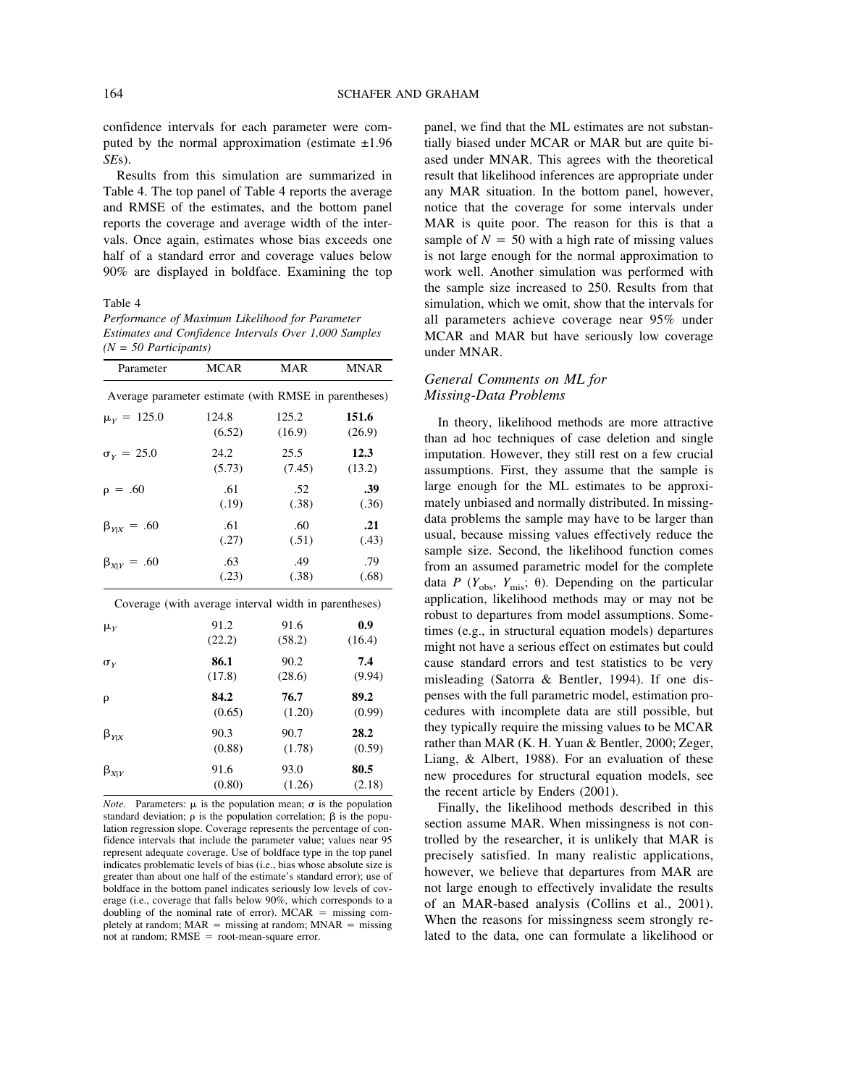confidence intervals for each parameter were computed by the normal approximation (estimate  $\pm 1.96$ *SE*s).

Results from this simulation are summarized in Table 4. The top panel of Table 4 reports the average and RMSE of the estimates, and the bottom panel reports the coverage and average width of the intervals. Once again, estimates whose bias exceeds one half of a standard error and coverage values below 90% are displayed in boldface. Examining the top

#### Table 4

*Performance of Maximum Likelihood for Parameter Estimates and Confidence Intervals Over 1,000 Samples (N = 50 Participants)*

| Parameter                                             | <b>MCAR</b>                                           | MAR    | <b>MNAR</b> |
|-------------------------------------------------------|-------------------------------------------------------|--------|-------------|
| Average parameter estimate (with RMSE in parentheses) |                                                       |        |             |
| $\mu_v = 125.0$                                       | 124.8                                                 | 125.2  | 151.6       |
|                                                       | (6.52)                                                | (16.9) | (26.9)      |
| $\sigma_Y = 25.0$                                     | 24.2                                                  | 25.5   | 12.3        |
|                                                       | (5.73)                                                | (7.45) | (13.2)      |
| $\rho = .60$                                          | .61                                                   | .52    | .39         |
|                                                       | (.19)                                                 | (.38)  | (.36)       |
| $\beta_{Y X} = .60$                                   | .61                                                   | .60    | .21         |
|                                                       | (.27)                                                 | (.51)  | (.43)       |
| $\beta_{X Y} = .60$                                   | .63                                                   | .49    | .79         |
|                                                       | (.23)                                                 | (.38)  | (.68)       |
|                                                       | Coverage (with average interval width in parentheses) |        |             |
| $\mu_Y$                                               | 91.2                                                  | 91.6   | 0.9         |
|                                                       | (22.2)                                                | (58.2) | (16.4)      |
| $\sigma_{Y}$                                          | 86.1                                                  | 90.2   | 7.4         |
|                                                       | (17.8)                                                | (28.6) | (9.94)      |

|               | (11.0) | (20.0) | (9.94) |
|---------------|--------|--------|--------|
| ρ             | 84.2   | 76.7   | 89.2   |
|               | (0.65) | (1.20) | (0.99) |
| $\beta_{Y X}$ | 90.3   | 90.7   | 28.2   |
|               | (0.88) | (1.78) | (0.59) |
| $\beta_{X Y}$ | 91.6   | 93.0   | 80.5   |
|               | (0.80) | (1.26) | (2.18) |

*Note.* Parameters:  $\mu$  is the population mean;  $\sigma$  is the population standard deviation;  $\rho$  is the population correlation;  $\beta$  is the population regression slope. Coverage represents the percentage of confidence intervals that include the parameter value; values near 95 represent adequate coverage. Use of boldface type in the top panel indicates problematic levels of bias (i.e., bias whose absolute size is greater than about one half of the estimate's standard error); use of boldface in the bottom panel indicates seriously low levels of coverage (i.e., coverage that falls below 90%, which corresponds to a doubling of the nominal rate of error).  $MCAR =$  missing completely at random;  $MAR$  = missing at random;  $MNAR$  = missing not at random;  $RMSE = root-mean-square error$ .

panel, we find that the ML estimates are not substantially biased under MCAR or MAR but are quite biased under MNAR. This agrees with the theoretical result that likelihood inferences are appropriate under any MAR situation. In the bottom panel, however, notice that the coverage for some intervals under MAR is quite poor. The reason for this is that a sample of  $N = 50$  with a high rate of missing values is not large enough for the normal approximation to work well. Another simulation was performed with the sample size increased to 250. Results from that simulation, which we omit, show that the intervals for all parameters achieve coverage near 95% under MCAR and MAR but have seriously low coverage under MNAR.

## *General Comments on ML for Missing-Data Problems*

In theory, likelihood methods are more attractive than ad hoc techniques of case deletion and single imputation. However, they still rest on a few crucial assumptions. First, they assume that the sample is large enough for the ML estimates to be approximately unbiased and normally distributed. In missingdata problems the sample may have to be larger than usual, because missing values effectively reduce the sample size. Second, the likelihood function comes from an assumed parametric model for the complete data *P* ( $Y_{\text{obs}}$ ,  $Y_{\text{mis}}$ ;  $\theta$ ). Depending on the particular application, likelihood methods may or may not be robust to departures from model assumptions. Sometimes (e.g., in structural equation models) departures might not have a serious effect on estimates but could cause standard errors and test statistics to be very misleading (Satorra & Bentler, 1994). If one dispenses with the full parametric model, estimation procedures with incomplete data are still possible, but they typically require the missing values to be MCAR rather than MAR (K. H. Yuan & Bentler, 2000; Zeger, Liang, & Albert, 1988). For an evaluation of these new procedures for structural equation models, see the recent article by Enders (2001).

Finally, the likelihood methods described in this section assume MAR. When missingness is not controlled by the researcher, it is unlikely that MAR is precisely satisfied. In many realistic applications, however, we believe that departures from MAR are not large enough to effectively invalidate the results of an MAR-based analysis (Collins et al., 2001). When the reasons for missingness seem strongly related to the data, one can formulate a likelihood or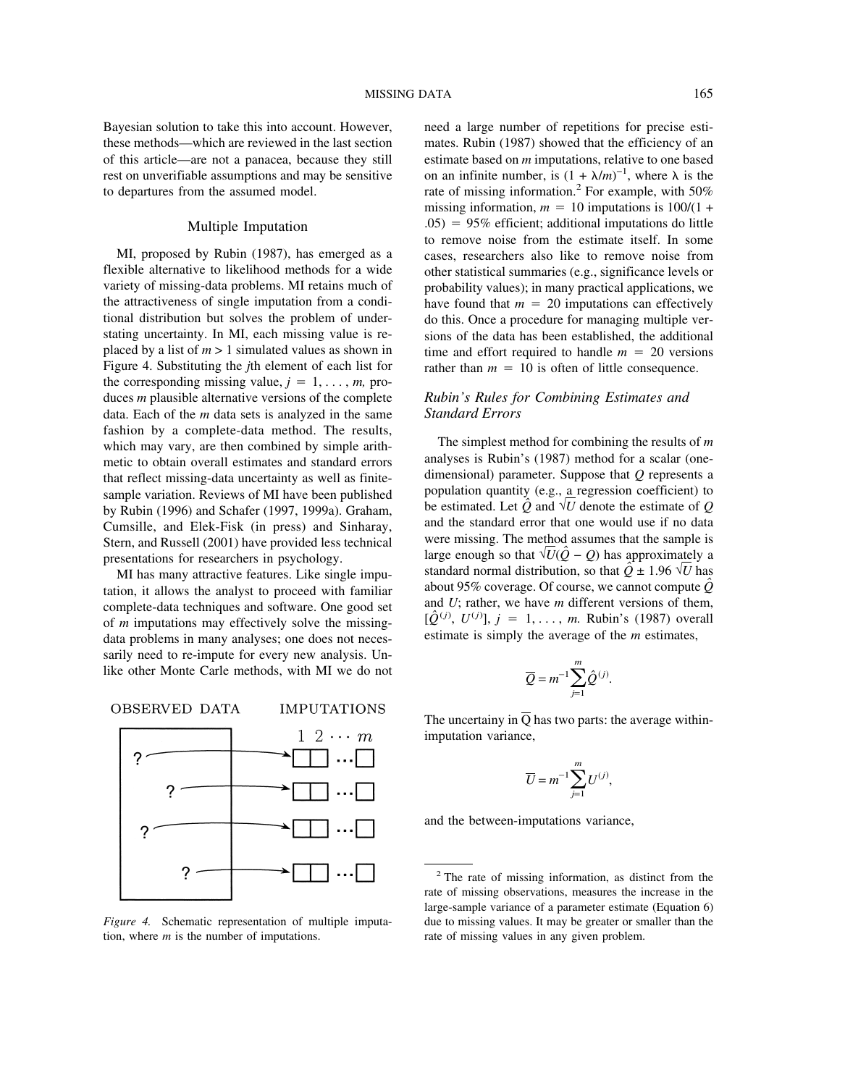Bayesian solution to take this into account. However, these methods—which are reviewed in the last section of this article—are not a panacea, because they still rest on unverifiable assumptions and may be sensitive to departures from the assumed model.

## Multiple Imputation

MI, proposed by Rubin (1987), has emerged as a flexible alternative to likelihood methods for a wide variety of missing-data problems. MI retains much of the attractiveness of single imputation from a conditional distribution but solves the problem of understating uncertainty. In MI, each missing value is replaced by a list of  $m > 1$  simulated values as shown in Figure 4. Substituting the *j*th element of each list for the corresponding missing value,  $j = 1, \ldots, m$ , produces *m* plausible alternative versions of the complete data. Each of the *m* data sets is analyzed in the same fashion by a complete-data method. The results, which may vary, are then combined by simple arithmetic to obtain overall estimates and standard errors that reflect missing-data uncertainty as well as finitesample variation. Reviews of MI have been published by Rubin (1996) and Schafer (1997, 1999a). Graham, Cumsille, and Elek-Fisk (in press) and Sinharay, Stern, and Russell (2001) have provided less technical presentations for researchers in psychology.

MI has many attractive features. Like single imputation, it allows the analyst to proceed with familiar complete-data techniques and software. One good set of *m* imputations may effectively solve the missingdata problems in many analyses; one does not necessarily need to re-impute for every new analysis. Unlike other Monte Carle methods, with MI we do not



**IMPUTATIONS** 



*Figure 4.* Schematic representation of multiple imputation, where *m* is the number of imputations.

need a large number of repetitions for precise estimates. Rubin (1987) showed that the efficiency of an estimate based on *m* imputations, relative to one based on an infinite number, is  $(1 + \lambda/m)^{-1}$ , where  $\lambda$  is the rate of missing information.<sup>2</sup> For example, with  $50\%$ missing information,  $m = 10$  imputations is  $100/(1 +$  $.05) = 95\%$  efficient; additional imputations do little to remove noise from the estimate itself. In some cases, researchers also like to remove noise from other statistical summaries (e.g., significance levels or probability values); in many practical applications, we have found that  $m = 20$  imputations can effectively do this. Once a procedure for managing multiple versions of the data has been established, the additional time and effort required to handle  $m = 20$  versions rather than  $m = 10$  is often of little consequence.

# *Rubin's Rules for Combining Estimates and Standard Errors*

The simplest method for combining the results of *m* analyses is Rubin's (1987) method for a scalar (onedimensional) parameter. Suppose that *Q* represents a population quantity (e.g., a regression coefficient) to be estimated. Let  $\hat{Q}$  and  $\sqrt{U}$  denote the estimate of  $Q$ and the standard error that one would use if no data were missing. The method assumes that the sample is large enough so that  $\sqrt{U(Q - Q)}$  has approximately a standard normal distribution, so that  $\ddot{Q} \pm 1.96 \sqrt{U}$  has about 95% coverage. Of course, we cannot compute  $\hat{Q}$ and *U*; rather, we have *m* different versions of them,  $[\hat{Q}^{(j)}, U^{(j)}], j = 1, ..., m$ . Rubin's (1987) overall estimate is simply the average of the *m* estimates,

$$
\overline{Q} = m^{-1} \sum_{j=1}^{m} \hat{Q}^{(j)}.
$$

The uncertainy in  $\overline{Q}$  has two parts: the average withinimputation variance,

$$
\overline{U} = m^{-1} \sum_{j=1}^{m} U^{(j)},
$$

and the between-imputations variance,

<sup>2</sup> The rate of missing information, as distinct from the rate of missing observations, measures the increase in the large-sample variance of a parameter estimate (Equation 6) due to missing values. It may be greater or smaller than the rate of missing values in any given problem.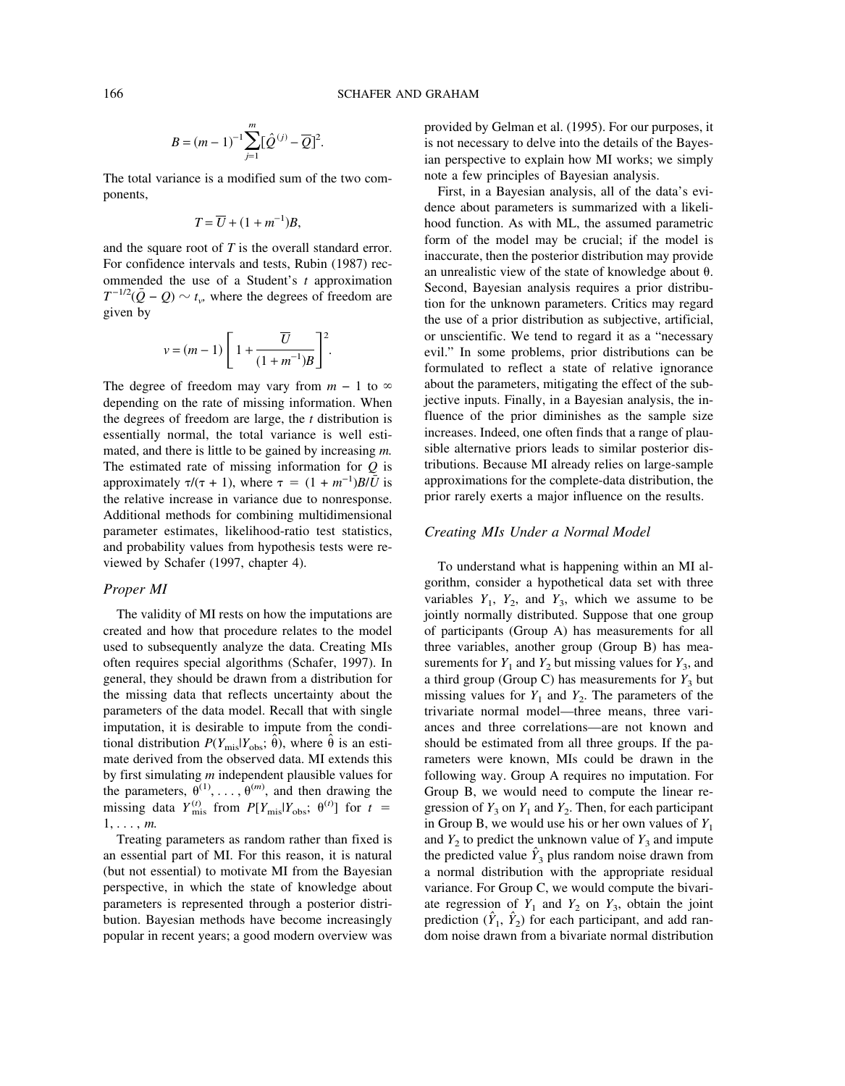$$
B = (m-1)^{-1} \sum_{j=1}^{m} [\hat{Q}^{(j)} - \overline{Q}]^{2}.
$$

The total variance is a modified sum of the two components,

$$
T = \overline{U} + (1 + m^{-1})B,
$$

and the square root of *T* is the overall standard error. For confidence intervals and tests, Rubin (1987) recommended the use of a Student's *t* approximation  $T^{-1/2}(\bar{Q}-Q) \sim t_{\nu}$ , where the degrees of freedom are given by

$$
v = (m-1)\left[1 + \frac{\overline{U}}{(1+m^{-1})B}\right]^2.
$$

The degree of freedom may vary from  $m - 1$  to  $\infty$ depending on the rate of missing information. When the degrees of freedom are large, the *t* distribution is essentially normal, the total variance is well estimated, and there is little to be gained by increasing *m.* The estimated rate of missing information for *Q* is approximately  $\tau/(\tau + 1)$ , where  $\tau = (1 + m^{-1})B/\overline{U}$  is the relative increase in variance due to nonresponse. Additional methods for combining multidimensional parameter estimates, likelihood-ratio test statistics, and probability values from hypothesis tests were reviewed by Schafer (1997, chapter 4).

# *Proper MI*

The validity of MI rests on how the imputations are created and how that procedure relates to the model used to subsequently analyze the data. Creating MIs often requires special algorithms (Schafer, 1997). In general, they should be drawn from a distribution for the missing data that reflects uncertainty about the parameters of the data model. Recall that with single imputation, it is desirable to impute from the conditional distribution  $P(Y_{\text{mis}}|Y_{\text{obs}}; \hat{\theta})$ , where  $\hat{\theta}$  is an estimate derived from the observed data. MI extends this by first simulating *m* independent plausible values for the parameters,  $\theta^{(1)}, \ldots, \theta^{(m)}$ , and then drawing the missing data  $Y_{\text{mis}}^{(t)}$  from  $P[Y_{\text{mis}}|Y_{\text{obs}};\ \theta^{(t)}]$  for  $t =$ 1, . . . , *m.*

Treating parameters as random rather than fixed is an essential part of MI. For this reason, it is natural (but not essential) to motivate MI from the Bayesian perspective, in which the state of knowledge about parameters is represented through a posterior distribution. Bayesian methods have become increasingly popular in recent years; a good modern overview was

provided by Gelman et al. (1995). For our purposes, it is not necessary to delve into the details of the Bayesian perspective to explain how MI works; we simply note a few principles of Bayesian analysis.

First, in a Bayesian analysis, all of the data's evidence about parameters is summarized with a likelihood function. As with ML, the assumed parametric form of the model may be crucial; if the model is inaccurate, then the posterior distribution may provide an unrealistic view of the state of knowledge about  $\theta$ . Second, Bayesian analysis requires a prior distribution for the unknown parameters. Critics may regard the use of a prior distribution as subjective, artificial, or unscientific. We tend to regard it as a "necessary evil." In some problems, prior distributions can be formulated to reflect a state of relative ignorance about the parameters, mitigating the effect of the subjective inputs. Finally, in a Bayesian analysis, the influence of the prior diminishes as the sample size increases. Indeed, one often finds that a range of plausible alternative priors leads to similar posterior distributions. Because MI already relies on large-sample approximations for the complete-data distribution, the prior rarely exerts a major influence on the results.

#### *Creating MIs Under a Normal Model*

To understand what is happening within an MI algorithm, consider a hypothetical data set with three variables  $Y_1$ ,  $Y_2$ , and  $Y_3$ , which we assume to be jointly normally distributed. Suppose that one group of participants (Group A) has measurements for all three variables, another group (Group B) has measurements for  $Y_1$  and  $Y_2$  but missing values for  $Y_3$ , and a third group (Group C) has measurements for  $Y_3$  but missing values for  $Y_1$  and  $Y_2$ . The parameters of the trivariate normal model—three means, three variances and three correlations—are not known and should be estimated from all three groups. If the parameters were known, MIs could be drawn in the following way. Group A requires no imputation. For Group B, we would need to compute the linear regression of  $Y_3$  on  $Y_1$  and  $Y_2$ . Then, for each participant in Group B, we would use his or her own values of  $Y_1$ and  $Y_2$  to predict the unknown value of  $Y_3$  and impute the predicted value  $\hat{Y}_3$  plus random noise drawn from a normal distribution with the appropriate residual variance. For Group C, we would compute the bivariate regression of  $Y_1$  and  $Y_2$  on  $Y_3$ , obtain the joint prediction  $(\hat{Y}_1, \hat{Y}_2)$  for each participant, and add random noise drawn from a bivariate normal distribution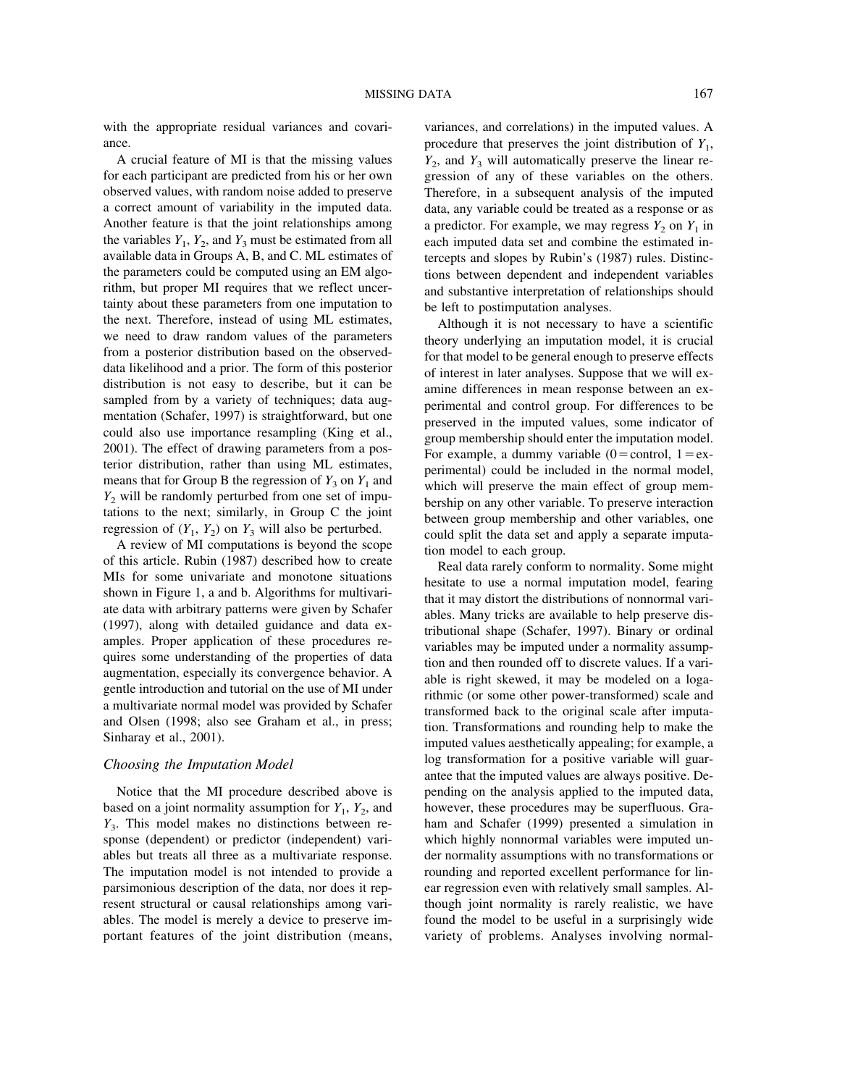with the appropriate residual variances and covariance.

A crucial feature of MI is that the missing values for each participant are predicted from his or her own observed values, with random noise added to preserve a correct amount of variability in the imputed data. Another feature is that the joint relationships among the variables  $Y_1$ ,  $Y_2$ , and  $Y_3$  must be estimated from all available data in Groups A, B, and C. ML estimates of the parameters could be computed using an EM algorithm, but proper MI requires that we reflect uncertainty about these parameters from one imputation to the next. Therefore, instead of using ML estimates, we need to draw random values of the parameters from a posterior distribution based on the observeddata likelihood and a prior. The form of this posterior distribution is not easy to describe, but it can be sampled from by a variety of techniques; data augmentation (Schafer, 1997) is straightforward, but one could also use importance resampling (King et al., 2001). The effect of drawing parameters from a posterior distribution, rather than using ML estimates, means that for Group B the regression of  $Y_3$  on  $Y_1$  and  $Y_2$  will be randomly perturbed from one set of imputations to the next; similarly, in Group C the joint regression of  $(Y_1, Y_2)$  on  $Y_3$  will also be perturbed.

A review of MI computations is beyond the scope of this article. Rubin (1987) described how to create MIs for some univariate and monotone situations shown in Figure 1, a and b. Algorithms for multivariate data with arbitrary patterns were given by Schafer (1997), along with detailed guidance and data examples. Proper application of these procedures requires some understanding of the properties of data augmentation, especially its convergence behavior. A gentle introduction and tutorial on the use of MI under a multivariate normal model was provided by Schafer and Olsen (1998; also see Graham et al., in press; Sinharay et al., 2001).

## *Choosing the Imputation Model*

Notice that the MI procedure described above is based on a joint normality assumption for  $Y_1$ ,  $Y_2$ , and *Y*3. This model makes no distinctions between response (dependent) or predictor (independent) variables but treats all three as a multivariate response. The imputation model is not intended to provide a parsimonious description of the data, nor does it represent structural or causal relationships among variables. The model is merely a device to preserve important features of the joint distribution (means,

variances, and correlations) in the imputed values. A procedure that preserves the joint distribution of  $Y_1$ ,  $Y_2$ , and  $Y_3$  will automatically preserve the linear regression of any of these variables on the others. Therefore, in a subsequent analysis of the imputed data, any variable could be treated as a response or as a predictor. For example, we may regress  $Y_2$  on  $Y_1$  in each imputed data set and combine the estimated intercepts and slopes by Rubin's (1987) rules. Distinctions between dependent and independent variables and substantive interpretation of relationships should be left to postimputation analyses.

Although it is not necessary to have a scientific theory underlying an imputation model, it is crucial for that model to be general enough to preserve effects of interest in later analyses. Suppose that we will examine differences in mean response between an experimental and control group. For differences to be preserved in the imputed values, some indicator of group membership should enter the imputation model. For example, a dummy variable  $(0=control, 1=ex$ perimental) could be included in the normal model, which will preserve the main effect of group membership on any other variable. To preserve interaction between group membership and other variables, one could split the data set and apply a separate imputation model to each group.

Real data rarely conform to normality. Some might hesitate to use a normal imputation model, fearing that it may distort the distributions of nonnormal variables. Many tricks are available to help preserve distributional shape (Schafer, 1997). Binary or ordinal variables may be imputed under a normality assumption and then rounded off to discrete values. If a variable is right skewed, it may be modeled on a logarithmic (or some other power-transformed) scale and transformed back to the original scale after imputation. Transformations and rounding help to make the imputed values aesthetically appealing; for example, a log transformation for a positive variable will guarantee that the imputed values are always positive. Depending on the analysis applied to the imputed data, however, these procedures may be superfluous. Graham and Schafer (1999) presented a simulation in which highly nonnormal variables were imputed under normality assumptions with no transformations or rounding and reported excellent performance for linear regression even with relatively small samples. Although joint normality is rarely realistic, we have found the model to be useful in a surprisingly wide variety of problems. Analyses involving normal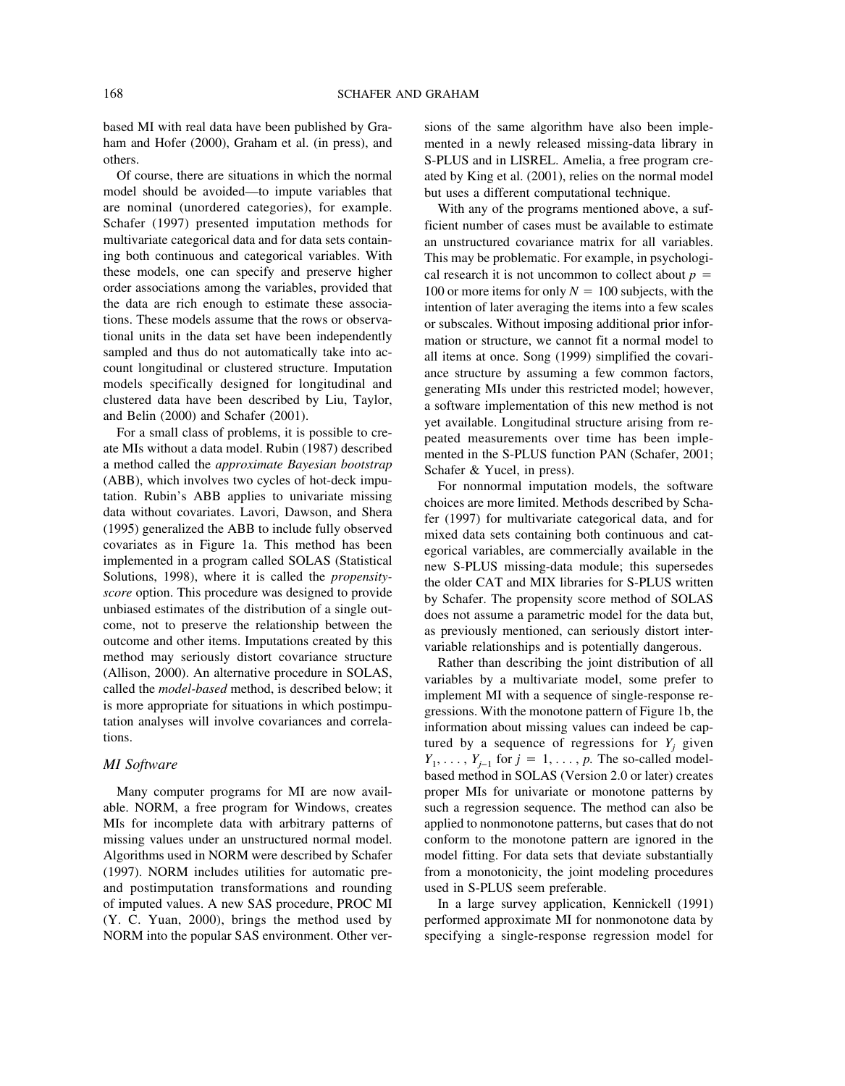based MI with real data have been published by Graham and Hofer (2000), Graham et al. (in press), and others.

Of course, there are situations in which the normal model should be avoided—to impute variables that are nominal (unordered categories), for example. Schafer (1997) presented imputation methods for multivariate categorical data and for data sets containing both continuous and categorical variables. With these models, one can specify and preserve higher order associations among the variables, provided that the data are rich enough to estimate these associations. These models assume that the rows or observational units in the data set have been independently sampled and thus do not automatically take into account longitudinal or clustered structure. Imputation models specifically designed for longitudinal and clustered data have been described by Liu, Taylor, and Belin (2000) and Schafer (2001).

For a small class of problems, it is possible to create MIs without a data model. Rubin (1987) described a method called the *approximate Bayesian bootstrap* (ABB), which involves two cycles of hot-deck imputation. Rubin's ABB applies to univariate missing data without covariates. Lavori, Dawson, and Shera (1995) generalized the ABB to include fully observed covariates as in Figure 1a. This method has been implemented in a program called SOLAS (Statistical Solutions, 1998), where it is called the *propensityscore* option. This procedure was designed to provide unbiased estimates of the distribution of a single outcome, not to preserve the relationship between the outcome and other items. Imputations created by this method may seriously distort covariance structure (Allison, 2000). An alternative procedure in SOLAS, called the *model-based* method, is described below; it is more appropriate for situations in which postimputation analyses will involve covariances and correlations.

## *MI Software*

Many computer programs for MI are now available. NORM, a free program for Windows, creates MIs for incomplete data with arbitrary patterns of missing values under an unstructured normal model. Algorithms used in NORM were described by Schafer (1997). NORM includes utilities for automatic preand postimputation transformations and rounding of imputed values. A new SAS procedure, PROC MI (Y. C. Yuan, 2000), brings the method used by NORM into the popular SAS environment. Other versions of the same algorithm have also been implemented in a newly released missing-data library in S-PLUS and in LISREL. Amelia, a free program created by King et al. (2001), relies on the normal model but uses a different computational technique.

With any of the programs mentioned above, a sufficient number of cases must be available to estimate an unstructured covariance matrix for all variables. This may be problematic. For example, in psychological research it is not uncommon to collect about  $p =$ 100 or more items for only  $N = 100$  subjects, with the intention of later averaging the items into a few scales or subscales. Without imposing additional prior information or structure, we cannot fit a normal model to all items at once. Song (1999) simplified the covariance structure by assuming a few common factors, generating MIs under this restricted model; however, a software implementation of this new method is not yet available. Longitudinal structure arising from repeated measurements over time has been implemented in the S-PLUS function PAN (Schafer, 2001; Schafer & Yucel, in press).

For nonnormal imputation models, the software choices are more limited. Methods described by Schafer (1997) for multivariate categorical data, and for mixed data sets containing both continuous and categorical variables, are commercially available in the new S-PLUS missing-data module; this supersedes the older CAT and MIX libraries for S-PLUS written by Schafer. The propensity score method of SOLAS does not assume a parametric model for the data but, as previously mentioned, can seriously distort intervariable relationships and is potentially dangerous.

Rather than describing the joint distribution of all variables by a multivariate model, some prefer to implement MI with a sequence of single-response regressions. With the monotone pattern of Figure 1b, the information about missing values can indeed be captured by a sequence of regressions for  $Y_i$  given  $Y_1, \ldots, Y_{j-1}$  for  $j = 1, \ldots, p$ . The so-called modelbased method in SOLAS (Version 2.0 or later) creates proper MIs for univariate or monotone patterns by such a regression sequence. The method can also be applied to nonmonotone patterns, but cases that do not conform to the monotone pattern are ignored in the model fitting. For data sets that deviate substantially from a monotonicity, the joint modeling procedures used in S-PLUS seem preferable.

In a large survey application, Kennickell (1991) performed approximate MI for nonmonotone data by specifying a single-response regression model for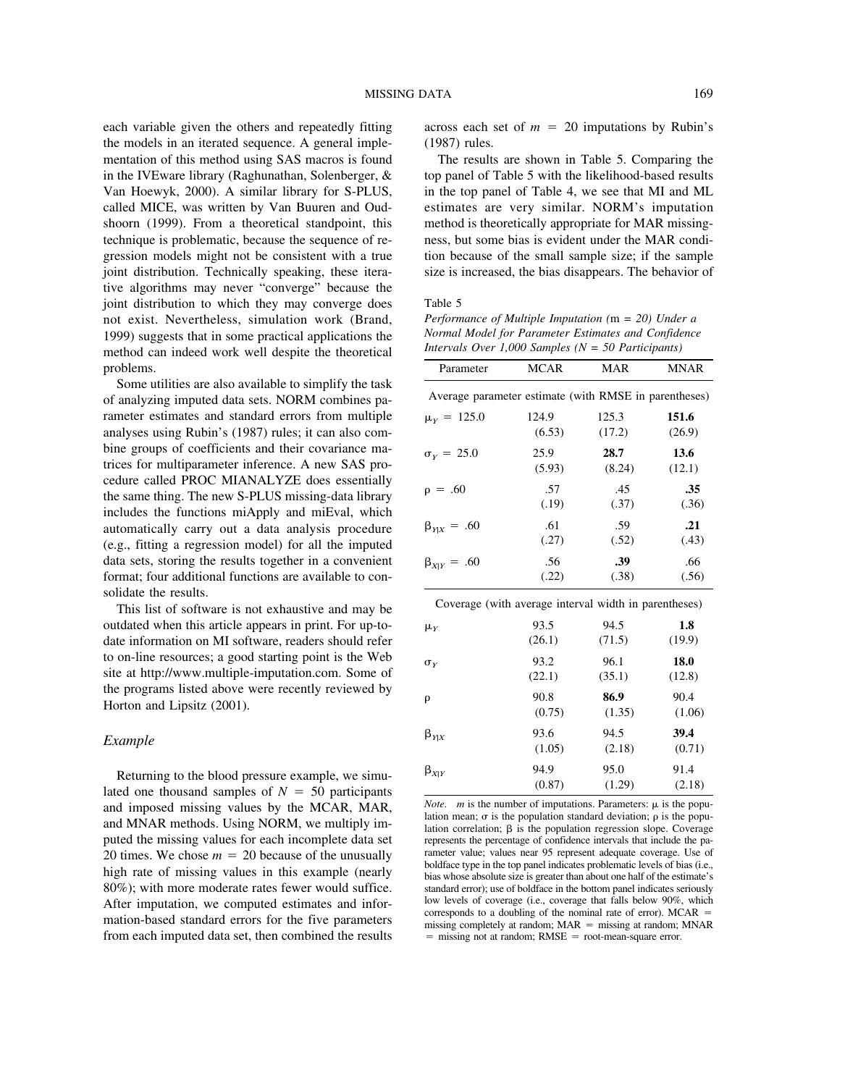each variable given the others and repeatedly fitting the models in an iterated sequence. A general implementation of this method using SAS macros is found in the IVEware library (Raghunathan, Solenberger, & Van Hoewyk, 2000). A similar library for S-PLUS, called MICE, was written by Van Buuren and Oudshoorn (1999). From a theoretical standpoint, this technique is problematic, because the sequence of regression models might not be consistent with a true joint distribution. Technically speaking, these iterative algorithms may never "converge" because the joint distribution to which they may converge does not exist. Nevertheless, simulation work (Brand, 1999) suggests that in some practical applications the method can indeed work well despite the theoretical problems.

Some utilities are also available to simplify the task of analyzing imputed data sets. NORM combines parameter estimates and standard errors from multiple analyses using Rubin's (1987) rules; it can also combine groups of coefficients and their covariance matrices for multiparameter inference. A new SAS procedure called PROC MIANALYZE does essentially the same thing. The new S-PLUS missing-data library includes the functions miApply and miEval, which automatically carry out a data analysis procedure (e.g., fitting a regression model) for all the imputed data sets, storing the results together in a convenient format; four additional functions are available to consolidate the results.

This list of software is not exhaustive and may be outdated when this article appears in print. For up-todate information on MI software, readers should refer to on-line resources; a good starting point is the Web site at http://www.multiple-imputation.com. Some of the programs listed above were recently reviewed by Horton and Lipsitz (2001).

#### *Example*

Returning to the blood pressure example, we simulated one thousand samples of  $N = 50$  participants and imposed missing values by the MCAR, MAR, and MNAR methods. Using NORM, we multiply imputed the missing values for each incomplete data set 20 times. We chose  $m = 20$  because of the unusually high rate of missing values in this example (nearly 80%); with more moderate rates fewer would suffice. After imputation, we computed estimates and information-based standard errors for the five parameters from each imputed data set, then combined the results

across each set of  $m = 20$  imputations by Rubin's (1987) rules.

The results are shown in Table 5. Comparing the top panel of Table 5 with the likelihood-based results in the top panel of Table 4, we see that MI and ML estimates are very similar. NORM's imputation method is theoretically appropriate for MAR missingness, but some bias is evident under the MAR condition because of the small sample size; if the sample size is increased, the bias disappears. The behavior of

#### Table 5

*Performance of Multiple Imputation (*m *= 20) Under a Normal Model for Parameter Estimates and Confidence Intervals Over 1,000 Samples (N = 50 Participants)*

Parameter MCAR MAR MNAR

| Average parameter estimate (with RMSE in parentheses) |        |        |        |
|-------------------------------------------------------|--------|--------|--------|
| $\mu_V = 125.0$                                       | 124.9  | 125.3  | 151.6  |
|                                                       | (6.53) | (17.2) | (26.9) |
| $\sigma_{Y} = 25.0$                                   | 25.9   | 28.7   | 13.6   |
|                                                       | (5.93) | (8.24) | (12.1) |
| $\rho = .60$                                          | .57    | .45    | .35    |
|                                                       | (.19)  | (.37)  | (.36)  |
| $\beta_{Y X} = .60$                                   | .61    | .59    | .21    |
|                                                       | (.27)  | (.52)  | (.43)  |
| $\beta_{X Y} = .60$                                   | .56    | .39    | .66    |
|                                                       | (.22)  | (.38)  | (.56)  |

Coverage (with average interval width in parentheses)  $\mu_Y$ *<sup>Y</sup>* 93.5 94.5 **1.8**  $(26.1)$   $(71.5)$   $(19.9)$  $\sigma_Y$  93.2 96.1 **18.0**  $(22.1)$   $(35.1)$   $(12.8)$  90.8 **86.9** 90.4  $(0.75)$   $(1.35)$   $(1.06)$  $\beta_{Y|X}$  93.6 94.5 **39.4**  $(1.05)$   $(2.18)$   $(0.71)$  $\beta_{X|Y}$  94.9 95.0 91.4  $(0.87)$   $(1.29)$   $(2.18)$ 

*Note. m* is the number of imputations. Parameters:  $\mu$  is the population mean;  $\sigma$  is the population standard deviation;  $\rho$  is the population correlation;  $\beta$  is the population regression slope. Coverage represents the percentage of confidence intervals that include the parameter value; values near 95 represent adequate coverage. Use of boldface type in the top panel indicates problematic levels of bias (i.e., bias whose absolute size is greater than about one half of the estimate's standard error); use of boldface in the bottom panel indicates seriously low levels of coverage (i.e., coverage that falls below 90%, which corresponds to a doubling of the nominal rate of error).  $MCAR =$ missing completely at random;  $MAR$  = missing at random;  $MNAR$  $=$  missing not at random; RMSE  $=$  root-mean-square error.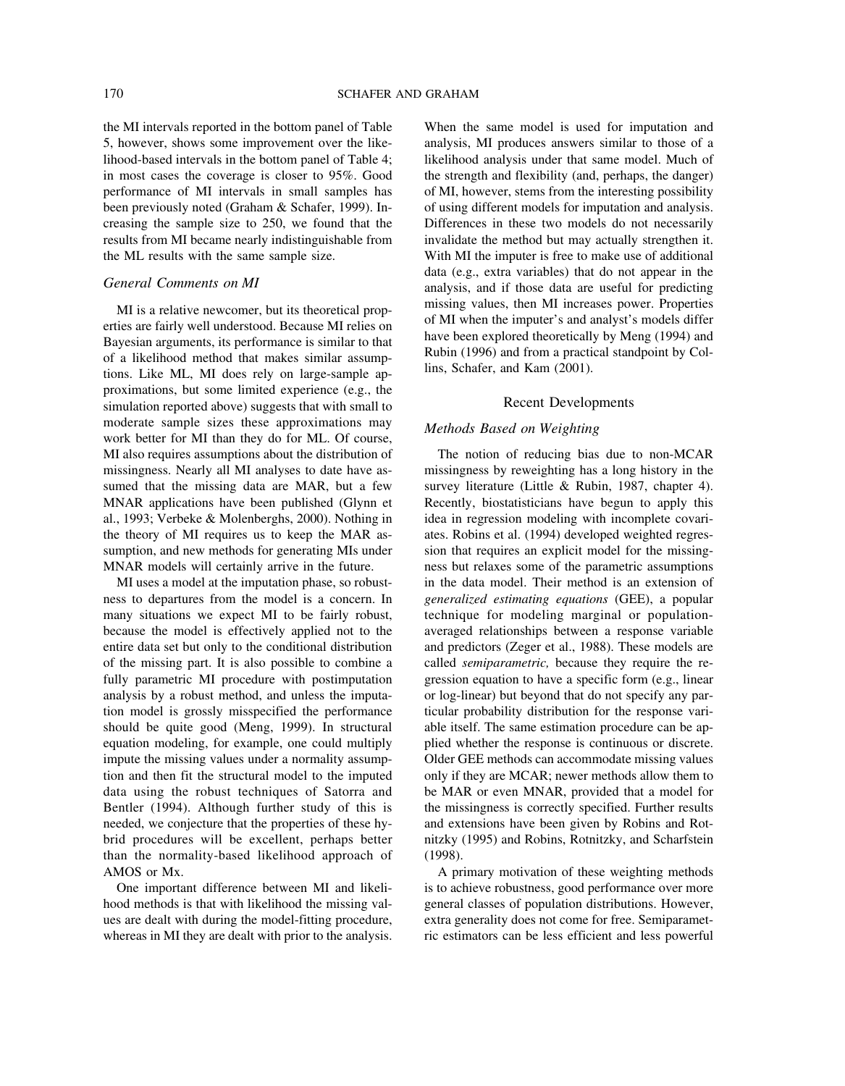the MI intervals reported in the bottom panel of Table 5, however, shows some improvement over the likelihood-based intervals in the bottom panel of Table 4; in most cases the coverage is closer to 95%. Good performance of MI intervals in small samples has been previously noted (Graham & Schafer, 1999). Increasing the sample size to 250, we found that the results from MI became nearly indistinguishable from the ML results with the same sample size.

## *General Comments on MI*

MI is a relative newcomer, but its theoretical properties are fairly well understood. Because MI relies on Bayesian arguments, its performance is similar to that of a likelihood method that makes similar assumptions. Like ML, MI does rely on large-sample approximations, but some limited experience (e.g., the simulation reported above) suggests that with small to moderate sample sizes these approximations may work better for MI than they do for ML. Of course, MI also requires assumptions about the distribution of missingness. Nearly all MI analyses to date have assumed that the missing data are MAR, but a few MNAR applications have been published (Glynn et al., 1993; Verbeke & Molenberghs, 2000). Nothing in the theory of MI requires us to keep the MAR assumption, and new methods for generating MIs under MNAR models will certainly arrive in the future.

MI uses a model at the imputation phase, so robustness to departures from the model is a concern. In many situations we expect MI to be fairly robust, because the model is effectively applied not to the entire data set but only to the conditional distribution of the missing part. It is also possible to combine a fully parametric MI procedure with postimputation analysis by a robust method, and unless the imputation model is grossly misspecified the performance should be quite good (Meng, 1999). In structural equation modeling, for example, one could multiply impute the missing values under a normality assumption and then fit the structural model to the imputed data using the robust techniques of Satorra and Bentler (1994). Although further study of this is needed, we conjecture that the properties of these hybrid procedures will be excellent, perhaps better than the normality-based likelihood approach of AMOS or Mx.

One important difference between MI and likelihood methods is that with likelihood the missing values are dealt with during the model-fitting procedure, whereas in MI they are dealt with prior to the analysis. When the same model is used for imputation and analysis, MI produces answers similar to those of a likelihood analysis under that same model. Much of the strength and flexibility (and, perhaps, the danger) of MI, however, stems from the interesting possibility of using different models for imputation and analysis. Differences in these two models do not necessarily invalidate the method but may actually strengthen it. With MI the imputer is free to make use of additional data (e.g., extra variables) that do not appear in the analysis, and if those data are useful for predicting missing values, then MI increases power. Properties of MI when the imputer's and analyst's models differ have been explored theoretically by Meng (1994) and Rubin (1996) and from a practical standpoint by Collins, Schafer, and Kam (2001).

## Recent Developments

## *Methods Based on Weighting*

The notion of reducing bias due to non-MCAR missingness by reweighting has a long history in the survey literature (Little & Rubin, 1987, chapter 4). Recently, biostatisticians have begun to apply this idea in regression modeling with incomplete covariates. Robins et al. (1994) developed weighted regression that requires an explicit model for the missingness but relaxes some of the parametric assumptions in the data model. Their method is an extension of *generalized estimating equations* (GEE), a popular technique for modeling marginal or populationaveraged relationships between a response variable and predictors (Zeger et al., 1988). These models are called *semiparametric,* because they require the regression equation to have a specific form (e.g., linear or log-linear) but beyond that do not specify any particular probability distribution for the response variable itself. The same estimation procedure can be applied whether the response is continuous or discrete. Older GEE methods can accommodate missing values only if they are MCAR; newer methods allow them to be MAR or even MNAR, provided that a model for the missingness is correctly specified. Further results and extensions have been given by Robins and Rotnitzky (1995) and Robins, Rotnitzky, and Scharfstein (1998).

A primary motivation of these weighting methods is to achieve robustness, good performance over more general classes of population distributions. However, extra generality does not come for free. Semiparametric estimators can be less efficient and less powerful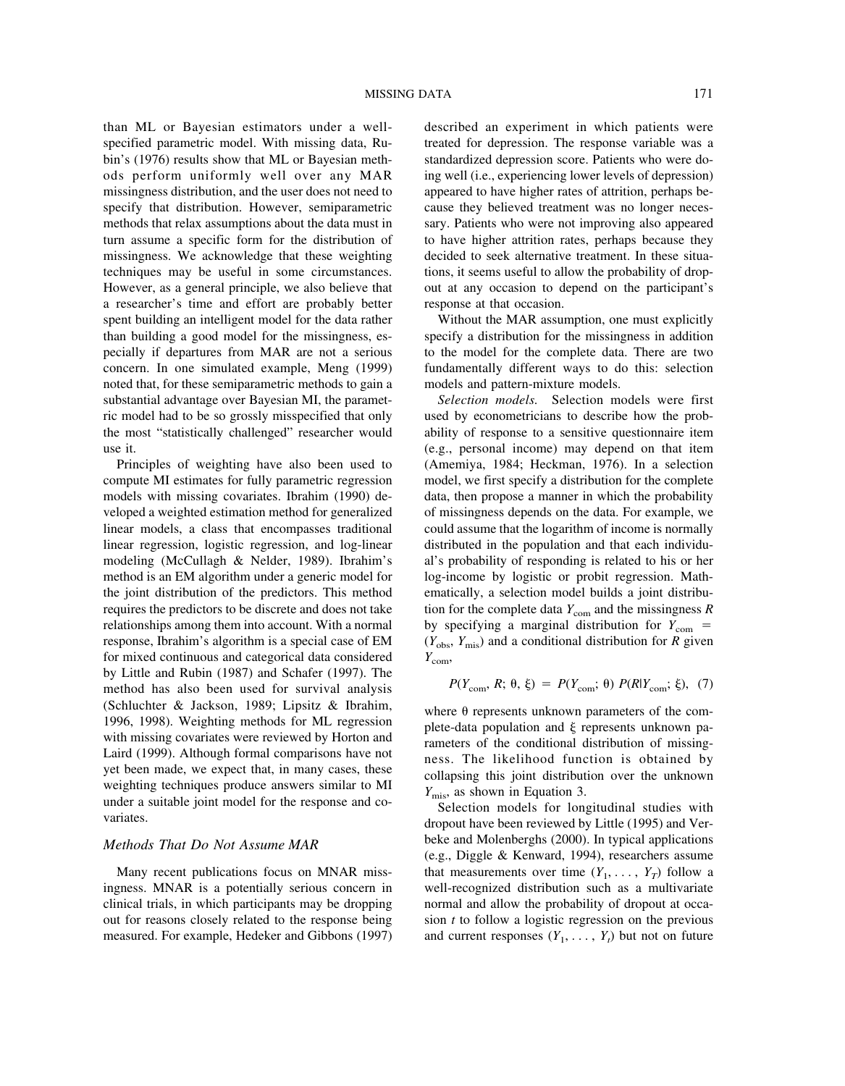than ML or Bayesian estimators under a wellspecified parametric model. With missing data, Rubin's (1976) results show that ML or Bayesian methods perform uniformly well over any MAR missingness distribution, and the user does not need to specify that distribution. However, semiparametric methods that relax assumptions about the data must in turn assume a specific form for the distribution of missingness. We acknowledge that these weighting techniques may be useful in some circumstances. However, as a general principle, we also believe that a researcher's time and effort are probably better spent building an intelligent model for the data rather than building a good model for the missingness, especially if departures from MAR are not a serious concern. In one simulated example, Meng (1999) noted that, for these semiparametric methods to gain a substantial advantage over Bayesian MI, the parametric model had to be so grossly misspecified that only the most "statistically challenged" researcher would use it.

Principles of weighting have also been used to compute MI estimates for fully parametric regression models with missing covariates. Ibrahim (1990) developed a weighted estimation method for generalized linear models, a class that encompasses traditional linear regression, logistic regression, and log-linear modeling (McCullagh & Nelder, 1989). Ibrahim's method is an EM algorithm under a generic model for the joint distribution of the predictors. This method requires the predictors to be discrete and does not take relationships among them into account. With a normal response, Ibrahim's algorithm is a special case of EM for mixed continuous and categorical data considered by Little and Rubin (1987) and Schafer (1997). The method has also been used for survival analysis (Schluchter & Jackson, 1989; Lipsitz & Ibrahim, 1996, 1998). Weighting methods for ML regression with missing covariates were reviewed by Horton and Laird (1999). Although formal comparisons have not yet been made, we expect that, in many cases, these weighting techniques produce answers similar to MI under a suitable joint model for the response and covariates.

## *Methods That Do Not Assume MAR*

Many recent publications focus on MNAR missingness. MNAR is a potentially serious concern in clinical trials, in which participants may be dropping out for reasons closely related to the response being measured. For example, Hedeker and Gibbons (1997) described an experiment in which patients were treated for depression. The response variable was a standardized depression score. Patients who were doing well (i.e., experiencing lower levels of depression) appeared to have higher rates of attrition, perhaps because they believed treatment was no longer necessary. Patients who were not improving also appeared to have higher attrition rates, perhaps because they decided to seek alternative treatment. In these situations, it seems useful to allow the probability of dropout at any occasion to depend on the participant's response at that occasion.

Without the MAR assumption, one must explicitly specify a distribution for the missingness in addition to the model for the complete data. There are two fundamentally different ways to do this: selection models and pattern-mixture models.

*Selection models.* Selection models were first used by econometricians to describe how the probability of response to a sensitive questionnaire item (e.g., personal income) may depend on that item (Amemiya, 1984; Heckman, 1976). In a selection model, we first specify a distribution for the complete data, then propose a manner in which the probability of missingness depends on the data. For example, we could assume that the logarithm of income is normally distributed in the population and that each individual's probability of responding is related to his or her log-income by logistic or probit regression. Mathematically, a selection model builds a joint distribution for the complete data  $Y_{\text{com}}$  and the missingness  $R$ by specifying a marginal distribution for  $Y_{\text{com}} =$  $(Y_{obs}, Y_{mis})$  and a conditional distribution for *R* given  $Y_{\rm com}$ 

$$
P(Y_{\text{com}}, R; \theta, \xi) = P(Y_{\text{com}}; \theta) P(R|Y_{\text{com}}; \xi), (7)
$$

where  $\theta$  represents unknown parameters of the complete-data population and  $\xi$  represents unknown parameters of the conditional distribution of missingness. The likelihood function is obtained by collapsing this joint distribution over the unknown *Y*mis, as shown in Equation 3.

Selection models for longitudinal studies with dropout have been reviewed by Little (1995) and Verbeke and Molenberghs (2000). In typical applications (e.g., Diggle & Kenward, 1994), researchers assume that measurements over time  $(Y_1, \ldots, Y_T)$  follow a well-recognized distribution such as a multivariate normal and allow the probability of dropout at occasion *t* to follow a logistic regression on the previous and current responses  $(Y_1, \ldots, Y_t)$  but not on future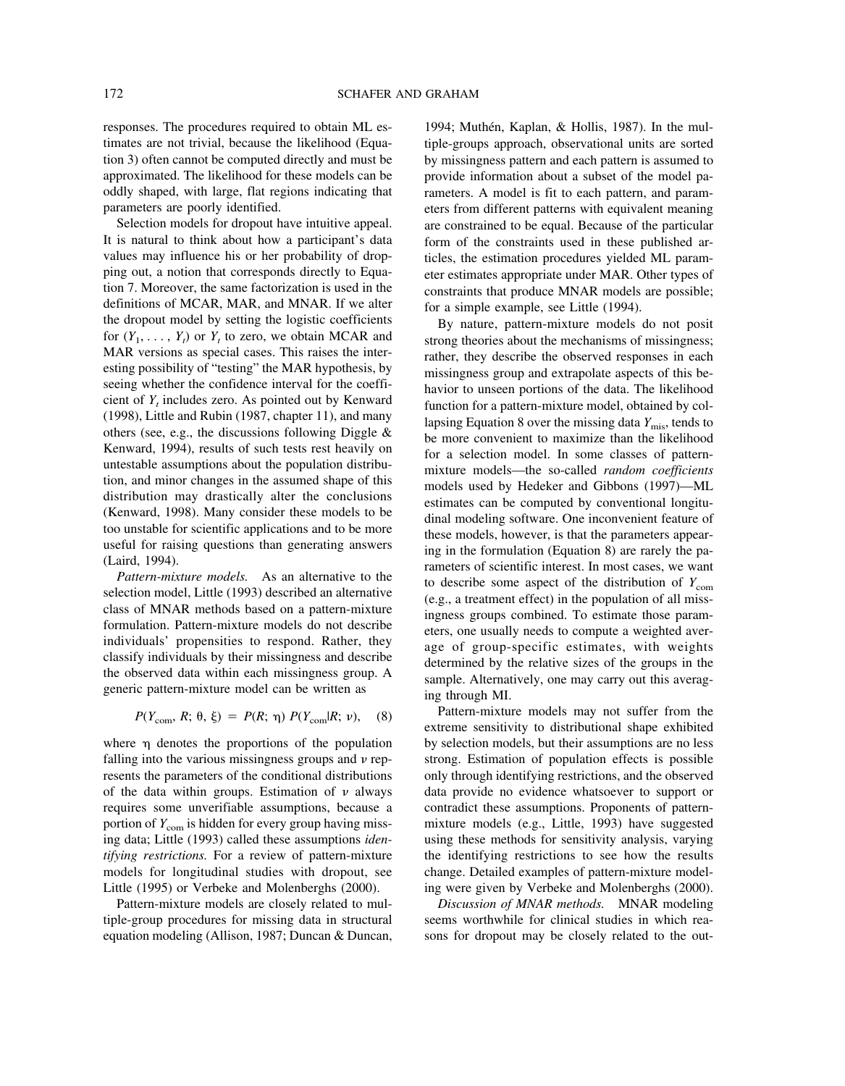responses. The procedures required to obtain ML estimates are not trivial, because the likelihood (Equation 3) often cannot be computed directly and must be approximated. The likelihood for these models can be oddly shaped, with large, flat regions indicating that parameters are poorly identified.

Selection models for dropout have intuitive appeal. It is natural to think about how a participant's data values may influence his or her probability of dropping out, a notion that corresponds directly to Equation 7. Moreover, the same factorization is used in the definitions of MCAR, MAR, and MNAR. If we alter the dropout model by setting the logistic coefficients for  $(Y_1, \ldots, Y_t)$  or  $Y_t$  to zero, we obtain MCAR and MAR versions as special cases. This raises the interesting possibility of "testing" the MAR hypothesis, by seeing whether the confidence interval for the coefficient of  $Y_t$  includes zero. As pointed out by Kenward (1998), Little and Rubin (1987, chapter 11), and many others (see, e.g., the discussions following Diggle & Kenward, 1994), results of such tests rest heavily on untestable assumptions about the population distribution, and minor changes in the assumed shape of this distribution may drastically alter the conclusions (Kenward, 1998). Many consider these models to be too unstable for scientific applications and to be more useful for raising questions than generating answers (Laird, 1994).

*Pattern-mixture models.* As an alternative to the selection model, Little (1993) described an alternative class of MNAR methods based on a pattern-mixture formulation. Pattern-mixture models do not describe individuals' propensities to respond. Rather, they classify individuals by their missingness and describe the observed data within each missingness group. A generic pattern-mixture model can be written as

$$
P(Y_{\text{com}}, R; \theta, \xi) = P(R; \eta) P(Y_{\text{com}}|R; \nu), \quad (8)
$$

where  $\eta$  denotes the proportions of the population falling into the various missingness groups and  $\nu$  represents the parameters of the conditional distributions of the data within groups. Estimation of  $\nu$  always requires some unverifiable assumptions, because a portion of  $Y_{\text{com}}$  is hidden for every group having missing data; Little (1993) called these assumptions *identifying restrictions.* For a review of pattern-mixture models for longitudinal studies with dropout, see Little (1995) or Verbeke and Molenberghs (2000).

Pattern-mixture models are closely related to multiple-group procedures for missing data in structural equation modeling (Allison, 1987; Duncan & Duncan,

1994; Muthén, Kaplan, & Hollis, 1987). In the multiple-groups approach, observational units are sorted by missingness pattern and each pattern is assumed to provide information about a subset of the model parameters. A model is fit to each pattern, and parameters from different patterns with equivalent meaning are constrained to be equal. Because of the particular form of the constraints used in these published articles, the estimation procedures yielded ML parameter estimates appropriate under MAR. Other types of constraints that produce MNAR models are possible; for a simple example, see Little (1994).

By nature, pattern-mixture models do not posit strong theories about the mechanisms of missingness; rather, they describe the observed responses in each missingness group and extrapolate aspects of this behavior to unseen portions of the data. The likelihood function for a pattern-mixture model, obtained by collapsing Equation 8 over the missing data  $Y_{\text{mis}}$ , tends to be more convenient to maximize than the likelihood for a selection model. In some classes of patternmixture models—the so-called *random coefficients* models used by Hedeker and Gibbons (1997)—ML estimates can be computed by conventional longitudinal modeling software. One inconvenient feature of these models, however, is that the parameters appearing in the formulation (Equation 8) are rarely the parameters of scientific interest. In most cases, we want to describe some aspect of the distribution of  $Y_{\text{com}}$ (e.g., a treatment effect) in the population of all missingness groups combined. To estimate those parameters, one usually needs to compute a weighted average of group-specific estimates, with weights determined by the relative sizes of the groups in the sample. Alternatively, one may carry out this averaging through MI.

Pattern-mixture models may not suffer from the extreme sensitivity to distributional shape exhibited by selection models, but their assumptions are no less strong. Estimation of population effects is possible only through identifying restrictions, and the observed data provide no evidence whatsoever to support or contradict these assumptions. Proponents of patternmixture models (e.g., Little, 1993) have suggested using these methods for sensitivity analysis, varying the identifying restrictions to see how the results change. Detailed examples of pattern-mixture modeling were given by Verbeke and Molenberghs (2000).

*Discussion of MNAR methods.* MNAR modeling seems worthwhile for clinical studies in which reasons for dropout may be closely related to the out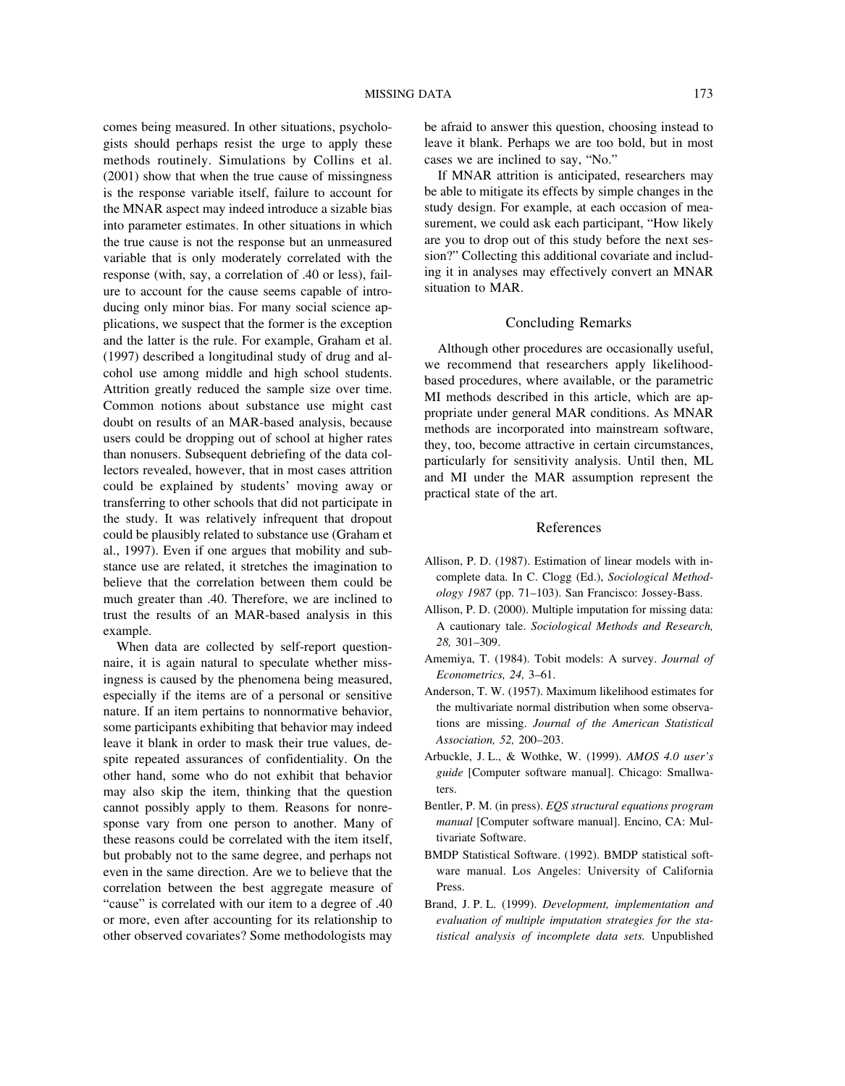comes being measured. In other situations, psychologists should perhaps resist the urge to apply these methods routinely. Simulations by Collins et al. (2001) show that when the true cause of missingness is the response variable itself, failure to account for the MNAR aspect may indeed introduce a sizable bias into parameter estimates. In other situations in which the true cause is not the response but an unmeasured variable that is only moderately correlated with the response (with, say, a correlation of .40 or less), failure to account for the cause seems capable of introducing only minor bias. For many social science applications, we suspect that the former is the exception and the latter is the rule. For example, Graham et al. (1997) described a longitudinal study of drug and alcohol use among middle and high school students. Attrition greatly reduced the sample size over time. Common notions about substance use might cast doubt on results of an MAR-based analysis, because users could be dropping out of school at higher rates than nonusers. Subsequent debriefing of the data collectors revealed, however, that in most cases attrition could be explained by students' moving away or transferring to other schools that did not participate in the study. It was relatively infrequent that dropout could be plausibly related to substance use (Graham et al., 1997). Even if one argues that mobility and substance use are related, it stretches the imagination to believe that the correlation between them could be much greater than .40. Therefore, we are inclined to trust the results of an MAR-based analysis in this example.

When data are collected by self-report questionnaire, it is again natural to speculate whether missingness is caused by the phenomena being measured, especially if the items are of a personal or sensitive nature. If an item pertains to nonnormative behavior, some participants exhibiting that behavior may indeed leave it blank in order to mask their true values, despite repeated assurances of confidentiality. On the other hand, some who do not exhibit that behavior may also skip the item, thinking that the question cannot possibly apply to them. Reasons for nonresponse vary from one person to another. Many of these reasons could be correlated with the item itself, but probably not to the same degree, and perhaps not even in the same direction. Are we to believe that the correlation between the best aggregate measure of "cause" is correlated with our item to a degree of .40 or more, even after accounting for its relationship to other observed covariates? Some methodologists may

be afraid to answer this question, choosing instead to leave it blank. Perhaps we are too bold, but in most cases we are inclined to say, "No."

If MNAR attrition is anticipated, researchers may be able to mitigate its effects by simple changes in the study design. For example, at each occasion of measurement, we could ask each participant, "How likely are you to drop out of this study before the next session?" Collecting this additional covariate and including it in analyses may effectively convert an MNAR situation to MAR.

#### Concluding Remarks

Although other procedures are occasionally useful, we recommend that researchers apply likelihoodbased procedures, where available, or the parametric MI methods described in this article, which are appropriate under general MAR conditions. As MNAR methods are incorporated into mainstream software, they, too, become attractive in certain circumstances, particularly for sensitivity analysis. Until then, ML and MI under the MAR assumption represent the practical state of the art.

#### References

- Allison, P. D. (1987). Estimation of linear models with incomplete data. In C. Clogg (Ed.), *Sociological Methodology 1987* (pp. 71–103). San Francisco: Jossey-Bass.
- Allison, P. D. (2000). Multiple imputation for missing data: A cautionary tale. *Sociological Methods and Research, 28,* 301–309.
- Amemiya, T. (1984). Tobit models: A survey. *Journal of Econometrics, 24,* 3–61.
- Anderson, T. W. (1957). Maximum likelihood estimates for the multivariate normal distribution when some observations are missing. *Journal of the American Statistical Association, 52,* 200–203.
- Arbuckle, J. L., & Wothke, W. (1999). *AMOS 4.0 user's guide* [Computer software manual]. Chicago: Smallwaters.
- Bentler, P. M. (in press). *EQS structural equations program manual* [Computer software manual]. Encino, CA: Multivariate Software.
- BMDP Statistical Software. (1992). BMDP statistical software manual. Los Angeles: University of California Press.
- Brand, J. P. L. (1999). *Development, implementation and evaluation of multiple imputation strategies for the statistical analysis of incomplete data sets.* Unpublished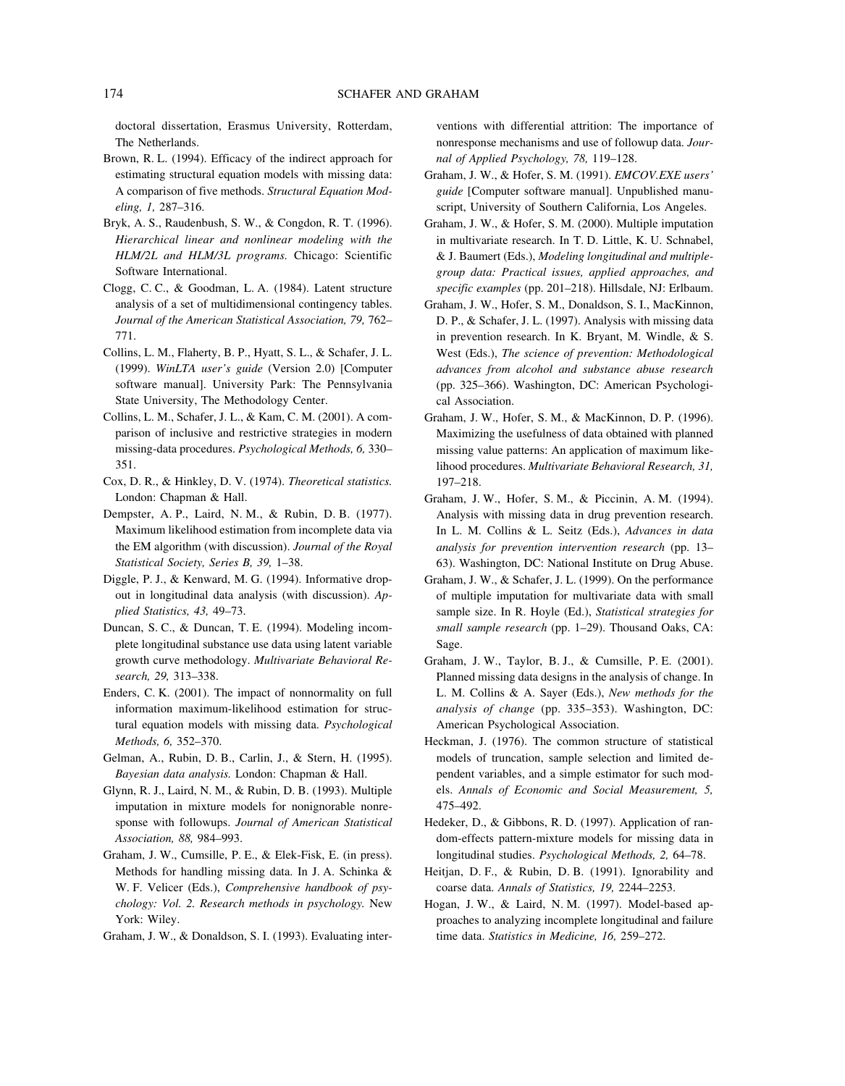doctoral dissertation, Erasmus University, Rotterdam, The Netherlands.

- Brown, R. L. (1994). Efficacy of the indirect approach for estimating structural equation models with missing data: A comparison of five methods. *Structural Equation Modeling, 1,* 287–316.
- Bryk, A. S., Raudenbush, S. W., & Congdon, R. T. (1996). *Hierarchical linear and nonlinear modeling with the HLM/2L and HLM/3L programs.* Chicago: Scientific Software International.
- Clogg, C. C., & Goodman, L. A. (1984). Latent structure analysis of a set of multidimensional contingency tables. *Journal of the American Statistical Association, 79,* 762– 771.
- Collins, L. M., Flaherty, B. P., Hyatt, S. L., & Schafer, J. L. (1999). *WinLTA user's guide* (Version 2.0) [Computer software manual]. University Park: The Pennsylvania State University, The Methodology Center.
- Collins, L. M., Schafer, J. L., & Kam, C. M. (2001). A comparison of inclusive and restrictive strategies in modern missing-data procedures. *Psychological Methods, 6,* 330– 351.
- Cox, D. R., & Hinkley, D. V. (1974). *Theoretical statistics.* London: Chapman & Hall.
- Dempster, A. P., Laird, N. M., & Rubin, D. B. (1977). Maximum likelihood estimation from incomplete data via the EM algorithm (with discussion). *Journal of the Royal Statistical Society, Series B, 39,* 1–38.
- Diggle, P. J., & Kenward, M. G. (1994). Informative dropout in longitudinal data analysis (with discussion). *Applied Statistics, 43,* 49–73.
- Duncan, S. C., & Duncan, T. E. (1994). Modeling incomplete longitudinal substance use data using latent variable growth curve methodology. *Multivariate Behavioral Research, 29,* 313–338.
- Enders, C. K. (2001). The impact of nonnormality on full information maximum-likelihood estimation for structural equation models with missing data. *Psychological Methods, 6,* 352–370.
- Gelman, A., Rubin, D. B., Carlin, J., & Stern, H. (1995). *Bayesian data analysis.* London: Chapman & Hall.
- Glynn, R. J., Laird, N. M., & Rubin, D. B. (1993). Multiple imputation in mixture models for nonignorable nonresponse with followups. *Journal of American Statistical Association, 88,* 984–993.
- Graham, J. W., Cumsille, P. E., & Elek-Fisk, E. (in press). Methods for handling missing data. In J. A. Schinka & W. F. Velicer (Eds.), *Comprehensive handbook of psychology: Vol. 2. Research methods in psychology.* New York: Wiley.
- Graham, J. W., & Donaldson, S. I. (1993). Evaluating inter-

ventions with differential attrition: The importance of nonresponse mechanisms and use of followup data. *Journal of Applied Psychology, 78,* 119–128.

- Graham, J. W., & Hofer, S. M. (1991). *EMCOV.EXE users' guide* [Computer software manual]. Unpublished manuscript, University of Southern California, Los Angeles.
- Graham, J. W., & Hofer, S. M. (2000). Multiple imputation in multivariate research. In T. D. Little, K. U. Schnabel, & J. Baumert (Eds.), *Modeling longitudinal and multiplegroup data: Practical issues, applied approaches, and specific examples* (pp. 201–218). Hillsdale, NJ: Erlbaum.
- Graham, J. W., Hofer, S. M., Donaldson, S. I., MacKinnon, D. P., & Schafer, J. L. (1997). Analysis with missing data in prevention research. In K. Bryant, M. Windle, & S. West (Eds.), *The science of prevention: Methodological advances from alcohol and substance abuse research* (pp. 325–366). Washington, DC: American Psychological Association.
- Graham, J. W., Hofer, S. M., & MacKinnon, D. P. (1996). Maximizing the usefulness of data obtained with planned missing value patterns: An application of maximum likelihood procedures. *Multivariate Behavioral Research, 31,* 197–218.
- Graham, J. W., Hofer, S. M., & Piccinin, A. M. (1994). Analysis with missing data in drug prevention research. In L. M. Collins & L. Seitz (Eds.), *Advances in data analysis for prevention intervention research* (pp. 13– 63). Washington, DC: National Institute on Drug Abuse.
- Graham, J. W., & Schafer, J. L. (1999). On the performance of multiple imputation for multivariate data with small sample size. In R. Hoyle (Ed.), *Statistical strategies for small sample research* (pp. 1–29). Thousand Oaks, CA: Sage.
- Graham, J. W., Taylor, B. J., & Cumsille, P. E. (2001). Planned missing data designs in the analysis of change. In L. M. Collins & A. Sayer (Eds.), *New methods for the analysis of change* (pp. 335–353). Washington, DC: American Psychological Association.
- Heckman, J. (1976). The common structure of statistical models of truncation, sample selection and limited dependent variables, and a simple estimator for such models. *Annals of Economic and Social Measurement, 5,* 475–492.
- Hedeker, D., & Gibbons, R. D. (1997). Application of random-effects pattern-mixture models for missing data in longitudinal studies. *Psychological Methods, 2,* 64–78.
- Heitjan, D. F., & Rubin, D. B. (1991). Ignorability and coarse data. *Annals of Statistics, 19,* 2244–2253.
- Hogan, J. W., & Laird, N. M. (1997). Model-based approaches to analyzing incomplete longitudinal and failure time data. *Statistics in Medicine, 16,* 259–272.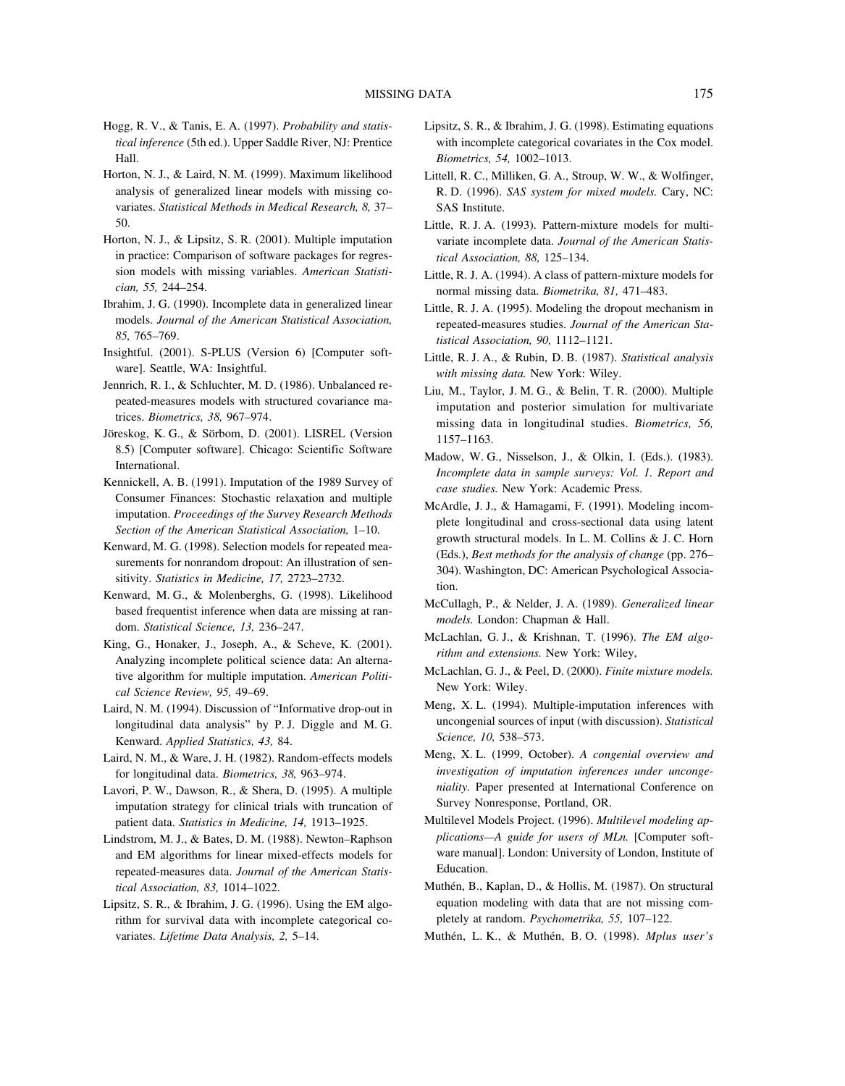- Hogg, R. V., & Tanis, E. A. (1997). *Probability and statistical inference* (5th ed.). Upper Saddle River, NJ: Prentice Hall.
- Horton, N. J., & Laird, N. M. (1999). Maximum likelihood analysis of generalized linear models with missing covariates. *Statistical Methods in Medical Research, 8,* 37– 50.
- Horton, N. J., & Lipsitz, S. R. (2001). Multiple imputation in practice: Comparison of software packages for regression models with missing variables. *American Statistician, 55,* 244–254.
- Ibrahim, J. G. (1990). Incomplete data in generalized linear models. *Journal of the American Statistical Association, 85,* 765–769.
- Insightful. (2001). S-PLUS (Version 6) [Computer software]. Seattle, WA: Insightful.
- Jennrich, R. I., & Schluchter, M. D. (1986). Unbalanced repeated-measures models with structured covariance matrices. *Biometrics, 38,* 967–974.
- Jöreskog, K. G., & Sörbom, D. (2001). LISREL (Version 8.5) [Computer software]. Chicago: Scientific Software International.
- Kennickell, A. B. (1991). Imputation of the 1989 Survey of Consumer Finances: Stochastic relaxation and multiple imputation. *Proceedings of the Survey Research Methods Section of the American Statistical Association,* 1–10.
- Kenward, M. G. (1998). Selection models for repeated measurements for nonrandom dropout: An illustration of sensitivity. *Statistics in Medicine, 17,* 2723–2732.
- Kenward, M. G., & Molenberghs, G. (1998). Likelihood based frequentist inference when data are missing at random. *Statistical Science, 13,* 236–247.
- King, G., Honaker, J., Joseph, A., & Scheve, K. (2001). Analyzing incomplete political science data: An alternative algorithm for multiple imputation. *American Political Science Review, 95,* 49–69.
- Laird, N. M. (1994). Discussion of "Informative drop-out in longitudinal data analysis" by P. J. Diggle and M. G. Kenward. *Applied Statistics, 43,* 84.
- Laird, N. M., & Ware, J. H. (1982). Random-effects models for longitudinal data. *Biometrics, 38,* 963–974.
- Lavori, P. W., Dawson, R., & Shera, D. (1995). A multiple imputation strategy for clinical trials with truncation of patient data. *Statistics in Medicine, 14,* 1913–1925.
- Lindstrom, M. J., & Bates, D. M. (1988). Newton–Raphson and EM algorithms for linear mixed-effects models for repeated-measures data. *Journal of the American Statistical Association, 83,* 1014–1022.
- Lipsitz, S. R., & Ibrahim, J. G. (1996). Using the EM algorithm for survival data with incomplete categorical covariates. *Lifetime Data Analysis, 2,* 5–14.
- Lipsitz, S. R., & Ibrahim, J. G. (1998). Estimating equations with incomplete categorical covariates in the Cox model. *Biometrics, 54,* 1002–1013.
- Littell, R. C., Milliken, G. A., Stroup, W. W., & Wolfinger, R. D. (1996). *SAS system for mixed models.* Cary, NC: SAS Institute.
- Little, R. J. A. (1993). Pattern-mixture models for multivariate incomplete data. *Journal of the American Statistical Association, 88,* 125–134.
- Little, R. J. A. (1994). A class of pattern-mixture models for normal missing data. *Biometrika, 81,* 471–483.
- Little, R. J. A. (1995). Modeling the dropout mechanism in repeated-measures studies. *Journal of the American Statistical Association, 90,* 1112–1121.
- Little, R. J. A., & Rubin, D. B. (1987). *Statistical analysis with missing data.* New York: Wiley.
- Liu, M., Taylor, J. M. G., & Belin, T. R. (2000). Multiple imputation and posterior simulation for multivariate missing data in longitudinal studies. *Biometrics, 56,* 1157–1163.
- Madow, W. G., Nisselson, J., & Olkin, I. (Eds.). (1983). *Incomplete data in sample surveys: Vol. 1. Report and case studies.* New York: Academic Press.
- McArdle, J. J., & Hamagami, F. (1991). Modeling incomplete longitudinal and cross-sectional data using latent growth structural models. In L. M. Collins & J. C. Horn (Eds.), *Best methods for the analysis of change* (pp. 276– 304). Washington, DC: American Psychological Association.
- McCullagh, P., & Nelder, J. A. (1989). *Generalized linear models.* London: Chapman & Hall.
- McLachlan, G. J., & Krishnan, T. (1996). *The EM algorithm and extensions.* New York: Wiley,
- McLachlan, G. J., & Peel, D. (2000). *Finite mixture models.* New York: Wiley.
- Meng, X. L. (1994). Multiple-imputation inferences with uncongenial sources of input (with discussion). *Statistical Science, 10,* 538–573.
- Meng, X. L. (1999, October). *A congenial overview and investigation of imputation inferences under uncongeniality.* Paper presented at International Conference on Survey Nonresponse, Portland, OR.
- Multilevel Models Project. (1996). *Multilevel modeling applications—A guide for users of MLn.* [Computer software manual]. London: University of London, Institute of Education.
- Muthén, B., Kaplan, D., & Hollis, M. (1987). On structural equation modeling with data that are not missing completely at random. *Psychometrika, 55,* 107–122.
- Muthe´n, L. K., & Muthe´n, B. O. (1998). *Mplus user's*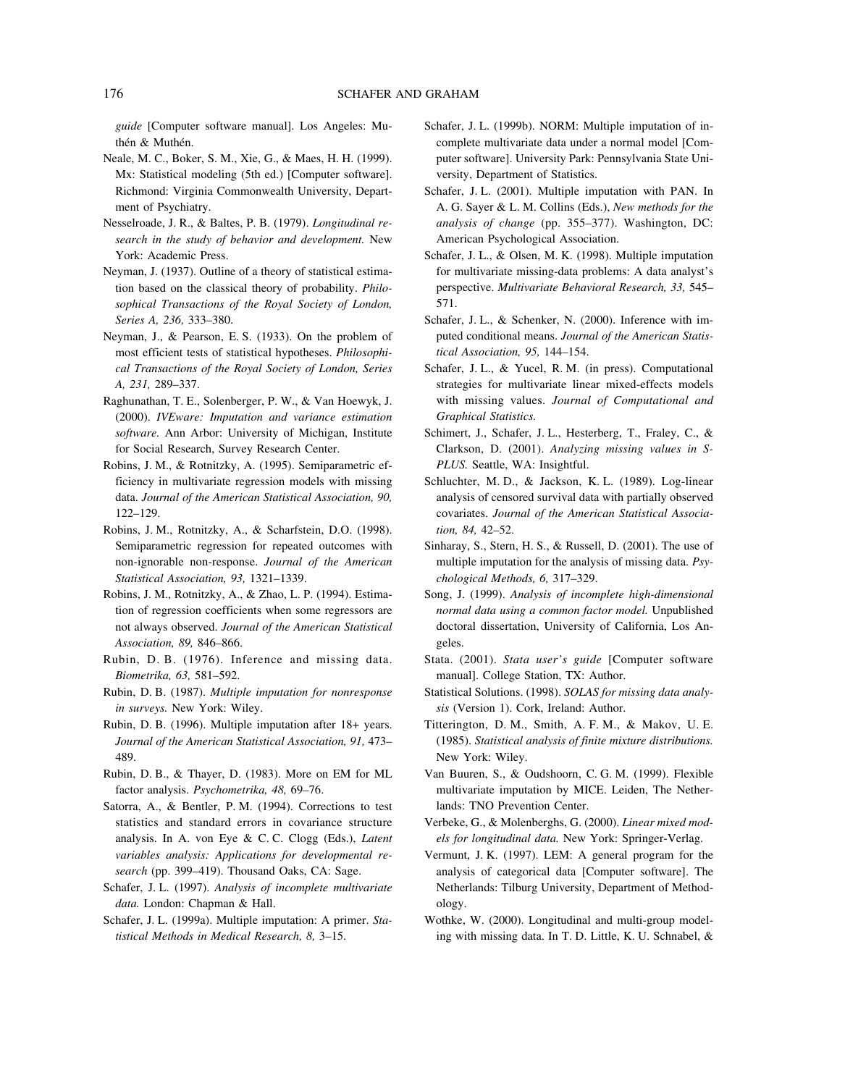*guide* [Computer software manual]. Los Angeles: Muthén & Muthén.

- Neale, M. C., Boker, S. M., Xie, G., & Maes, H. H. (1999). Mx: Statistical modeling (5th ed.) [Computer software]. Richmond: Virginia Commonwealth University, Department of Psychiatry.
- Nesselroade, J. R., & Baltes, P. B. (1979). *Longitudinal research in the study of behavior and development.* New York: Academic Press.
- Neyman, J. (1937). Outline of a theory of statistical estimation based on the classical theory of probability. *Philosophical Transactions of the Royal Society of London, Series A, 236,* 333–380.
- Neyman, J., & Pearson, E. S. (1933). On the problem of most efficient tests of statistical hypotheses. *Philosophical Transactions of the Royal Society of London, Series A, 231,* 289–337.
- Raghunathan, T. E., Solenberger, P. W., & Van Hoewyk, J. (2000). *IVEware: Imputation and variance estimation software.* Ann Arbor: University of Michigan, Institute for Social Research, Survey Research Center.
- Robins, J. M., & Rotnitzky, A. (1995). Semiparametric efficiency in multivariate regression models with missing data. *Journal of the American Statistical Association, 90,* 122–129.
- Robins, J. M., Rotnitzky, A., & Scharfstein, D.O. (1998). Semiparametric regression for repeated outcomes with non-ignorable non-response. *Journal of the American Statistical Association, 93,* 1321–1339.
- Robins, J. M., Rotnitzky, A., & Zhao, L. P. (1994). Estimation of regression coefficients when some regressors are not always observed. *Journal of the American Statistical Association, 89,* 846–866.
- Rubin, D. B. (1976). Inference and missing data. *Biometrika, 63,* 581–592.
- Rubin, D. B. (1987). *Multiple imputation for nonresponse in surveys.* New York: Wiley.
- Rubin, D. B. (1996). Multiple imputation after 18+ years. *Journal of the American Statistical Association, 91,* 473– 489.
- Rubin, D. B., & Thayer, D. (1983). More on EM for ML factor analysis. *Psychometrika, 48,* 69–76.
- Satorra, A., & Bentler, P. M. (1994). Corrections to test statistics and standard errors in covariance structure analysis. In A. von Eye & C. C. Clogg (Eds.), *Latent variables analysis: Applications for developmental research* (pp. 399–419). Thousand Oaks, CA: Sage.
- Schafer, J. L. (1997). *Analysis of incomplete multivariate data.* London: Chapman & Hall.
- Schafer, J. L. (1999a). Multiple imputation: A primer. *Statistical Methods in Medical Research, 8,* 3–15.
- Schafer, J. L. (1999b). NORM: Multiple imputation of incomplete multivariate data under a normal model [Computer software]. University Park: Pennsylvania State University, Department of Statistics.
- Schafer, J. L. (2001). Multiple imputation with PAN. In A. G. Sayer & L. M. Collins (Eds.), *New methods for the analysis of change* (pp. 355–377). Washington, DC: American Psychological Association.
- Schafer, J. L., & Olsen, M. K. (1998). Multiple imputation for multivariate missing-data problems: A data analyst's perspective. *Multivariate Behavioral Research, 33,* 545– 571.
- Schafer, J. L., & Schenker, N. (2000). Inference with imputed conditional means. *Journal of the American Statistical Association, 95,* 144–154.
- Schafer, J. L., & Yucel, R. M. (in press). Computational strategies for multivariate linear mixed-effects models with missing values. *Journal of Computational and Graphical Statistics.*
- Schimert, J., Schafer, J. L., Hesterberg, T., Fraley, C., & Clarkson, D. (2001). *Analyzing missing values in S-PLUS.* Seattle, WA: Insightful.
- Schluchter, M. D., & Jackson, K. L. (1989). Log-linear analysis of censored survival data with partially observed covariates. *Journal of the American Statistical Association, 84,* 42–52.
- Sinharay, S., Stern, H. S., & Russell, D. (2001). The use of multiple imputation for the analysis of missing data. *Psychological Methods, 6,* 317–329.
- Song, J. (1999). *Analysis of incomplete high-dimensional normal data using a common factor model.* Unpublished doctoral dissertation, University of California, Los Angeles.
- Stata. (2001). *Stata user's guide* [Computer software manual]. College Station, TX: Author.
- Statistical Solutions. (1998). *SOLAS for missing data analysis* (Version 1). Cork, Ireland: Author.
- Titterington, D. M., Smith, A. F. M., & Makov, U. E. (1985). *Statistical analysis of finite mixture distributions.* New York: Wiley.
- Van Buuren, S., & Oudshoorn, C. G. M. (1999). Flexible multivariate imputation by MICE. Leiden, The Netherlands: TNO Prevention Center.
- Verbeke, G., & Molenberghs, G. (2000). *Linear mixed models for longitudinal data.* New York: Springer-Verlag.
- Vermunt, J. K. (1997). LEM: A general program for the analysis of categorical data [Computer software]. The Netherlands: Tilburg University, Department of Methodology.
- Wothke, W. (2000). Longitudinal and multi-group modeling with missing data. In T. D. Little, K. U. Schnabel, &